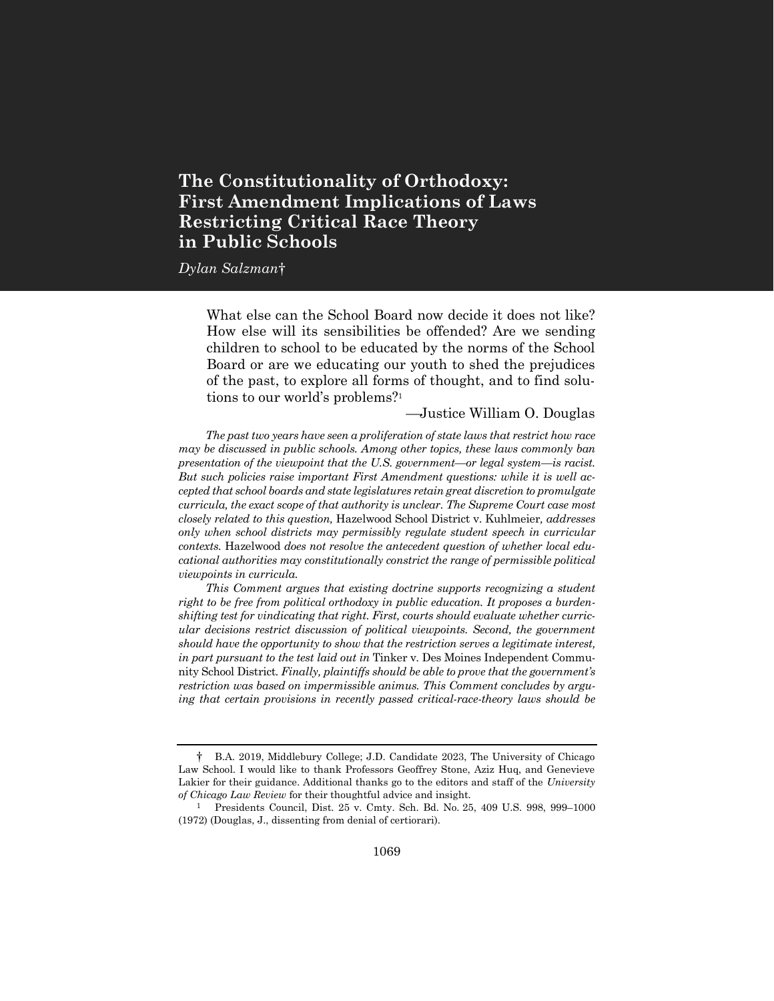# **The Constitutionality of Orthodoxy: First Amendment Implications of Laws Restricting Critical Race Theory in Public Schools**

*Dylan Salzman*†

What else can the School Board now decide it does not like? How else will its sensibilities be offended? Are we sending children to school to be educated by the norms of the School Board or are we educating our youth to shed the prejudices of the past, to explore all forms of thought, and to find solutions to our world's problems?<sup>1</sup>

—Justice William O. Douglas

*The past two years have seen a proliferation of state laws that restrict how race may be discussed in public schools. Among other topics, these laws commonly ban presentation of the viewpoint that the U.S. government—or legal system—is racist. But such policies raise important First Amendment questions: while it is well accepted that school boards and state legislatures retain great discretion to promulgate curricula, the exact scope of that authority is unclear. The Supreme Court case most closely related to this question,* Hazelwood School District v. Kuhlmeier*, addresses only when school districts may permissibly regulate student speech in curricular contexts.* Hazelwood *does not resolve the antecedent question of whether local educational authorities may constitutionally constrict the range of permissible political viewpoints in curricula.*

*This Comment argues that existing doctrine supports recognizing a student right to be free from political orthodoxy in public education. It proposes a burdenshifting test for vindicating that right. First, courts should evaluate whether curricular decisions restrict discussion of political viewpoints. Second, the government should have the opportunity to show that the restriction serves a legitimate interest, in part pursuant to the test laid out in* Tinker v. Des Moines Independent Community School District*. Finally, plaintiffs should be able to prove that the government's restriction was based on impermissible animus. This Comment concludes by arguing that certain provisions in recently passed critical-race-theory laws should be* 

<sup>†</sup> B.A. 2019, Middlebury College; J.D. Candidate 2023, The University of Chicago Law School. I would like to thank Professors Geoffrey Stone, Aziz Huq, and Genevieve Lakier for their guidance. Additional thanks go to the editors and staff of the *University of Chicago Law Review* for their thoughtful advice and insight.

<sup>1</sup> Presidents Council, Dist. 25 v. Cmty. Sch. Bd. No. 25, 409 U.S. 998, 999–1000 (1972) (Douglas, J., dissenting from denial of certiorari).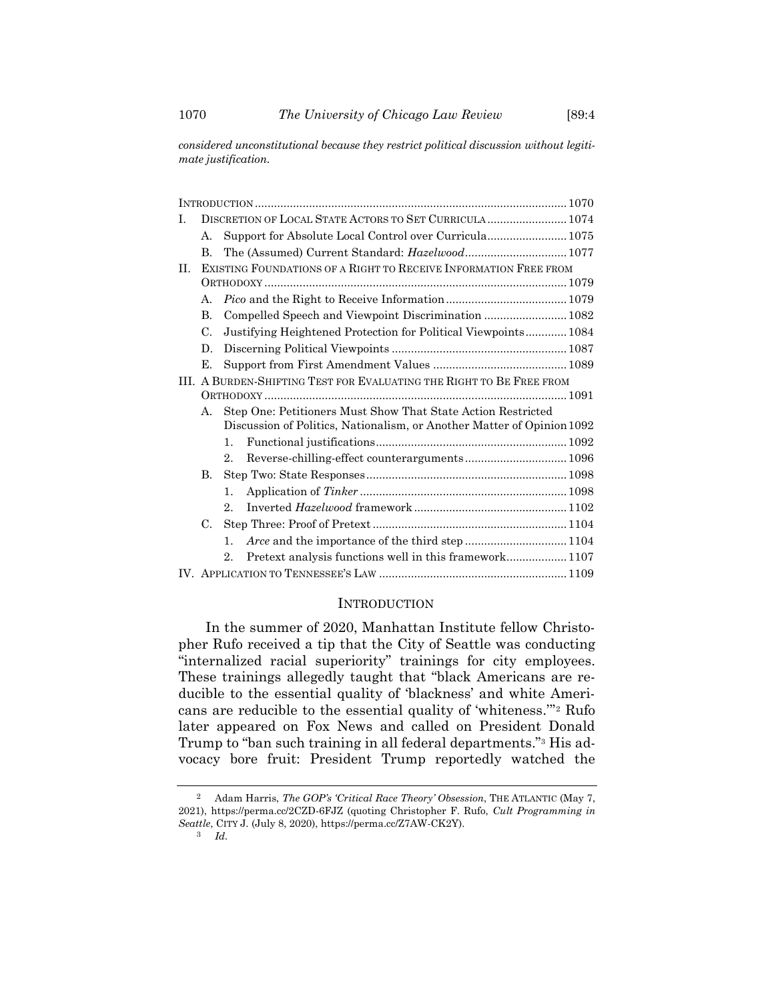*considered unconstitutional because they restrict political discussion without legitimate justification.*

| I. | DISCRETION OF LOCAL STATE ACTORS TO SET CURRICULA  1074              |                                                                        |  |
|----|----------------------------------------------------------------------|------------------------------------------------------------------------|--|
|    | $\mathsf{A}$ .                                                       | Support for Absolute Local Control over Curricula 1075                 |  |
|    | B.                                                                   | The (Assumed) Current Standard: Hazelwood 1077                         |  |
| H. |                                                                      | EXISTING FOUNDATIONS OF A RIGHT TO RECEIVE INFORMATION FREE FROM       |  |
|    |                                                                      |                                                                        |  |
|    | $\mathsf{A}$ .                                                       |                                                                        |  |
|    | B.                                                                   |                                                                        |  |
|    | C.                                                                   | Justifying Heightened Protection for Political Viewpoints 1084         |  |
|    | D.                                                                   |                                                                        |  |
|    | Е.                                                                   |                                                                        |  |
|    | III. A BURDEN-SHIFTING TEST FOR EVALUATING THE RIGHT TO BE FREE FROM |                                                                        |  |
|    |                                                                      |                                                                        |  |
|    | А.                                                                   | Step One: Petitioners Must Show That State Action Restricted           |  |
|    |                                                                      | Discussion of Politics, Nationalism, or Another Matter of Opinion 1092 |  |
|    |                                                                      | 1.                                                                     |  |
|    |                                                                      | Reverse-chilling-effect counterarguments 1096<br>$2_{-}$               |  |
|    | $\bf{B}$                                                             |                                                                        |  |
|    |                                                                      | $1_{-}$                                                                |  |
|    |                                                                      | 2.                                                                     |  |
|    | C.                                                                   |                                                                        |  |
|    |                                                                      | $1_{-}$                                                                |  |
|    |                                                                      | $2_{-}$                                                                |  |
|    |                                                                      |                                                                        |  |

#### **INTRODUCTION**

In the summer of 2020, Manhattan Institute fellow Christopher Rufo received a tip that the City of Seattle was conducting "internalized racial superiority" trainings for city employees. These trainings allegedly taught that "black Americans are reducible to the essential quality of 'blackness' and white Americans are reducible to the essential quality of 'whiteness.'" <sup>2</sup> Rufo later appeared on Fox News and called on President Donald Trump to "ban such training in all federal departments."<sup>3</sup> His advocacy bore fruit: President Trump reportedly watched the

3 *Id.*

<sup>2</sup> Adam Harris, *The GOP's 'Critical Race Theory' Obsession*, THE ATLANTIC (May 7, 2021), https://perma.cc/2CZD-6FJZ (quoting Christopher F. Rufo, *Cult Programming in Seattle*, CITY J. (July 8, 2020), https://perma.cc/Z7AW-CK2Y).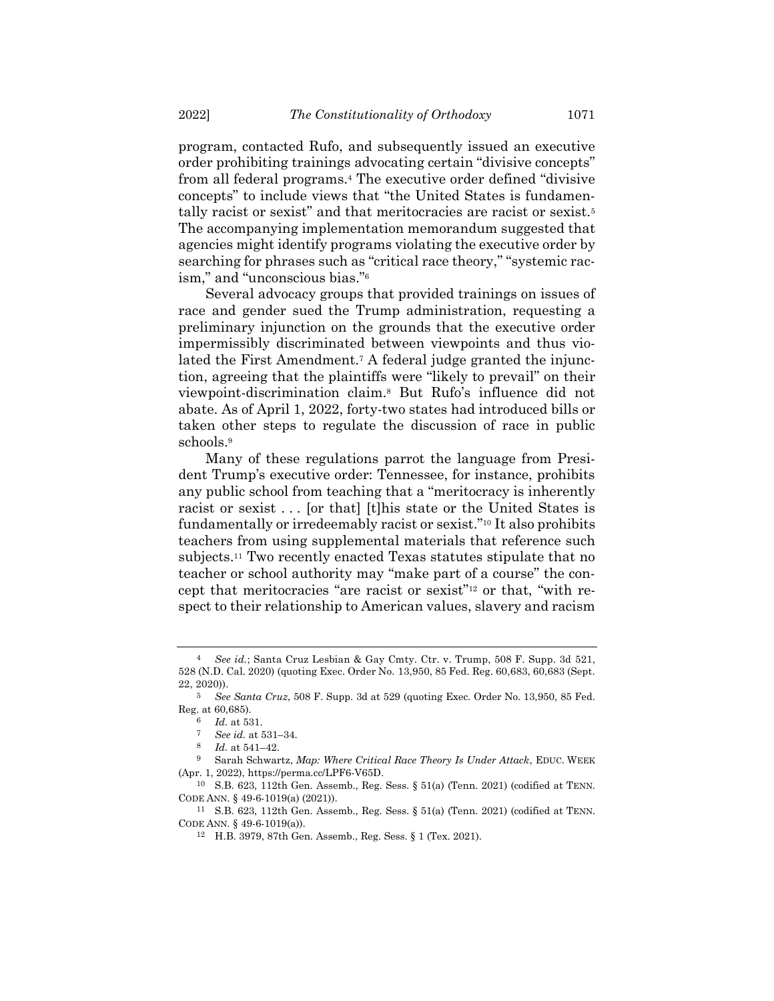program, contacted Rufo, and subsequently issued an executive order prohibiting trainings advocating certain "divisive concepts" from all federal programs.<sup>4</sup> The executive order defined "divisive concepts" to include views that "the United States is fundamentally racist or sexist" and that meritocracies are racist or sexist.<sup>5</sup> The accompanying implementation memorandum suggested that agencies might identify programs violating the executive order by searching for phrases such as "critical race theory," "systemic racism," and "unconscious bias."<sup>6</sup>

Several advocacy groups that provided trainings on issues of race and gender sued the Trump administration, requesting a preliminary injunction on the grounds that the executive order impermissibly discriminated between viewpoints and thus violated the First Amendment.<sup>7</sup> A federal judge granted the injunction, agreeing that the plaintiffs were "likely to prevail" on their viewpoint-discrimination claim.<sup>8</sup> But Rufo's influence did not abate. As of April 1, 2022, forty-two states had introduced bills or taken other steps to regulate the discussion of race in public schools.<sup>9</sup>

<span id="page-2-0"></span>Many of these regulations parrot the language from President Trump's executive order: Tennessee, for instance, prohibits any public school from teaching that a "meritocracy is inherently racist or sexist . . . [or that] [t]his state or the United States is fundamentally or irredeemably racist or sexist."<sup>10</sup> It also prohibits teachers from using supplemental materials that reference such subjects.<sup>11</sup> Two recently enacted Texas statutes stipulate that no teacher or school authority may "make part of a course" the concept that meritocracies "are racist or sexist"<sup>12</sup> or that, "with respect to their relationship to American values, slavery and racism

<sup>4</sup> *See id.*; Santa Cruz Lesbian & Gay Cmty. Ctr. v. Trump, 508 F. Supp. 3d 521, 528 (N.D. Cal. 2020) (quoting Exec. Order No. 13,950, 85 Fed. Reg. 60,683, 60,683 (Sept. 22, 2020)).

<sup>5</sup> *See Santa Cruz*, 508 F. Supp. 3d at 529 (quoting Exec. Order No. 13,950, 85 Fed. Reg. at 60,685).

<sup>6</sup> *Id.* at 531.

<sup>7</sup> *See id.* at 531–34.

<sup>8</sup> *Id.* at 541–42.

<sup>9</sup> Sarah Schwartz, *Map: Where Critical Race Theory Is Under Attack*, EDUC. WEEK (Apr. 1, 2022), https://perma.cc/LPF6-V65D.

<sup>10</sup> S.B. 623, 112th Gen. Assemb., Reg. Sess. § 51(a) (Tenn. 2021) (codified at TENN. CODE ANN. § 49-6-1019(a) (2021)).

<sup>11</sup> S.B. 623, 112th Gen. Assemb., Reg. Sess. § 51(a) (Tenn. 2021) (codified at TENN. CODE ANN. § 49-6-1019(a)).

<sup>12</sup> H.B. 3979, 87th Gen. Assemb., Reg. Sess. § 1 (Tex. 2021).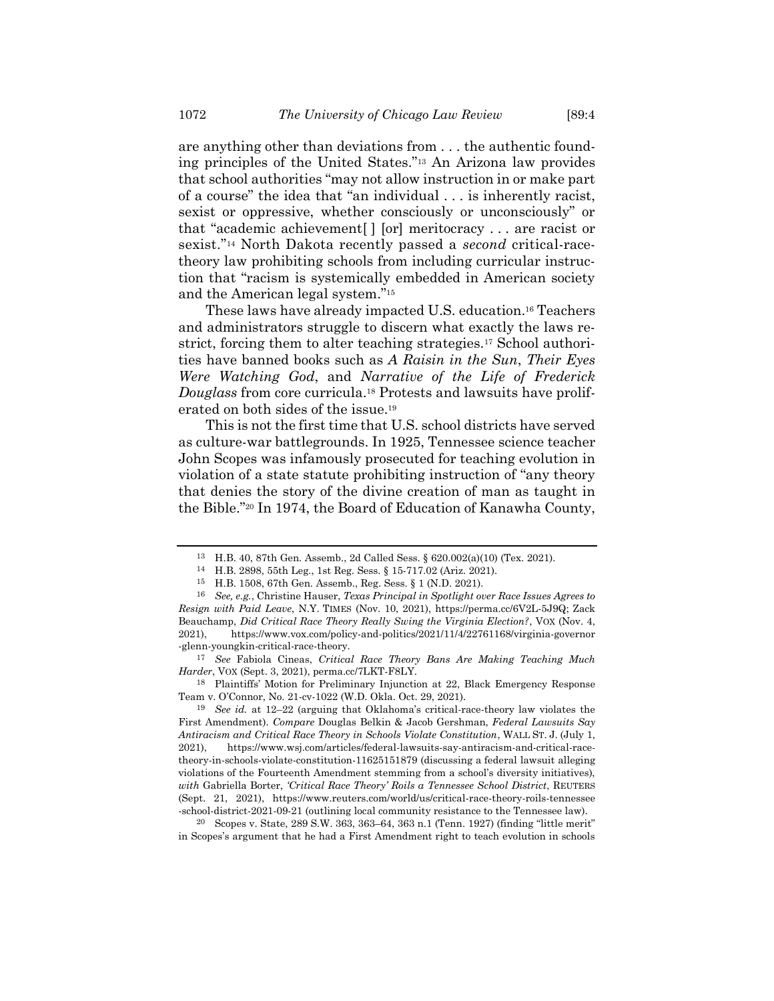are anything other than deviations from . . . the authentic founding principles of the United States."<sup>13</sup> An Arizona law provides that school authorities "may not allow instruction in or make part of a course" the idea that "an individual . . . is inherently racist, sexist or oppressive, whether consciously or unconsciously" or that "academic achievement[ ] [or] meritocracy . . . are racist or sexist."<sup>14</sup> North Dakota recently passed a *second* critical-racetheory law prohibiting schools from including curricular instruction that "racism is systemically embedded in American society and the American legal system."<sup>15</sup>

These laws have already impacted U.S. education.<sup>16</sup> Teachers and administrators struggle to discern what exactly the laws restrict, forcing them to alter teaching strategies.<sup>17</sup> School authorities have banned books such as *A Raisin in the Sun*, *Their Eyes Were Watching God*, and *Narrative of the Life of Frederick Douglass* from core curricula.<sup>18</sup> Protests and lawsuits have proliferated on both sides of the issue.<sup>19</sup>

This is not the first time that U.S. school districts have served as culture-war battlegrounds. In 1925, Tennessee science teacher John Scopes was infamously prosecuted for teaching evolution in violation of a state statute prohibiting instruction of "any theory that denies the story of the divine creation of man as taught in the Bible."<sup>20</sup> In 1974, the Board of Education of Kanawha County,

17 *See* Fabiola Cineas, *Critical Race Theory Bans Are Making Teaching Much Harder*, VOX (Sept. 3, 2021), perma.cc/7LKT-F8LY.

18 Plaintiffs' Motion for Preliminary Injunction at 22, Black Emergency Response Team v. O'Connor, No. 21-cv-1022 (W.D. Okla. Oct. 29, 2021).

<sup>13</sup> H.B. 40, 87th Gen. Assemb., 2d Called Sess. § 620.002(a)(10) (Tex. 2021).

<sup>14</sup> H.B. 2898, 55th Leg., 1st Reg. Sess. § 15-717.02 (Ariz. 2021).

<sup>15</sup> H.B. 1508, 67th Gen. Assemb., Reg. Sess. § 1 (N.D. 2021).

<sup>16</sup> *See, e.g.*, Christine Hauser, *Texas Principal in Spotlight over Race Issues Agrees to Resign with Paid Leave*, N.Y. TIMES (Nov. 10, 2021), https://perma.cc/6V2L-5J9Q; Zack Beauchamp, *Did Critical Race Theory Really Swing the Virginia Election?*, VOX (Nov. 4, 2021), https://www.vox.com/policy-and-politics/2021/11/4/22761168/virginia-governor -glenn-youngkin-critical-race-theory.

<sup>19</sup> *See id.* at 12–22 (arguing that Oklahoma's critical-race-theory law violates the First Amendment). *Compare* Douglas Belkin & Jacob Gershman, *Federal Lawsuits Say Antiracism and Critical Race Theory in Schools Violate Constitution*, WALL ST. J. (July 1, 2021), https://www.wsj.com/articles/federal-lawsuits-say-antiracism-and-critical-racetheory-in-schools-violate-constitution-11625151879 (discussing a federal lawsuit alleging violations of the Fourteenth Amendment stemming from a school's diversity initiatives), *with* Gabriella Borter, *'Critical Race Theory' Roils a Tennessee School District*, REUTERS (Sept. 21, 2021), https://www.reuters.com/world/us/critical-race-theory-roils-tennessee -school-district-2021-09-21 (outlining local community resistance to the Tennessee law).

<sup>&</sup>lt;sup>20</sup> Scopes v. State, 289 S.W. 363, 363–64, 363 n.1 (Tenn. 1927) (finding "little merit" in Scopes's argument that he had a First Amendment right to teach evolution in schools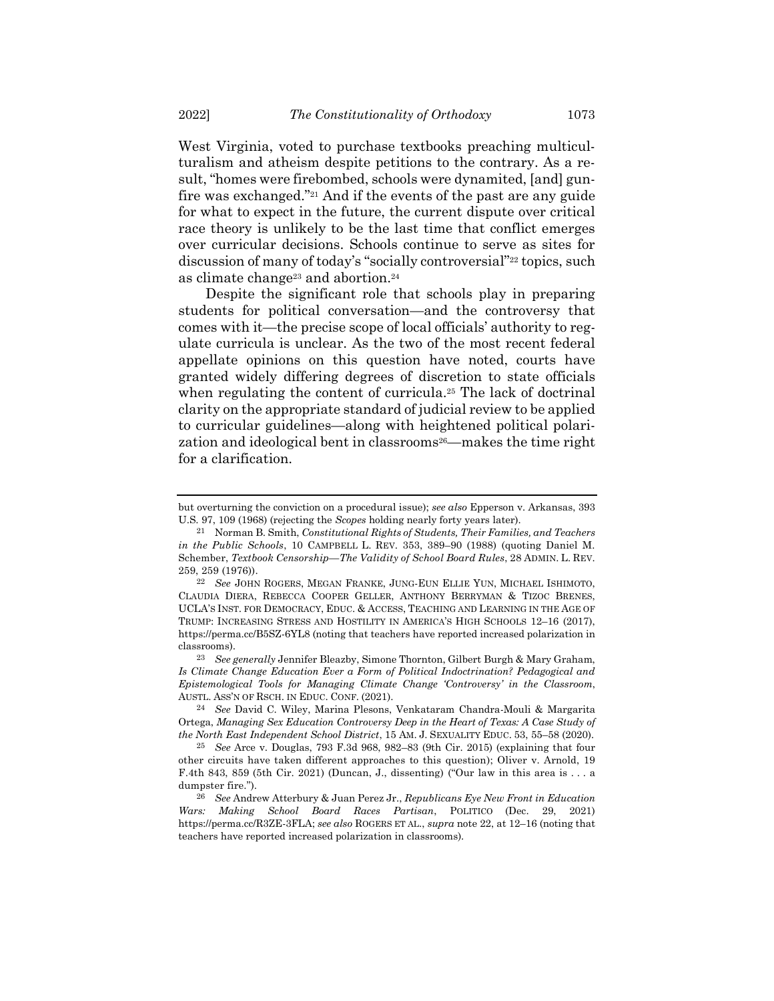West Virginia, voted to purchase textbooks preaching multiculturalism and atheism despite petitions to the contrary. As a result, "homes were firebombed, schools were dynamited, [and] gunfire was exchanged." <sup>21</sup> And if the events of the past are any guide for what to expect in the future, the current dispute over critical race theory is unlikely to be the last time that conflict emerges over curricular decisions. Schools continue to serve as sites for discussion of many of today's "socially controversial"<sup>22</sup> topics, such as climate change<sup>23</sup> and abortion.<sup>24</sup>

<span id="page-4-0"></span>Despite the significant role that schools play in preparing students for political conversation—and the controversy that comes with it—the precise scope of local officials' authority to regulate curricula is unclear. As the two of the most recent federal appellate opinions on this question have noted, courts have granted widely differing degrees of discretion to state officials when regulating the content of curricula.<sup>25</sup> The lack of doctrinal clarity on the appropriate standard of judicial review to be applied to curricular guidelines—along with heightened political polarization and ideological bent in classrooms<sup>26</sup>—makes the time right for a clarification.

but overturning the conviction on a procedural issue); *see also* Epperson v. Arkansas, 393 U.S. 97, 109 (1968) (rejecting the *Scopes* holding nearly forty years later).

<sup>21</sup> Norman B. Smith, *Constitutional Rights of Students, Their Families, and Teachers in the Public Schools*, 10 CAMPBELL L. REV. 353, 389–90 (1988) (quoting Daniel M. Schember, *Textbook Censorship—The Validity of School Board Rules*, 28 ADMIN. L. REV. 259, 259 (1976)).

<sup>22</sup> *See* JOHN ROGERS, MEGAN FRANKE, JUNG-EUN ELLIE YUN, MICHAEL ISHIMOTO, CLAUDIA DIERA, REBECCA COOPER GELLER, ANTHONY BERRYMAN & TIZOC BRENES, UCLA'S INST. FOR DEMOCRACY, EDUC. & ACCESS, TEACHING AND LEARNING IN THE AGE OF TRUMP: INCREASING STRESS AND HOSTILITY IN AMERICA'S HIGH SCHOOLS 12–16 (2017), https://perma.cc/B5SZ-6YL8 (noting that teachers have reported increased polarization in classrooms).

<sup>23</sup> *See generally* Jennifer Bleazby, Simone Thornton, Gilbert Burgh & Mary Graham, *Is Climate Change Education Ever a Form of Political Indoctrination? Pedagogical and Epistemological Tools for Managing Climate Change 'Controversy' in the Classroom*, AUSTL. ASS'N OF RSCH. IN EDUC. CONF. (2021).

<sup>24</sup> *See* David C. Wiley, Marina Plesons, Venkataram Chandra-Mouli & Margarita Ortega, *Managing Sex Education Controversy Deep in the Heart of Texas: A Case Study of the North East Independent School District*, 15 AM. J. SEXUALITY EDUC. 53, 55–58 (2020).

<sup>25</sup> *See* Arce v. Douglas, 793 F.3d 968, 982–83 (9th Cir. 2015) (explaining that four other circuits have taken different approaches to this question); Oliver v. Arnold, 19 F.4th 843, 859 (5th Cir. 2021) (Duncan, J., dissenting) ("Our law in this area is . . . a dumpster fire.").

<sup>26</sup> *See* Andrew Atterbury & Juan Perez Jr., *Republicans Eye New Front in Education Wars: Making School Board Races Partisan*, POLITICO (Dec. 29, 2021) https://perma.cc/R3ZE-3FLA; *see also* ROGERS ET AL., *supra* note [22,](#page-4-0) at 12–16 (noting that teachers have reported increased polarization in classrooms).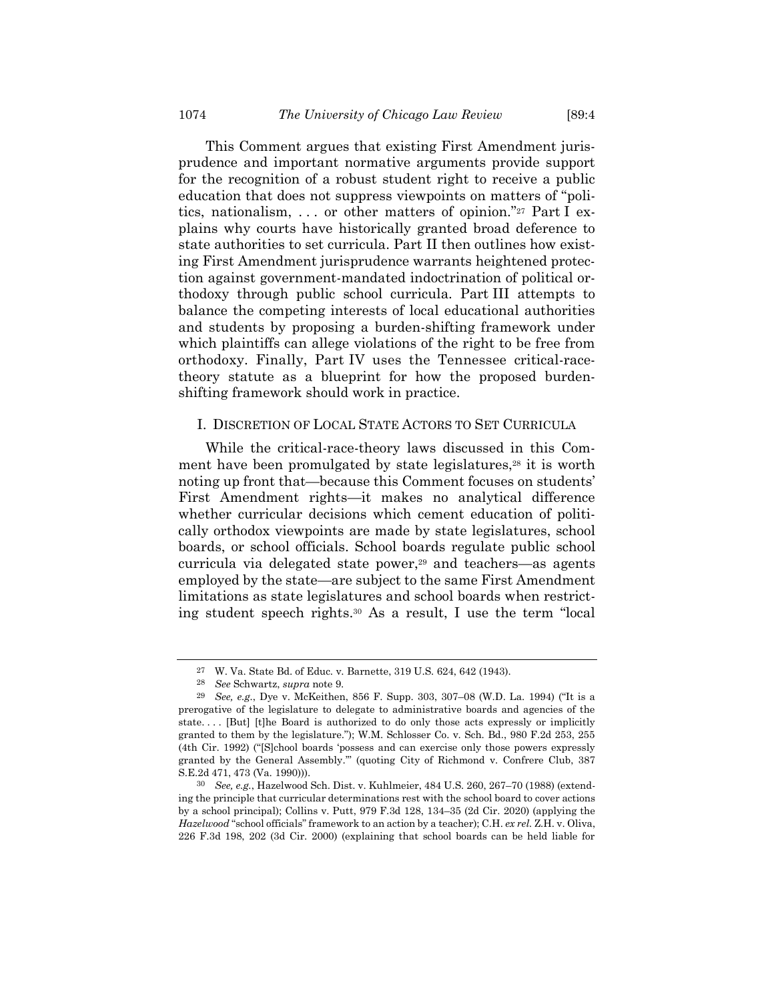This Comment argues that existing First Amendment jurisprudence and important normative arguments provide support for the recognition of a robust student right to receive a public education that does not suppress viewpoints on matters of "politics, nationalism, . . . or other matters of opinion."<sup>27</sup> Part I explains why courts have historically granted broad deference to state authorities to set curricula. Part II then outlines how existing First Amendment jurisprudence warrants heightened protection against government-mandated indoctrination of political orthodoxy through public school curricula. Part III attempts to balance the competing interests of local educational authorities and students by proposing a burden-shifting framework under which plaintiffs can allege violations of the right to be free from orthodoxy. Finally, Part IV uses the Tennessee critical-racetheory statute as a blueprint for how the proposed burdenshifting framework should work in practice.

## I. DISCRETION OF LOCAL STATE ACTORS TO SET CURRICULA

While the critical-race-theory laws discussed in this Comment have been promulgated by state legislatures,<sup>28</sup> it is worth noting up front that—because this Comment focuses on students' First Amendment rights—it makes no analytical difference whether curricular decisions which cement education of politically orthodox viewpoints are made by state legislatures, school boards, or school officials. School boards regulate public school curricula via delegated state power,<sup>29</sup> and teachers—as agents employed by the state—are subject to the same First Amendment limitations as state legislatures and school boards when restricting student speech rights.<sup>30</sup> As a result, I use the term "local

<sup>27</sup> W. Va. State Bd. of Educ. v. Barnette, 319 U.S. 624, 642 (1943).

<sup>28</sup> *See* Schwartz, *supra* note [9.](#page-2-0)

<sup>29</sup> *See, e.g.*, Dye v. McKeithen, 856 F. Supp. 303, 307–08 (W.D. La. 1994) ("It is a prerogative of the legislature to delegate to administrative boards and agencies of the state. . . . [But] [t]he Board is authorized to do only those acts expressly or implicitly granted to them by the legislature."); W.M. Schlosser Co. v. Sch. Bd., 980 F.2d 253, 255 (4th Cir. 1992) ("[S]chool boards 'possess and can exercise only those powers expressly granted by the General Assembly.'" (quoting City of Richmond v. Confrere Club, 387 S.E.2d 471, 473 (Va. 1990))).

<sup>30</sup> *See, e.g.*, Hazelwood Sch. Dist. v. Kuhlmeier, 484 U.S. 260, 267–70 (1988) (extending the principle that curricular determinations rest with the school board to cover actions by a school principal); Collins v. Putt, 979 F.3d 128, 134–35 (2d Cir. 2020) (applying the *Hazelwood* "school officials" framework to an action by a teacher); C.H. *ex rel.* Z.H. v. Oliva, 226 F.3d 198, 202 (3d Cir. 2000) (explaining that school boards can be held liable for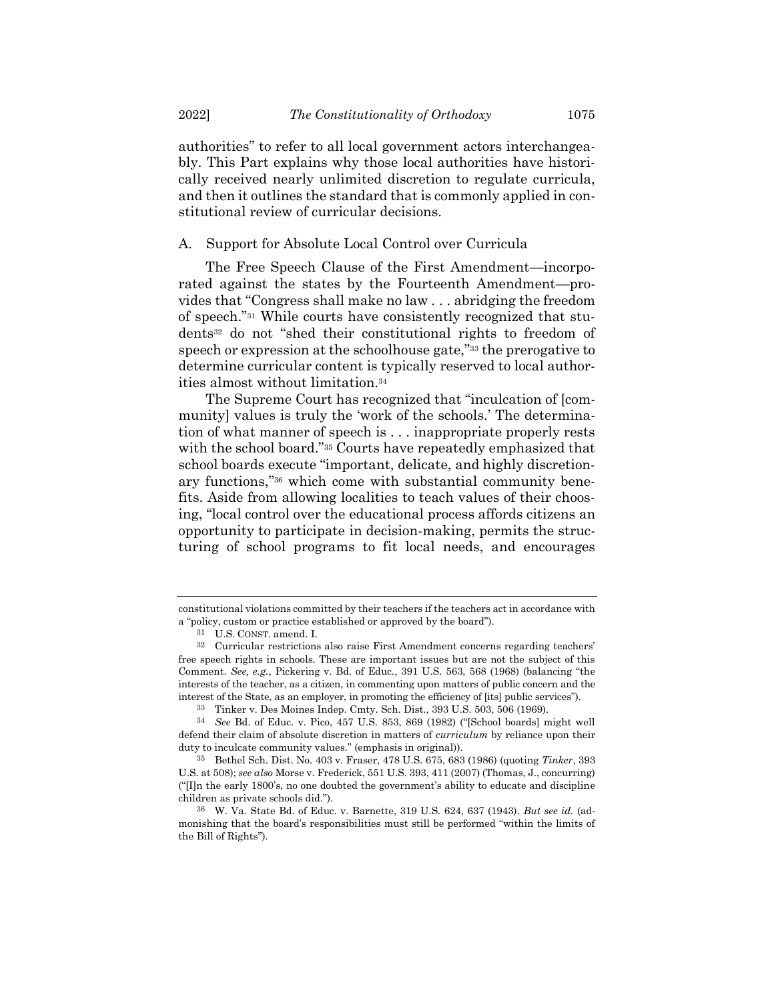authorities" to refer to all local government actors interchangeably. This Part explains why those local authorities have historically received nearly unlimited discretion to regulate curricula, and then it outlines the standard that is commonly applied in constitutional review of curricular decisions.

#### A. Support for Absolute Local Control over Curricula

The Free Speech Clause of the First Amendment—incorporated against the states by the Fourteenth Amendment—provides that "Congress shall make no law . . . abridging the freedom of speech."<sup>31</sup> While courts have consistently recognized that students<sup>32</sup> do not "shed their constitutional rights to freedom of speech or expression at the schoolhouse gate,"<sup>33</sup> the prerogative to determine curricular content is typically reserved to local authorities almost without limitation.<sup>34</sup>

The Supreme Court has recognized that "inculcation of [community] values is truly the 'work of the schools.' The determination of what manner of speech is . . . inappropriate properly rests with the school board."<sup>35</sup> Courts have repeatedly emphasized that school boards execute "important, delicate, and highly discretionary functions," <sup>36</sup> which come with substantial community benefits. Aside from allowing localities to teach values of their choosing, "local control over the educational process affords citizens an opportunity to participate in decision-making, permits the structuring of school programs to fit local needs, and encourages

constitutional violations committed by their teachers if the teachers act in accordance with a "policy, custom or practice established or approved by the board").

<sup>31</sup> U.S. CONST. amend. I.

<sup>32</sup> Curricular restrictions also raise First Amendment concerns regarding teachers' free speech rights in schools. These are important issues but are not the subject of this Comment. *See, e.g.*, Pickering v. Bd. of Educ., 391 U.S. 563, 568 (1968) (balancing "the interests of the teacher, as a citizen, in commenting upon matters of public concern and the interest of the State, as an employer, in promoting the efficiency of [its] public services").

<sup>33</sup> Tinker v. Des Moines Indep. Cmty. Sch. Dist., 393 U.S. 503, 506 (1969).

<sup>34</sup> *See* Bd. of Educ. v. Pico, 457 U.S. 853, 869 (1982) ("[School boards] might well defend their claim of absolute discretion in matters of *curriculum* by reliance upon their duty to inculcate community values." (emphasis in original)).

<sup>35</sup> Bethel Sch. Dist. No. 403 v. Fraser, 478 U.S. 675, 683 (1986) (quoting *Tinker*, 393 U.S. at 508); *see also* Morse v. Frederick, 551 U.S. 393, 411 (2007) (Thomas, J., concurring)  $("In the early 1800's, no one doubled the government's ability to calculate and discipline)$ children as private schools did.").

<sup>36</sup> W. Va. State Bd. of Educ. v. Barnette, 319 U.S. 624, 637 (1943). *But see id.* (admonishing that the board's responsibilities must still be performed "within the limits of the Bill of Rights").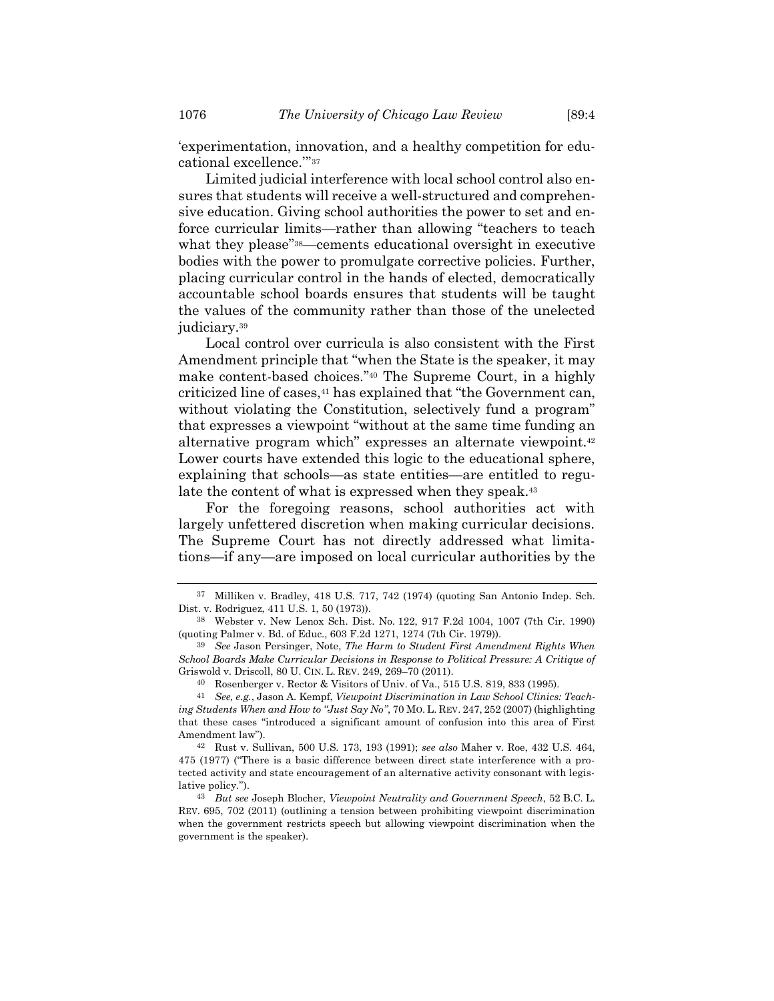'experimentation, innovation, and a healthy competition for educational excellence.'" 37

Limited judicial interference with local school control also ensures that students will receive a well-structured and comprehensive education. Giving school authorities the power to set and enforce curricular limits—rather than allowing "teachers to teach what they please"<sup>38</sup>—cements educational oversight in executive bodies with the power to promulgate corrective policies. Further, placing curricular control in the hands of elected, democratically accountable school boards ensures that students will be taught the values of the community rather than those of the unelected judiciary.<sup>39</sup>

<span id="page-7-0"></span>Local control over curricula is also consistent with the First Amendment principle that "when the State is the speaker, it may make content-based choices."<sup>40</sup> The Supreme Court, in a highly criticized line of cases,<sup>41</sup> has explained that "the Government can, without violating the Constitution, selectively fund a program" that expresses a viewpoint "without at the same time funding an alternative program which" expresses an alternate viewpoint.<sup>42</sup> Lower courts have extended this logic to the educational sphere, explaining that schools—as state entities—are entitled to regulate the content of what is expressed when they speak.<sup>43</sup>

For the foregoing reasons, school authorities act with largely unfettered discretion when making curricular decisions. The Supreme Court has not directly addressed what limitations—if any—are imposed on local curricular authorities by the

<sup>37</sup> Milliken v. Bradley, 418 U.S. 717, 742 (1974) (quoting San Antonio Indep. Sch. Dist. v. Rodriguez, 411 U.S. 1, 50 (1973)).

<sup>38</sup> Webster v. New Lenox Sch. Dist. No. 122, 917 F.2d 1004, 1007 (7th Cir. 1990) (quoting Palmer v. Bd. of Educ., 603 F.2d 1271, 1274 (7th Cir. 1979)).

<sup>39</sup> *See* Jason Persinger, Note, *The Harm to Student First Amendment Rights When School Boards Make Curricular Decisions in Response to Political Pressure: A Critique of*  Griswold v. Driscoll, 80 U. CIN. L. REV. 249, 269–70 (2011).

<sup>40</sup> Rosenberger v. Rector & Visitors of Univ. of Va., 515 U.S. 819, 833 (1995).

<sup>41</sup> *See, e.g.*, Jason A. Kempf, *Viewpoint Discrimination in Law School Clinics: Teaching Students When and How to "Just Say No"*, 70 MO. L. REV. 247, 252 (2007) (highlighting that these cases "introduced a significant amount of confusion into this area of First Amendment law").

<sup>42</sup> Rust v. Sullivan, 500 U.S. 173, 193 (1991); *see also* Maher v. Roe, 432 U.S. 464, 475 (1977) ("There is a basic difference between direct state interference with a protected activity and state encouragement of an alternative activity consonant with legislative policy.").

<sup>43</sup> *But see* Joseph Blocher, *Viewpoint Neutrality and Government Speech*, 52 B.C. L. REV. 695, 702 (2011) (outlining a tension between prohibiting viewpoint discrimination when the government restricts speech but allowing viewpoint discrimination when the government is the speaker).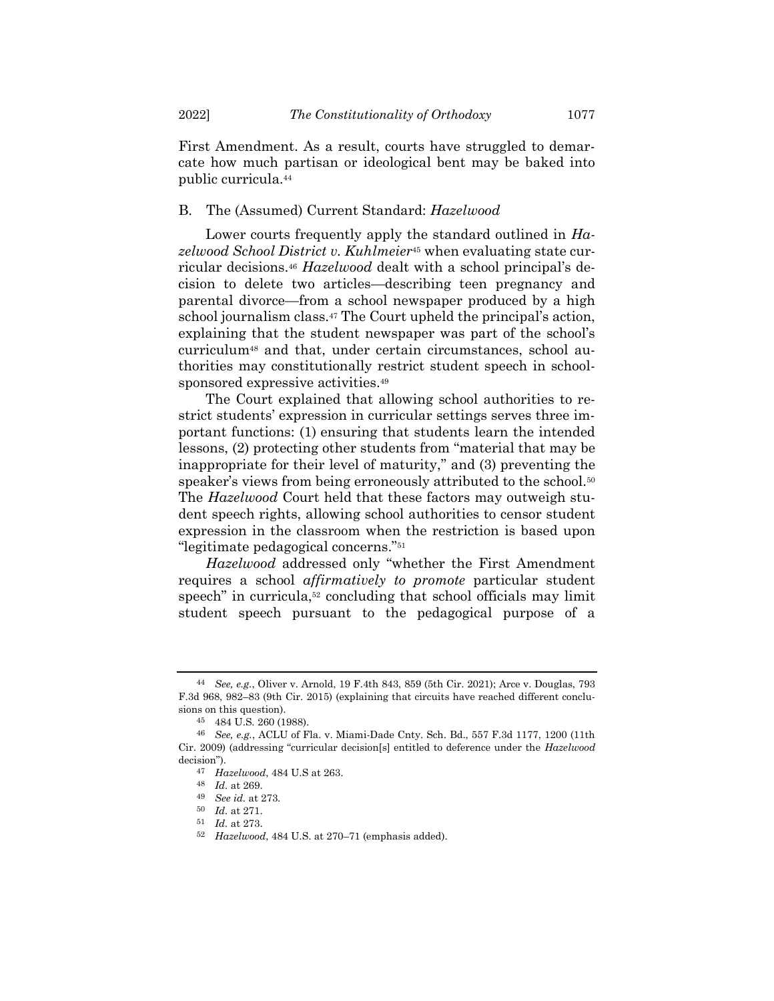First Amendment. As a result, courts have struggled to demarcate how much partisan or ideological bent may be baked into public curricula.<sup>44</sup>

## B. The (Assumed) Current Standard: *Hazelwood*

Lower courts frequently apply the standard outlined in *Hazelwood School District v. Kuhlmeier*<sup>45</sup> when evaluating state curricular decisions.<sup>46</sup> *Hazelwood* dealt with a school principal's decision to delete two articles—describing teen pregnancy and parental divorce—from a school newspaper produced by a high school journalism class.<sup>47</sup> The Court upheld the principal's action, explaining that the student newspaper was part of the school's curriculum<sup>48</sup> and that, under certain circumstances, school authorities may constitutionally restrict student speech in schoolsponsored expressive activities.<sup>49</sup>

The Court explained that allowing school authorities to restrict students' expression in curricular settings serves three important functions: (1) ensuring that students learn the intended lessons, (2) protecting other students from "material that may be inappropriate for their level of maturity," and (3) preventing the speaker's views from being erroneously attributed to the school.<sup>50</sup> The *Hazelwood* Court held that these factors may outweigh student speech rights, allowing school authorities to censor student expression in the classroom when the restriction is based upon "legitimate pedagogical concerns."<sup>51</sup>

*Hazelwood* addressed only "whether the First Amendment requires a school *affirmatively to promote* particular student speech" in curricula,<sup>52</sup> concluding that school officials may limit student speech pursuant to the pedagogical purpose of a

<sup>44</sup> *See, e.g.*, Oliver v. Arnold, 19 F.4th 843, 859 (5th Cir. 2021); Arce v. Douglas, 793 F.3d 968, 982–83 (9th Cir. 2015) (explaining that circuits have reached different conclusions on this question).

<sup>45</sup> 484 U.S. 260 (1988).

<sup>46</sup> *See, e.g.*, ACLU of Fla. v. Miami-Dade Cnty. Sch. Bd., 557 F.3d 1177, 1200 (11th Cir. 2009) (addressing "curricular decision[s] entitled to deference under the *Hazelwood* decision").

<sup>47</sup> *Hazelwood*, 484 U.S at 263.

<sup>48</sup> *Id.* at 269.

<sup>49</sup> *See id.* at 273.

<sup>50</sup> *Id.* at 271.

<sup>51</sup> *Id.* at 273.

<sup>52</sup> *Hazelwood*, 484 U.S. at 270–71 (emphasis added).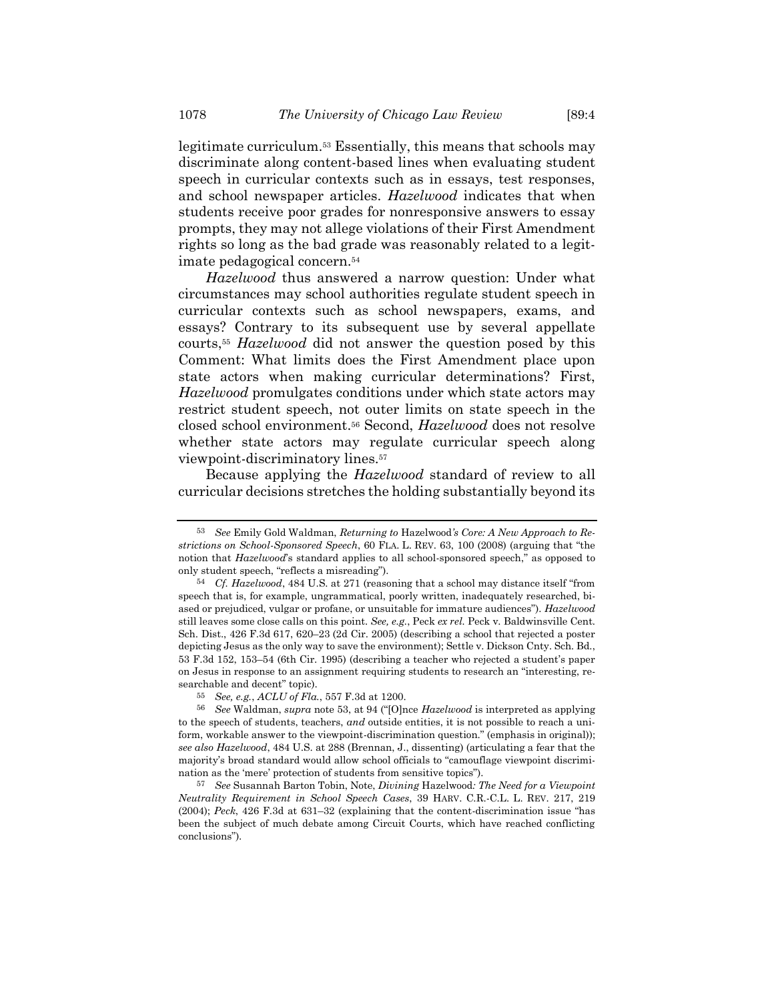<span id="page-9-0"></span>legitimate curriculum.<sup>53</sup> Essentially, this means that schools may discriminate along content-based lines when evaluating student speech in curricular contexts such as in essays, test responses, and school newspaper articles. *Hazelwood* indicates that when students receive poor grades for nonresponsive answers to essay prompts, they may not allege violations of their First Amendment rights so long as the bad grade was reasonably related to a legitimate pedagogical concern.<sup>54</sup>

*Hazelwood* thus answered a narrow question: Under what circumstances may school authorities regulate student speech in curricular contexts such as school newspapers, exams, and essays? Contrary to its subsequent use by several appellate courts,<sup>55</sup> *Hazelwood* did not answer the question posed by this Comment: What limits does the First Amendment place upon state actors when making curricular determinations? First, *Hazelwood* promulgates conditions under which state actors may restrict student speech, not outer limits on state speech in the closed school environment.<sup>56</sup> Second, *Hazelwood* does not resolve whether state actors may regulate curricular speech along viewpoint-discriminatory lines.<sup>57</sup>

<span id="page-9-1"></span>Because applying the *Hazelwood* standard of review to all curricular decisions stretches the holding substantially beyond its

<sup>53</sup> *See* Emily Gold Waldman, *Returning to* Hazelwood*'s Core: A New Approach to Restrictions on School-Sponsored Speech*, 60 FLA. L. REV. 63, 100 (2008) (arguing that "the notion that *Hazelwood*'s standard applies to all school-sponsored speech," as opposed to only student speech, "reflects a misreading").

<sup>54</sup> *Cf. Hazelwood*, 484 U.S. at 271 (reasoning that a school may distance itself "from speech that is, for example, ungrammatical, poorly written, inadequately researched, biased or prejudiced, vulgar or profane, or unsuitable for immature audiences"). *Hazelwood* still leaves some close calls on this point. *See, e.g.*, Peck *ex rel.* Peck v. Baldwinsville Cent. Sch. Dist., 426 F.3d 617, 620–23 (2d Cir. 2005) (describing a school that rejected a poster depicting Jesus as the only way to save the environment); Settle v. Dickson Cnty. Sch. Bd., 53 F.3d 152, 153–54 (6th Cir. 1995) (describing a teacher who rejected a student's paper on Jesus in response to an assignment requiring students to research an "interesting, researchable and decent" topic).

<sup>55</sup> *See, e.g.*, *ACLU of Fla.*, 557 F.3d at 1200.

<sup>56</sup> *See* Waldman, *supra* note [53](#page-9-0), at 94 ("[O]nce *Hazelwood* is interpreted as applying to the speech of students, teachers, *and* outside entities, it is not possible to reach a uniform, workable answer to the viewpoint-discrimination question." (emphasis in original)); *see also Hazelwood*, 484 U.S. at 288 (Brennan, J., dissenting) (articulating a fear that the majority's broad standard would allow school officials to "camouflage viewpoint discrimination as the 'mere' protection of students from sensitive topics").

<sup>57</sup> *See* Susannah Barton Tobin, Note, *Divining* Hazelwood*: The Need for a Viewpoint Neutrality Requirement in School Speech Cases*, 39 HARV. C.R.-C.L. L. REV. 217, 219 (2004); *Peck*, 426 F.3d at 631–32 (explaining that the content-discrimination issue "has been the subject of much debate among Circuit Courts, which have reached conflicting conclusions").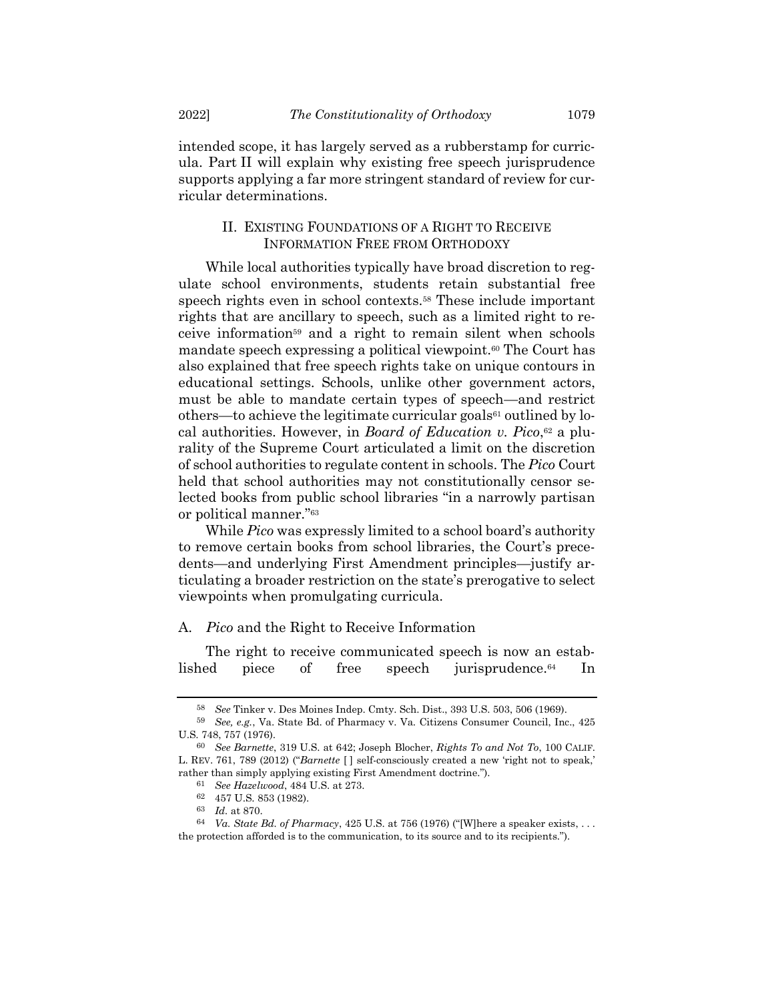intended scope, it has largely served as a rubberstamp for curricula. Part II will explain why existing free speech jurisprudence supports applying a far more stringent standard of review for curricular determinations.

# II. EXISTING FOUNDATIONS OF A RIGHT TO RECEIVE INFORMATION FREE FROM ORTHODOXY

While local authorities typically have broad discretion to regulate school environments, students retain substantial free speech rights even in school contexts.<sup>58</sup> These include important rights that are ancillary to speech, such as a limited right to receive information<sup>59</sup> and a right to remain silent when schools mandate speech expressing a political viewpoint.<sup>60</sup> The Court has also explained that free speech rights take on unique contours in educational settings. Schools, unlike other government actors, must be able to mandate certain types of speech—and restrict others—to achieve the legitimate curricular goals $61$  outlined by local authorities. However, in *Board of Education v. Pico*, <sup>62</sup> a plurality of the Supreme Court articulated a limit on the discretion of school authorities to regulate content in schools. The *Pico* Court held that school authorities may not constitutionally censor selected books from public school libraries "in a narrowly partisan or political manner."<sup>63</sup>

While *Pico* was expressly limited to a school board's authority to remove certain books from school libraries, the Court's precedents—and underlying First Amendment principles—justify articulating a broader restriction on the state's prerogative to select viewpoints when promulgating curricula.

#### A. *Pico* and the Right to Receive Information

The right to receive communicated speech is now an established piece of free speech jurisprudence.<sup>64</sup> In

<sup>58</sup> *See* Tinker v. Des Moines Indep. Cmty. Sch. Dist., 393 U.S. 503, 506 (1969).

<sup>59</sup> *See, e.g.*, Va. State Bd. of Pharmacy v. Va. Citizens Consumer Council, Inc., 425 U.S. 748, 757 (1976).

<sup>60</sup> *See Barnette*, 319 U.S. at 642; Joseph Blocher, *Rights To and Not To*, 100 CALIF. L. REV. 761, 789 (2012) ("*Barnette* [ ] self-consciously created a new 'right not to speak,' rather than simply applying existing First Amendment doctrine.").

<sup>61</sup> *See Hazelwood*, 484 U.S. at 273.

<sup>62</sup> 457 U.S. 853 (1982).

<sup>63</sup> *Id.* at 870.

<sup>64</sup> *Va. State Bd. of Pharmacy*, 425 U.S. at 756 (1976) ("[W]here a speaker exists, . . . the protection afforded is to the communication, to its source and to its recipients.").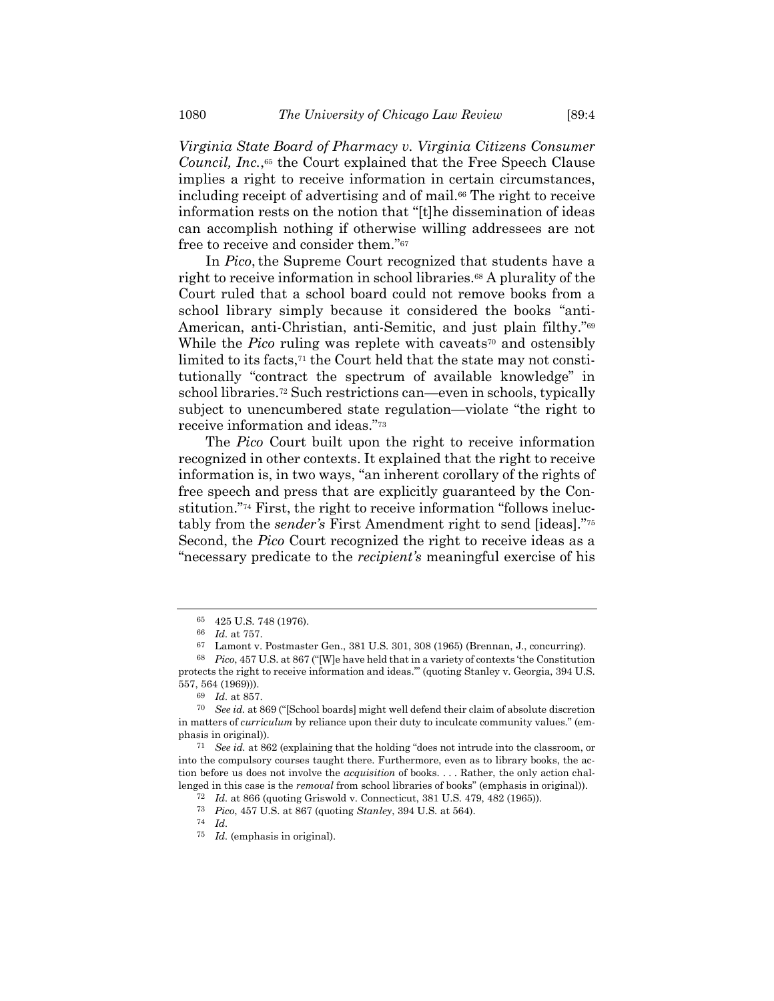*Virginia State Board of Pharmacy v. Virginia Citizens Consumer Council, Inc.*, <sup>65</sup> the Court explained that the Free Speech Clause implies a right to receive information in certain circumstances, including receipt of advertising and of mail.<sup>66</sup> The right to receive information rests on the notion that "[t]he dissemination of ideas can accomplish nothing if otherwise willing addressees are not free to receive and consider them."<sup>67</sup>

In *Pico*, the Supreme Court recognized that students have a right to receive information in school libraries.<sup>68</sup> A plurality of the Court ruled that a school board could not remove books from a school library simply because it considered the books "anti-American, anti-Christian, anti-Semitic, and just plain filthy."<sup>69</sup> While the *Pico* ruling was replete with caveats<sup>70</sup> and ostensibly limited to its facts,<sup>71</sup> the Court held that the state may not constitutionally "contract the spectrum of available knowledge" in school libraries.<sup>72</sup> Such restrictions can—even in schools, typically subject to unencumbered state regulation—violate "the right to receive information and ideas."<sup>73</sup>

The *Pico* Court built upon the right to receive information recognized in other contexts. It explained that the right to receive information is, in two ways, "an inherent corollary of the rights of free speech and press that are explicitly guaranteed by the Constitution." <sup>74</sup> First, the right to receive information "follows ineluctably from the *sender's* First Amendment right to send [ideas]."<sup>75</sup> Second, the *Pico* Court recognized the right to receive ideas as a "necessary predicate to the *recipient's* meaningful exercise of his

<sup>65</sup> 425 U.S. 748 (1976).

<sup>66</sup> *Id.* at 757.

<sup>67</sup> Lamont v. Postmaster Gen., 381 U.S. 301, 308 (1965) (Brennan, J., concurring).

<sup>68</sup> *Pico*, 457 U.S. at 867 ("[W]e have held that in a variety of contexts 'the Constitution protects the right to receive information and ideas.'" (quoting Stanley v. Georgia, 394 U.S. 557, 564 (1969))).

<sup>69</sup> *Id.* at 857.

<sup>70</sup> *See id.* at 869 ("[School boards] might well defend their claim of absolute discretion in matters of *curriculum* by reliance upon their duty to inculcate community values." (emphasis in original)).

<sup>71</sup> *See id.* at 862 (explaining that the holding "does not intrude into the classroom, or into the compulsory courses taught there. Furthermore, even as to library books, the action before us does not involve the *acquisition* of books. . . . Rather, the only action challenged in this case is the *removal* from school libraries of books" (emphasis in original)).

<sup>72</sup> *Id.* at 866 (quoting Griswold v. Connecticut, 381 U.S. 479, 482 (1965)).

<sup>73</sup> *Pico*, 457 U.S. at 867 (quoting *Stanley*, 394 U.S. at 564).

<sup>74</sup> *Id.*

<sup>75</sup> *Id.* (emphasis in original).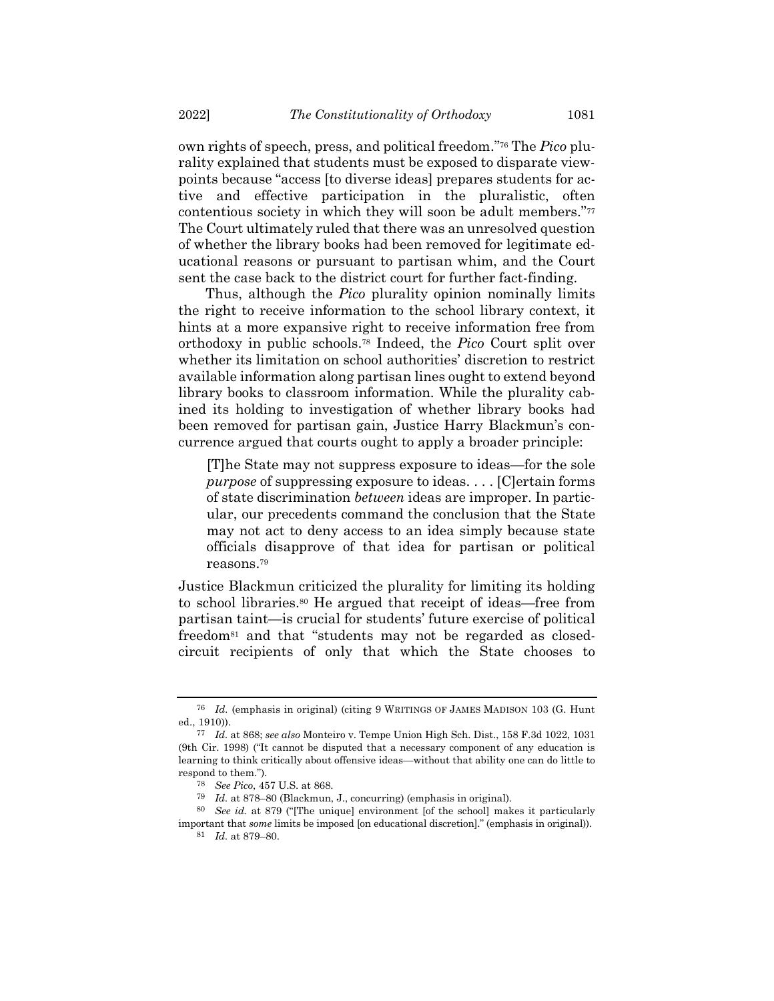own rights of speech, press, and political freedom."<sup>76</sup> The *Pico* plurality explained that students must be exposed to disparate viewpoints because "access [to diverse ideas] prepares students for active and effective participation in the pluralistic, often contentious society in which they will soon be adult members."<sup>77</sup> The Court ultimately ruled that there was an unresolved question of whether the library books had been removed for legitimate educational reasons or pursuant to partisan whim, and the Court sent the case back to the district court for further fact-finding.

Thus, although the *Pico* plurality opinion nominally limits the right to receive information to the school library context, it hints at a more expansive right to receive information free from orthodoxy in public schools.<sup>78</sup> Indeed, the *Pico* Court split over whether its limitation on school authorities' discretion to restrict available information along partisan lines ought to extend beyond library books to classroom information. While the plurality cabined its holding to investigation of whether library books had been removed for partisan gain, Justice Harry Blackmun's concurrence argued that courts ought to apply a broader principle:

[T]he State may not suppress exposure to ideas—for the sole *purpose* of suppressing exposure to ideas. . . . [C]ertain forms of state discrimination *between* ideas are improper. In particular, our precedents command the conclusion that the State may not act to deny access to an idea simply because state officials disapprove of that idea for partisan or political reasons. 79

Justice Blackmun criticized the plurality for limiting its holding to school libraries.<sup>80</sup> He argued that receipt of ideas—free from partisan taint—is crucial for students' future exercise of political freedom<sup>81</sup> and that "students may not be regarded as closedcircuit recipients of only that which the State chooses to

<sup>76</sup> *Id.* (emphasis in original) (citing 9 WRITINGS OF JAMES MADISON 103 (G. Hunt ed., 1910)).

<sup>77</sup> *Id.* at 868; *see also* Monteiro v. Tempe Union High Sch. Dist., 158 F.3d 1022, 1031 (9th Cir. 1998) ("It cannot be disputed that a necessary component of any education is learning to think critically about offensive ideas—without that ability one can do little to respond to them.").

<sup>78</sup> *See Pico*, 457 U.S. at 868.

<sup>79</sup> *Id.* at 878–80 (Blackmun, J., concurring) (emphasis in original).

<sup>80</sup> *See id.* at 879 ("[The unique] environment [of the school] makes it particularly important that *some* limits be imposed [on educational discretion]." (emphasis in original)).

<sup>81</sup> *Id.* at 879–80.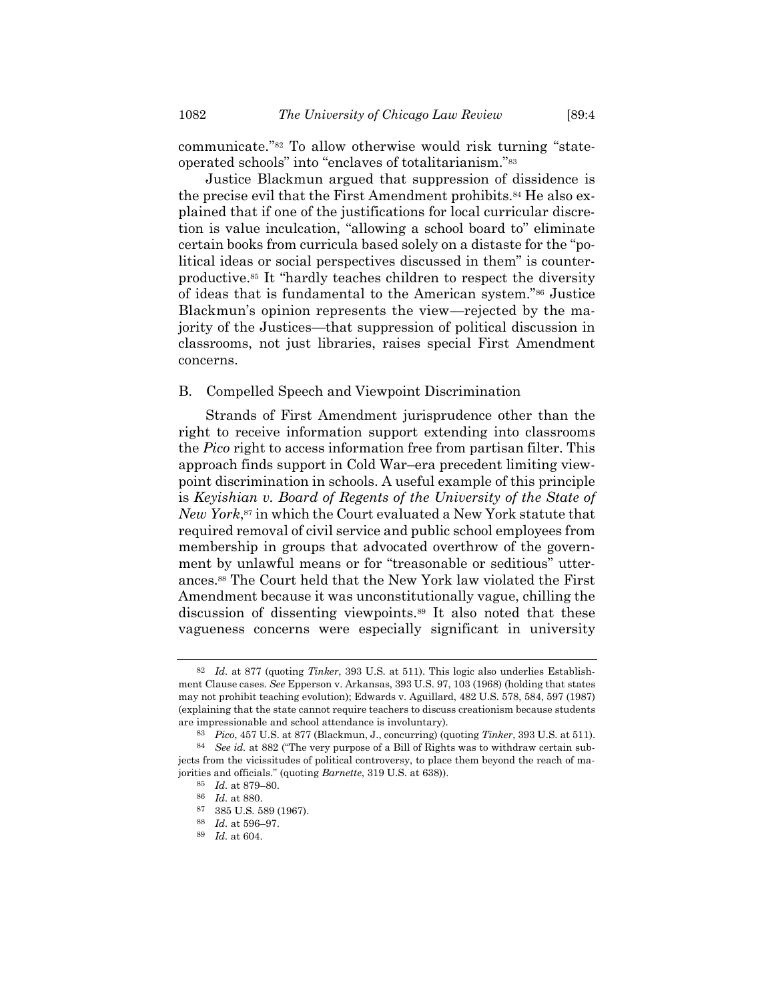communicate."<sup>82</sup> To allow otherwise would risk turning "state-

operated schools" into "enclaves of totalitarianism."<sup>83</sup> Justice Blackmun argued that suppression of dissidence is the precise evil that the First Amendment prohibits.<sup>84</sup> He also explained that if one of the justifications for local curricular discretion is value inculcation, "allowing a school board to" eliminate certain books from curricula based solely on a distaste for the "political ideas or social perspectives discussed in them" is counterproductive.<sup>85</sup> It "hardly teaches children to respect the diversity of ideas that is fundamental to the American system."<sup>86</sup> Justice Blackmun's opinion represents the view—rejected by the majority of the Justices—that suppression of political discussion in classrooms, not just libraries, raises special First Amendment

#### B. Compelled Speech and Viewpoint Discrimination

Strands of First Amendment jurisprudence other than the right to receive information support extending into classrooms the *Pico* right to access information free from partisan filter. This approach finds support in Cold War–era precedent limiting viewpoint discrimination in schools. A useful example of this principle is *Keyishian v. Board of Regents of the University of the State of New York*, <sup>87</sup> in which the Court evaluated a New York statute that required removal of civil service and public school employees from membership in groups that advocated overthrow of the government by unlawful means or for "treasonable or seditious" utterances.<sup>88</sup> The Court held that the New York law violated the First Amendment because it was unconstitutionally vague, chilling the discussion of dissenting viewpoints.<sup>89</sup> It also noted that these vagueness concerns were especially significant in university

concerns.

<sup>82</sup> *Id.* at 877 (quoting *Tinker*, 393 U.S. at 511). This logic also underlies Establishment Clause cases. *See* Epperson v. Arkansas, 393 U.S. 97, 103 (1968) (holding that states may not prohibit teaching evolution); Edwards v. Aguillard, 482 U.S. 578, 584, 597 (1987) (explaining that the state cannot require teachers to discuss creationism because students are impressionable and school attendance is involuntary).

<sup>83</sup> *Pico*, 457 U.S. at 877 (Blackmun, J., concurring) (quoting *Tinker*, 393 U.S. at 511).

<sup>84</sup> *See id.* at 882 ("The very purpose of a Bill of Rights was to withdraw certain subjects from the vicissitudes of political controversy, to place them beyond the reach of majorities and officials." (quoting *Barnette*, 319 U.S. at 638)).

<sup>85</sup> *Id.* at 879–80.

<sup>86</sup> *Id.* at 880.

<sup>385</sup> U.S. 589 (1967).

<sup>88</sup> *Id.* at 596–97.

<sup>89</sup> *Id.* at 604.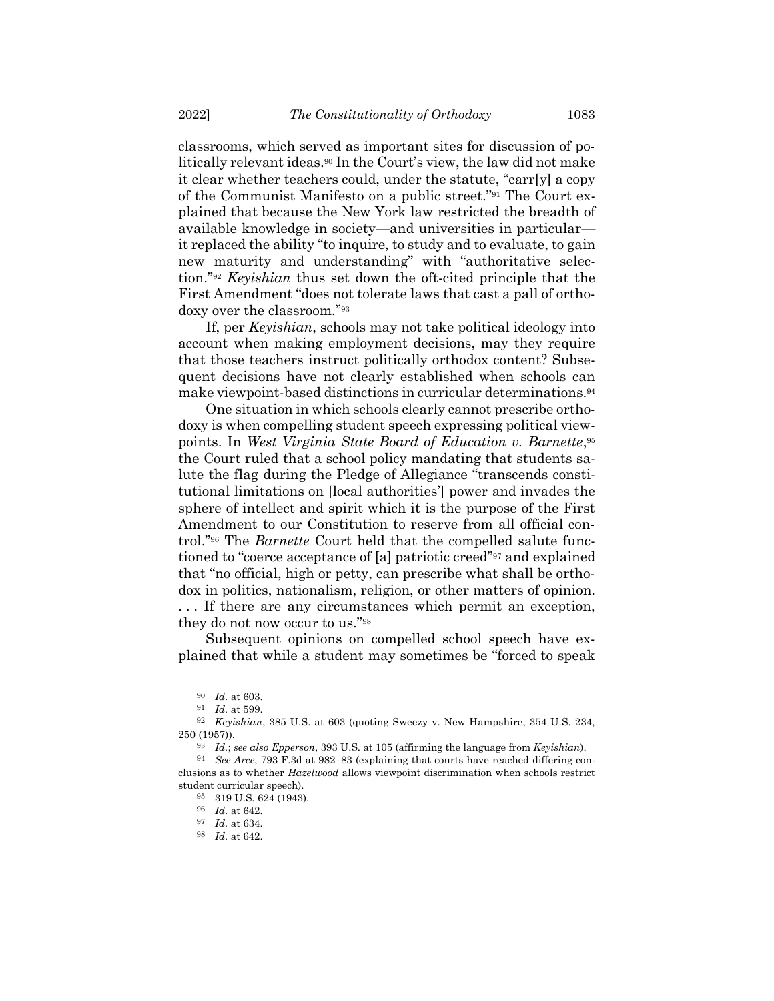classrooms, which served as important sites for discussion of politically relevant ideas.<sup>90</sup> In the Court's view, the law did not make it clear whether teachers could, under the statute, "carr[y] a copy of the Communist Manifesto on a public street."<sup>91</sup> The Court explained that because the New York law restricted the breadth of available knowledge in society—and universities in particular it replaced the ability "to inquire, to study and to evaluate, to gain new maturity and understanding" with "authoritative selection."<sup>92</sup> *Keyishian* thus set down the oft-cited principle that the First Amendment "does not tolerate laws that cast a pall of orthodoxy over the classroom."<sup>93</sup>

If, per *Keyishian*, schools may not take political ideology into account when making employment decisions, may they require that those teachers instruct politically orthodox content? Subsequent decisions have not clearly established when schools can make viewpoint-based distinctions in curricular determinations.<sup>94</sup>

One situation in which schools clearly cannot prescribe orthodoxy is when compelling student speech expressing political viewpoints. In *West Virginia State Board of Education v. Barnette*, 95 the Court ruled that a school policy mandating that students salute the flag during the Pledge of Allegiance "transcends constitutional limitations on [local authorities'] power and invades the sphere of intellect and spirit which it is the purpose of the First Amendment to our Constitution to reserve from all official control."<sup>96</sup> The *Barnette* Court held that the compelled salute functioned to "coerce acceptance of [a] patriotic creed"<sup>97</sup> and explained that "no official, high or petty, can prescribe what shall be orthodox in politics, nationalism, religion, or other matters of opinion. . . . If there are any circumstances which permit an exception, they do not now occur to us."<sup>98</sup>

Subsequent opinions on compelled school speech have explained that while a student may sometimes be "forced to speak

<sup>90</sup> *Id.* at 603.

<sup>91</sup> *Id.* at 599.

<sup>92</sup> *Keyishian*, 385 U.S. at 603 (quoting Sweezy v. New Hampshire, 354 U.S. 234, 250 (1957)).

<sup>93</sup> *Id.*; *see also Epperson*, 393 U.S. at 105 (affirming the language from *Keyishian*).

<sup>94</sup> *See Arce*, 793 F.3d at 982–83 (explaining that courts have reached differing conclusions as to whether *Hazelwood* allows viewpoint discrimination when schools restrict student curricular speech).

<sup>95</sup> 319 U.S. 624 (1943).

<sup>96</sup> *Id.* at 642.

<sup>97</sup> *Id.* at 634.

<sup>98</sup> *Id.* at 642.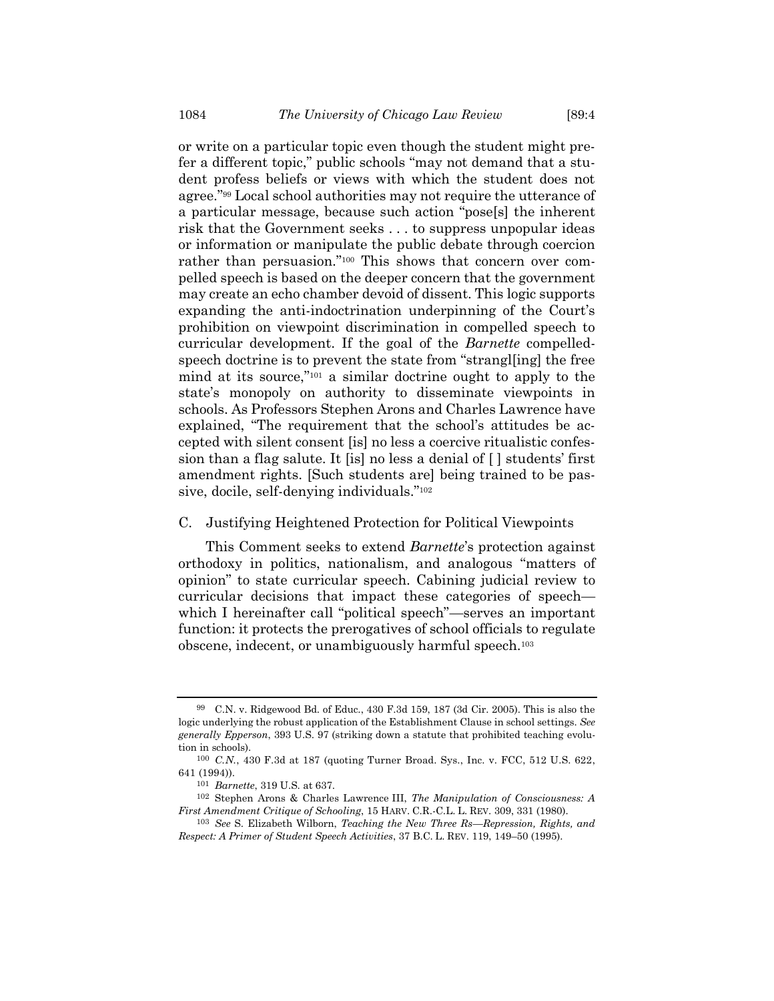or write on a particular topic even though the student might prefer a different topic," public schools "may not demand that a student profess beliefs or views with which the student does not agree."<sup>99</sup> Local school authorities may not require the utterance of a particular message, because such action "pose[s] the inherent risk that the Government seeks . . . to suppress unpopular ideas or information or manipulate the public debate through coercion rather than persuasion."<sup>100</sup> This shows that concern over compelled speech is based on the deeper concern that the government may create an echo chamber devoid of dissent. This logic supports expanding the anti-indoctrination underpinning of the Court's prohibition on viewpoint discrimination in compelled speech to curricular development. If the goal of the *Barnette* compelledspeech doctrine is to prevent the state from "strangl[ing] the free mind at its source,"<sup>101</sup> a similar doctrine ought to apply to the state's monopoly on authority to disseminate viewpoints in schools. As Professors Stephen Arons and Charles Lawrence have explained, "The requirement that the school's attitudes be accepted with silent consent [is] no less a coercive ritualistic confession than a flag salute. It [is] no less a denial of [ ] students' first amendment rights. [Such students are] being trained to be passive, docile, self-denying individuals."<sup>102</sup>

#### <span id="page-15-0"></span>C. Justifying Heightened Protection for Political Viewpoints

This Comment seeks to extend *Barnette*'s protection against orthodoxy in politics, nationalism, and analogous "matters of opinion" to state curricular speech. Cabining judicial review to curricular decisions that impact these categories of speech which I hereinafter call "political speech"—serves an important function: it protects the prerogatives of school officials to regulate obscene, indecent, or unambiguously harmful speech.<sup>103</sup>

<sup>99</sup> C.N. v. Ridgewood Bd. of Educ., 430 F.3d 159, 187 (3d Cir. 2005). This is also the logic underlying the robust application of the Establishment Clause in school settings. *See generally Epperson*, 393 U.S. 97 (striking down a statute that prohibited teaching evolution in schools).

<sup>100</sup> *C.N.*, 430 F.3d at 187 (quoting Turner Broad. Sys., Inc. v. FCC, 512 U.S. 622, 641 (1994)).

<sup>101</sup> *Barnette*, 319 U.S. at 637.

<sup>102</sup> Stephen Arons & Charles Lawrence III, *The Manipulation of Consciousness: A First Amendment Critique of Schooling*, 15 HARV. C.R.-C.L. L. REV. 309, 331 (1980).

<sup>103</sup> *See* S. Elizabeth Wilborn, *Teaching the New Three Rs—Repression, Rights, and Respect: A Primer of Student Speech Activities*, 37 B.C. L. REV. 119, 149–50 (1995).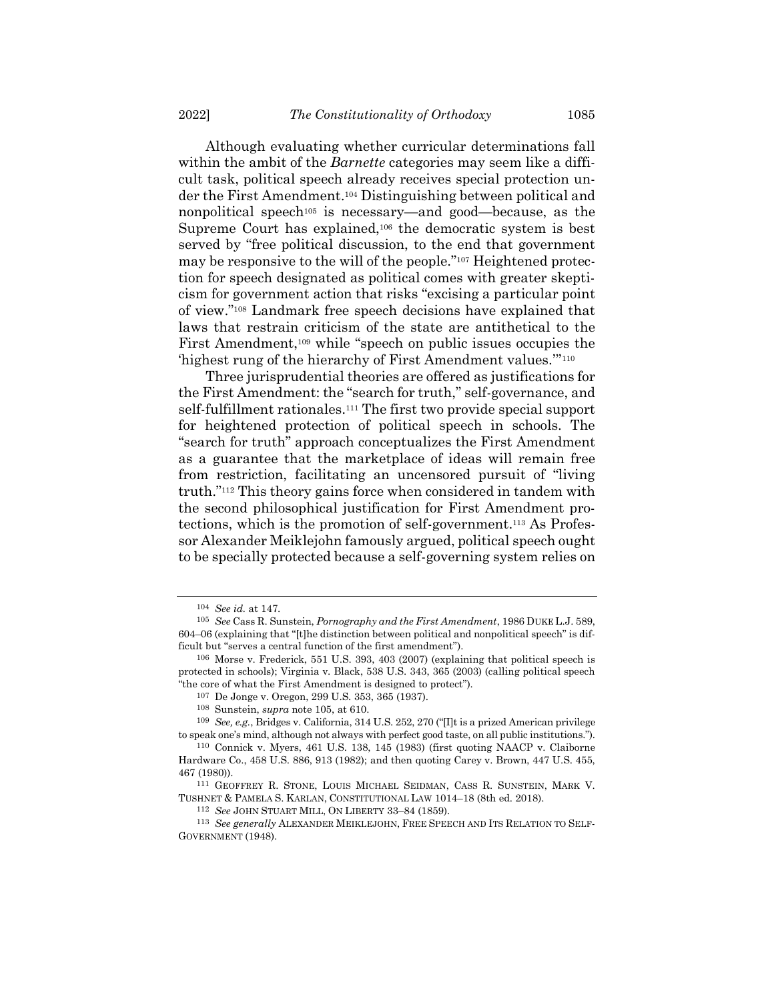<span id="page-16-0"></span>Although evaluating whether curricular determinations fall within the ambit of the *Barnette* categories may seem like a difficult task, political speech already receives special protection under the First Amendment.<sup>104</sup> Distinguishing between political and nonpolitical speech<sup>105</sup> is necessary—and good—because, as the Supreme Court has explained,<sup>106</sup> the democratic system is best served by "free political discussion, to the end that government may be responsive to the will of the people."<sup>107</sup> Heightened protection for speech designated as political comes with greater skepticism for government action that risks "excising a particular point of view."<sup>108</sup> Landmark free speech decisions have explained that laws that restrain criticism of the state are antithetical to the First Amendment,<sup>109</sup> while "speech on public issues occupies the 'highest rung of the hierarchy of First Amendment values.'" 110

Three jurisprudential theories are offered as justifications for the First Amendment: the "search for truth," self-governance, and self-fulfillment rationales.<sup>111</sup> The first two provide special support for heightened protection of political speech in schools. The "search for truth" approach conceptualizes the First Amendment as a guarantee that the marketplace of ideas will remain free from restriction, facilitating an uncensored pursuit of "living truth."<sup>112</sup> This theory gains force when considered in tandem with the second philosophical justification for First Amendment protections, which is the promotion of self-government.<sup>113</sup> As Professor Alexander Meiklejohn famously argued, political speech ought to be specially protected because a self-governing system relies on

<span id="page-16-1"></span><sup>104</sup> *See id.* at 147.

<sup>105</sup> *See* Cass R. Sunstein, *Pornography and the First Amendment*, 1986 DUKE L.J. 589, 604–06 (explaining that "[t]he distinction between political and nonpolitical speech" is difficult but "serves a central function of the first amendment").

<sup>106</sup> Morse v. Frederick, 551 U.S. 393, 403 (2007) (explaining that political speech is protected in schools); Virginia v. Black, 538 U.S. 343, 365 (2003) (calling political speech "the core of what the First Amendment is designed to protect").

<sup>107</sup> De Jonge v. Oregon, 299 U.S. 353, 365 (1937).

<sup>108</sup> Sunstein, *supra* note [105,](#page-16-0) at 610.

<sup>109</sup> *See, e.g.*, Bridges v. California, 314 U.S. 252, 270 ("[I]t is a prized American privilege to speak one's mind, although not always with perfect good taste, on all public institutions.").

<sup>110</sup> Connick v. Myers, 461 U.S. 138, 145 (1983) (first quoting NAACP v. Claiborne Hardware Co., 458 U.S. 886, 913 (1982); and then quoting Carey v. Brown, 447 U.S. 455, 467 (1980)).

<sup>111</sup> GEOFFREY R. STONE, LOUIS MICHAEL SEIDMAN, CASS R. SUNSTEIN, MARK V. TUSHNET & PAMELA S. KARLAN, CONSTITUTIONAL LAW 1014–18 (8th ed. 2018).

<sup>112</sup> *See* JOHN STUART MILL, ON LIBERTY 33–84 (1859).

<sup>113</sup> *See generally* ALEXANDER MEIKLEJOHN, FREE SPEECH AND ITS RELATION TO SELF-GOVERNMENT (1948).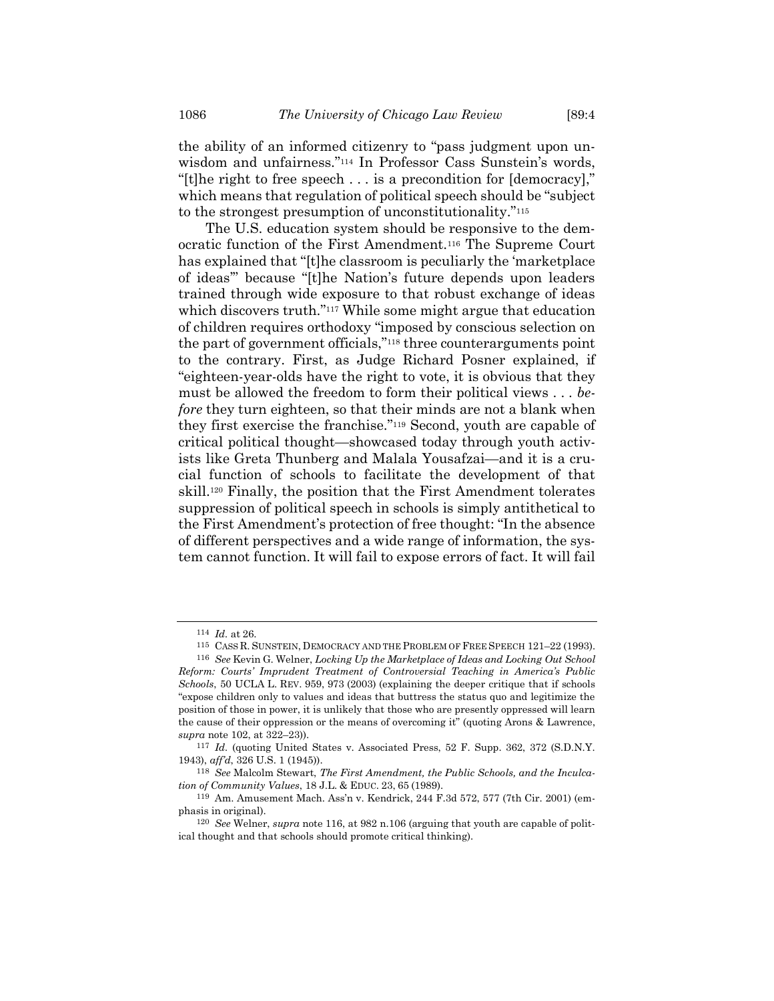the ability of an informed citizenry to "pass judgment upon unwisdom and unfairness."<sup>114</sup> In Professor Cass Sunstein's words, "[t]he right to free speech . . . is a precondition for [democracy]," which means that regulation of political speech should be "subject to the strongest presumption of unconstitutionality."<sup>115</sup>

<span id="page-17-1"></span><span id="page-17-0"></span>The U.S. education system should be responsive to the democratic function of the First Amendment.<sup>116</sup> The Supreme Court has explained that "[t]he classroom is peculiarly the 'marketplace of ideas'" because "[t]he Nation's future depends upon leaders trained through wide exposure to that robust exchange of ideas which discovers truth."<sup>117</sup> While some might argue that education of children requires orthodoxy "imposed by conscious selection on the part of government officials,"<sup>118</sup> three counterarguments point to the contrary. First, as Judge Richard Posner explained, if "eighteen-year-olds have the right to vote, it is obvious that they must be allowed the freedom to form their political views . . . *before* they turn eighteen, so that their minds are not a blank when they first exercise the franchise."<sup>119</sup> Second, youth are capable of critical political thought—showcased today through youth activists like Greta Thunberg and Malala Yousafzai—and it is a crucial function of schools to facilitate the development of that skill.<sup>120</sup> Finally, the position that the First Amendment tolerates suppression of political speech in schools is simply antithetical to the First Amendment's protection of free thought: "In the absence of different perspectives and a wide range of information, the system cannot function. It will fail to expose errors of fact. It will fail

<sup>114</sup> *Id.* at 26.

<sup>115</sup> CASS R. SUNSTEIN, DEMOCRACY AND THE PROBLEM OF FREE SPEECH 121–22 (1993).

<sup>116</sup> *See* Kevin G. Welner, *Locking Up the Marketplace of Ideas and Locking Out School Reform: Courts' Imprudent Treatment of Controversial Teaching in America's Public Schools*, 50 UCLA L. REV. 959, 973 (2003) (explaining the deeper critique that if schools "expose children only to values and ideas that buttress the status quo and legitimize the position of those in power, it is unlikely that those who are presently oppressed will learn the cause of their oppression or the means of overcoming it" (quoting Arons & Lawrence, *supra* note [102,](#page-15-0) at 322–23)).

<sup>117</sup> *Id.* (quoting United States v. Associated Press, 52 F. Supp. 362, 372 (S.D.N.Y. 1943), *aff'd*, 326 U.S. 1 (1945)).

<sup>118</sup> *See* Malcolm Stewart, *The First Amendment, the Public Schools, and the Inculcation of Community Values*, 18 J.L. & EDUC. 23, 65 (1989).

<sup>119</sup> Am. Amusement Mach. Ass'n v. Kendrick, 244 F.3d 572, 577 (7th Cir. 2001) (emphasis in original).

<sup>120</sup> *See* Welner, *supra* note [116,](#page-17-0) at 982 n.106 (arguing that youth are capable of political thought and that schools should promote critical thinking).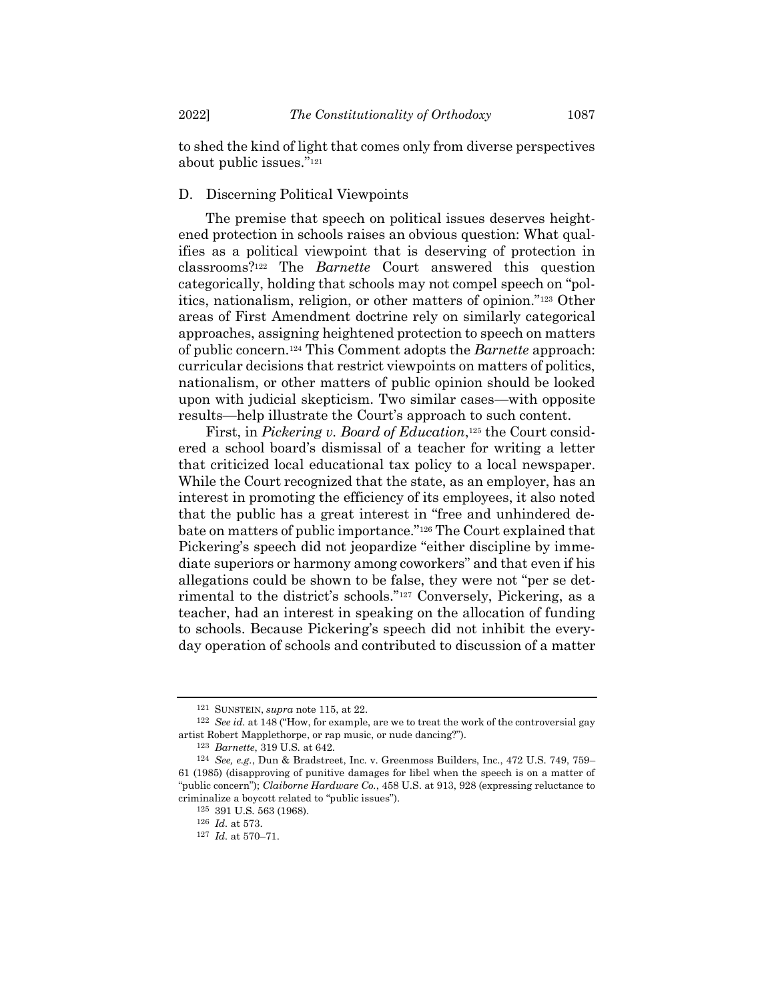to shed the kind of light that comes only from diverse perspectives about public issues."<sup>121</sup>

## D. Discerning Political Viewpoints

The premise that speech on political issues deserves heightened protection in schools raises an obvious question: What qualifies as a political viewpoint that is deserving of protection in classrooms?<sup>122</sup> The *Barnette* Court answered this question categorically, holding that schools may not compel speech on "politics, nationalism, religion, or other matters of opinion."<sup>123</sup> Other areas of First Amendment doctrine rely on similarly categorical approaches, assigning heightened protection to speech on matters of public concern.<sup>124</sup> This Comment adopts the *Barnette* approach: curricular decisions that restrict viewpoints on matters of politics, nationalism, or other matters of public opinion should be looked upon with judicial skepticism. Two similar cases—with opposite results—help illustrate the Court's approach to such content.

First, in *Pickering v. Board of Education*, <sup>125</sup> the Court considered a school board's dismissal of a teacher for writing a letter that criticized local educational tax policy to a local newspaper. While the Court recognized that the state, as an employer, has an interest in promoting the efficiency of its employees, it also noted that the public has a great interest in "free and unhindered debate on matters of public importance."<sup>126</sup> The Court explained that Pickering's speech did not jeopardize "either discipline by immediate superiors or harmony among coworkers" and that even if his allegations could be shown to be false, they were not "per se detrimental to the district's schools."<sup>127</sup> Conversely, Pickering, as a teacher, had an interest in speaking on the allocation of funding to schools. Because Pickering's speech did not inhibit the everyday operation of schools and contributed to discussion of a matter

<sup>121</sup> SUNSTEIN, *supra* note [115,](#page-17-1) at 22.

<sup>122</sup> *See id.* at 148 ("How, for example, are we to treat the work of the controversial gay artist Robert Mapplethorpe, or rap music, or nude dancing?").

<sup>123</sup> *Barnette*, 319 U.S. at 642.

<sup>124</sup> *See, e.g.*, Dun & Bradstreet, Inc. v. Greenmoss Builders, Inc., 472 U.S. 749, 759– 61 (1985) (disapproving of punitive damages for libel when the speech is on a matter of "public concern"); *Claiborne Hardware Co.*, 458 U.S. at 913, 928 (expressing reluctance to criminalize a boycott related to "public issues").

<sup>125</sup> 391 U.S. 563 (1968).

<sup>126</sup> *Id.* at 573.

<sup>127</sup> *Id.* at 570–71.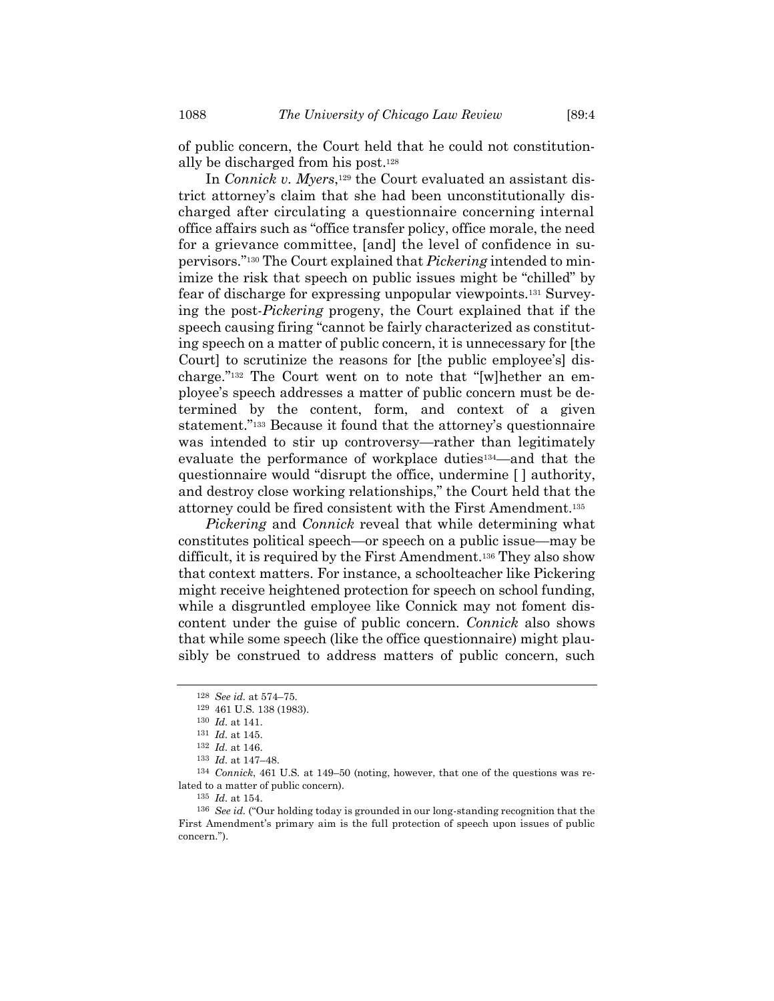of public concern, the Court held that he could not constitutionally be discharged from his post.<sup>128</sup>

In *Connick v. Myers*,<sup>129</sup> the Court evaluated an assistant district attorney's claim that she had been unconstitutionally discharged after circulating a questionnaire concerning internal office affairs such as "office transfer policy, office morale, the need for a grievance committee, [and] the level of confidence in supervisors."<sup>130</sup> The Court explained that *Pickering* intended to minimize the risk that speech on public issues might be "chilled" by fear of discharge for expressing unpopular viewpoints.<sup>131</sup> Surveying the post-*Pickering* progeny, the Court explained that if the speech causing firing "cannot be fairly characterized as constituting speech on a matter of public concern, it is unnecessary for [the Court] to scrutinize the reasons for [the public employee's] discharge."<sup>132</sup> The Court went on to note that "[w]hether an employee's speech addresses a matter of public concern must be determined by the content, form, and context of a given statement."<sup>133</sup> Because it found that the attorney's questionnaire was intended to stir up controversy—rather than legitimately evaluate the performance of workplace duties134—and that the questionnaire would "disrupt the office, undermine [ ] authority, and destroy close working relationships," the Court held that the attorney could be fired consistent with the First Amendment.<sup>135</sup>

*Pickering* and *Connick* reveal that while determining what constitutes political speech—or speech on a public issue—may be difficult, it is required by the First Amendment.<sup>136</sup> They also show that context matters. For instance, a schoolteacher like Pickering might receive heightened protection for speech on school funding, while a disgruntled employee like Connick may not foment discontent under the guise of public concern. *Connick* also shows that while some speech (like the office questionnaire) might plausibly be construed to address matters of public concern, such

<sup>128</sup> *See id.* at 574–75.

<sup>129</sup> 461 U.S. 138 (1983).

<sup>130</sup> *Id.* at 141.

<sup>131</sup> *Id.* at 145.

<sup>132</sup> *Id.* at 146.

<sup>133</sup> *Id.* at 147–48.

<sup>134</sup> *Connick*, 461 U.S. at 149–50 (noting, however, that one of the questions was related to a matter of public concern).

<sup>135</sup> *Id.* at 154.

<sup>136</sup> *See id.* ("Our holding today is grounded in our long-standing recognition that the First Amendment's primary aim is the full protection of speech upon issues of public concern.").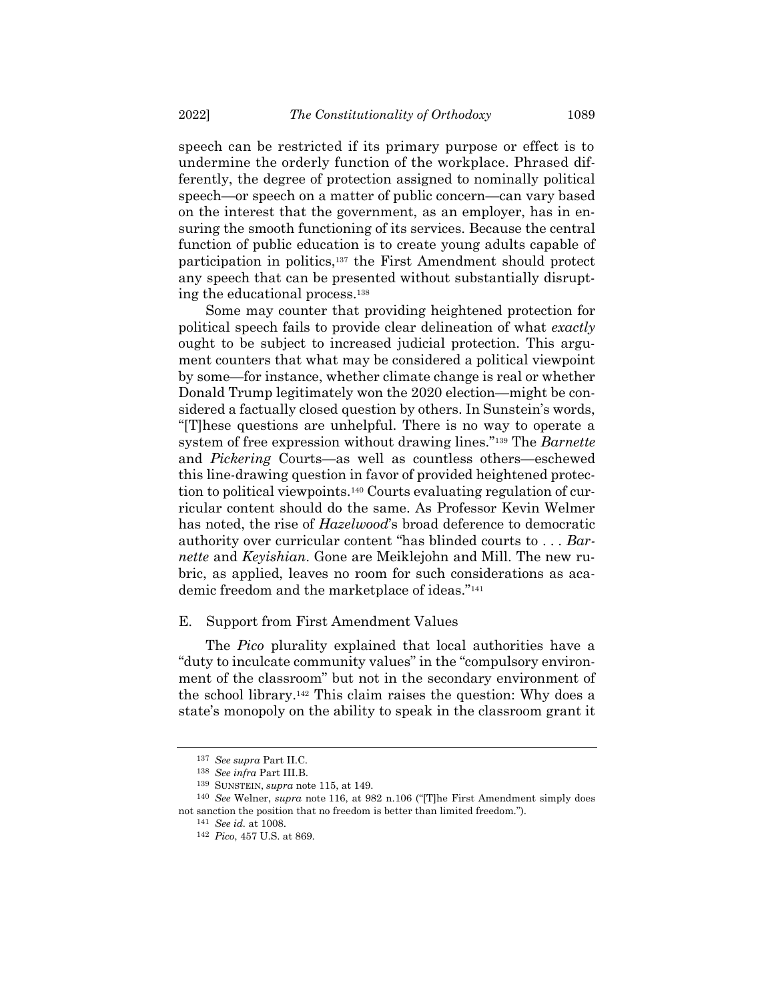speech can be restricted if its primary purpose or effect is to undermine the orderly function of the workplace. Phrased differently, the degree of protection assigned to nominally political speech—or speech on a matter of public concern—can vary based on the interest that the government, as an employer, has in ensuring the smooth functioning of its services. Because the central function of public education is to create young adults capable of participation in politics,<sup>137</sup> the First Amendment should protect any speech that can be presented without substantially disrupting the educational process.<sup>138</sup>

Some may counter that providing heightened protection for political speech fails to provide clear delineation of what *exactly* ought to be subject to increased judicial protection. This argument counters that what may be considered a political viewpoint by some—for instance, whether climate change is real or whether Donald Trump legitimately won the 2020 election—might be considered a factually closed question by others. In Sunstein's words, "[T]hese questions are unhelpful. There is no way to operate a system of free expression without drawing lines."<sup>139</sup> The *Barnette* and *Pickering* Courts—as well as countless others—eschewed this line-drawing question in favor of provided heightened protection to political viewpoints.<sup>140</sup> Courts evaluating regulation of curricular content should do the same. As Professor Kevin Welmer has noted, the rise of *Hazelwood*'s broad deference to democratic authority over curricular content "has blinded courts to . . . *Barnette* and *Keyishian*. Gone are Meiklejohn and Mill. The new rubric, as applied, leaves no room for such considerations as academic freedom and the marketplace of ideas."<sup>141</sup>

## E. Support from First Amendment Values

The *Pico* plurality explained that local authorities have a "duty to inculcate community values" in the "compulsory environment of the classroom" but not in the secondary environment of the school library.<sup>142</sup> This claim raises the question: Why does a state's monopoly on the ability to speak in the classroom grant it

<sup>137</sup> *See supra* Part II.C.

<sup>138</sup> *See infra* Part III.B.

<sup>139</sup> SUNSTEIN, *supra* note [115,](#page-17-1) at 149.

<sup>140</sup> *See* Welner, *supra* note [116,](#page-17-0) at 982 n.106 ("[T]he First Amendment simply does not sanction the position that no freedom is better than limited freedom.").

<sup>141</sup> *See id.* at 1008.

<sup>142</sup> *Pico*, 457 U.S. at 869.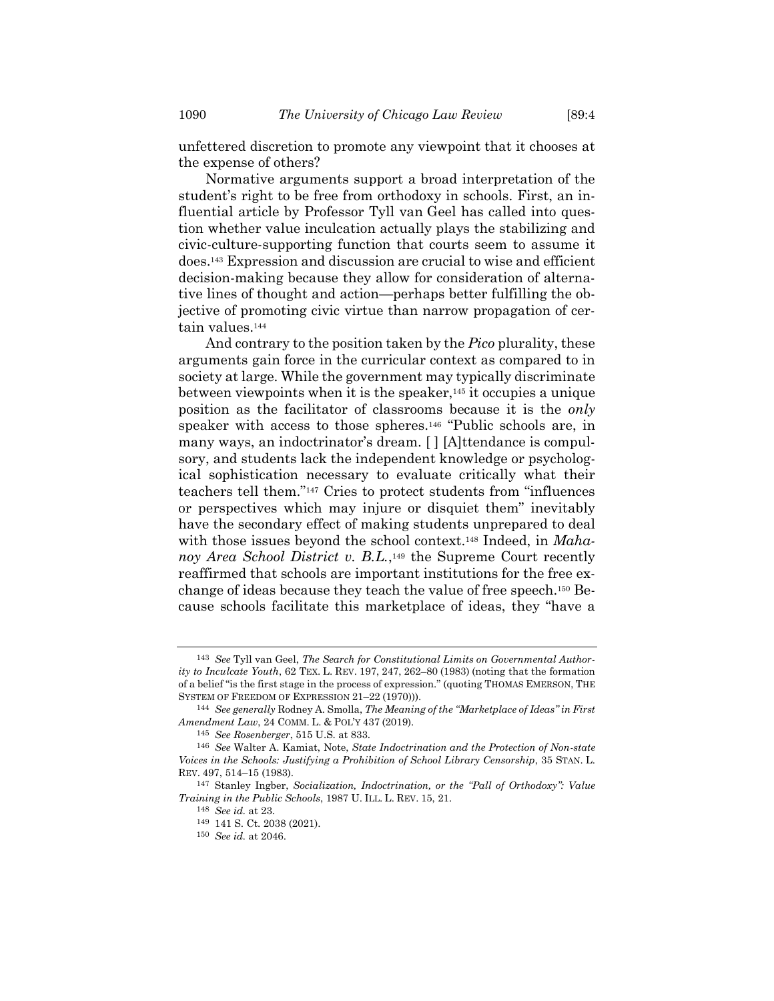unfettered discretion to promote any viewpoint that it chooses at the expense of others?

Normative arguments support a broad interpretation of the student's right to be free from orthodoxy in schools. First, an influential article by Professor Tyll van Geel has called into question whether value inculcation actually plays the stabilizing and civic-culture-supporting function that courts seem to assume it does. <sup>143</sup> Expression and discussion are crucial to wise and efficient decision-making because they allow for consideration of alternative lines of thought and action—perhaps better fulfilling the objective of promoting civic virtue than narrow propagation of certain values.<sup>144</sup>

And contrary to the position taken by the *Pico* plurality, these arguments gain force in the curricular context as compared to in society at large. While the government may typically discriminate between viewpoints when it is the speaker,  $145$  it occupies a unique position as the facilitator of classrooms because it is the *only* speaker with access to those spheres.<sup>146</sup> "Public schools are, in many ways, an indoctrinator's dream. [ ] [A]ttendance is compulsory, and students lack the independent knowledge or psychological sophistication necessary to evaluate critically what their teachers tell them."<sup>147</sup> Cries to protect students from "influences or perspectives which may injure or disquiet them" inevitably have the secondary effect of making students unprepared to deal with those issues beyond the school context.<sup>148</sup> Indeed, in *Maha*noy Area School District v. B.L.,<sup>149</sup> the Supreme Court recently reaffirmed that schools are important institutions for the free exchange of ideas because they teach the value of free speech.<sup>150</sup> Because schools facilitate this marketplace of ideas, they "have a

<sup>143</sup> *See* Tyll van Geel, *The Search for Constitutional Limits on Governmental Authority to Inculcate Youth*, 62 TEX. L. REV. 197, 247, 262–80 (1983) (noting that the formation of a belief "is the first stage in the process of expression." (quoting THOMAS EMERSON, THE SYSTEM OF FREEDOM OF EXPRESSION 21–22 (1970))).

<sup>144</sup> *See generally* Rodney A. Smolla, *The Meaning of the "Marketplace of Ideas" in First Amendment Law*, 24 COMM. L. & POL'Y 437 (2019).

<sup>145</sup> *See Rosenberger*, 515 U.S. at 833.

<sup>146</sup> *See* Walter A. Kamiat, Note, *State Indoctrination and the Protection of Non-state Voices in the Schools: Justifying a Prohibition of School Library Censorship*, 35 STAN. L. REV. 497, 514–15 (1983).

<sup>147</sup> Stanley Ingber, *Socialization, Indoctrination, or the "Pall of Orthodoxy": Value Training in the Public Schools*, 1987 U. ILL. L. REV. 15, 21.

<sup>148</sup> *See id.* at 23.

<sup>149</sup> 141 S. Ct. 2038 (2021).

<sup>150</sup> *See id.* at 2046.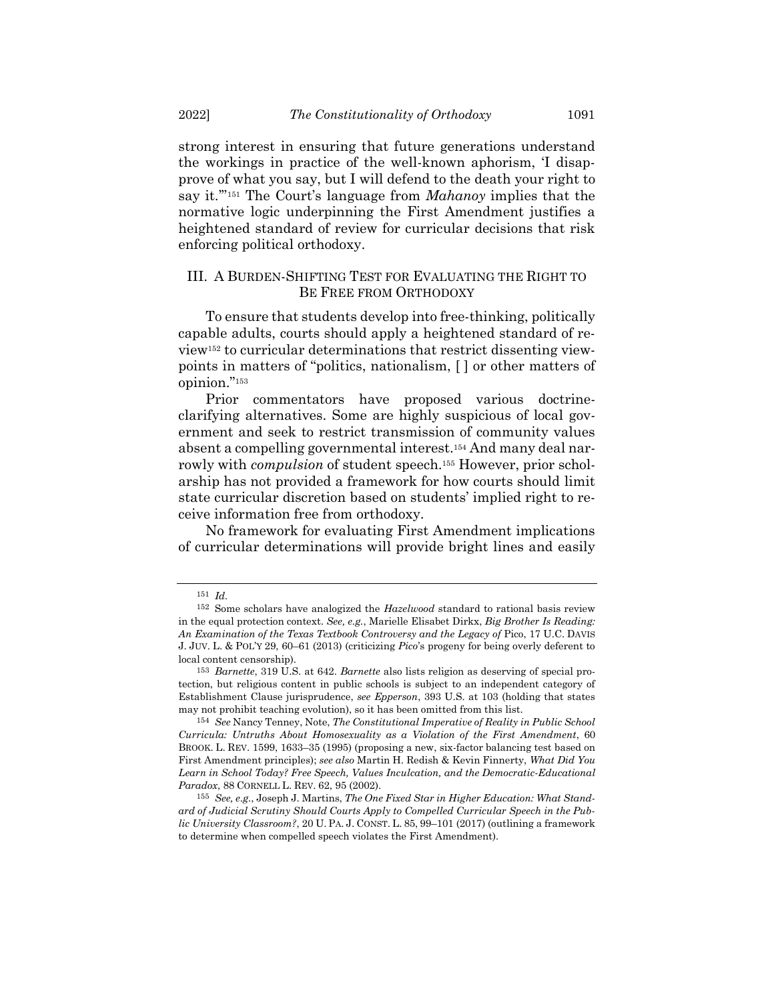strong interest in ensuring that future generations understand the workings in practice of the well-known aphorism, 'I disapprove of what you say, but I will defend to the death your right to say it.'" <sup>151</sup> The Court's language from *Mahanoy* implies that the normative logic underpinning the First Amendment justifies a heightened standard of review for curricular decisions that risk enforcing political orthodoxy.

## III. A BURDEN-SHIFTING TEST FOR EVALUATING THE RIGHT TO BE FREE FROM ORTHODOXY

To ensure that students develop into free-thinking, politically capable adults, courts should apply a heightened standard of review<sup>152</sup> to curricular determinations that restrict dissenting viewpoints in matters of "politics, nationalism, [ ] or other matters of opinion."<sup>153</sup>

Prior commentators have proposed various doctrineclarifying alternatives. Some are highly suspicious of local government and seek to restrict transmission of community values absent a compelling governmental interest.<sup>154</sup> And many deal narrowly with *compulsion* of student speech.<sup>155</sup> However, prior scholarship has not provided a framework for how courts should limit state curricular discretion based on students' implied right to receive information free from orthodoxy.

No framework for evaluating First Amendment implications of curricular determinations will provide bright lines and easily

<sup>151</sup> *Id.*

<sup>152</sup> Some scholars have analogized the *Hazelwood* standard to rational basis review in the equal protection context. *See, e.g.*, Marielle Elisabet Dirkx, *Big Brother Is Reading: An Examination of the Texas Textbook Controversy and the Legacy of* Pico, 17 U.C. DAVIS J. JUV. L. & POL'Y 29, 60–61 (2013) (criticizing *Pico*'s progeny for being overly deferent to local content censorship).

<sup>153</sup> *Barnette*, 319 U.S. at 642. *Barnette* also lists religion as deserving of special protection, but religious content in public schools is subject to an independent category of Establishment Clause jurisprudence, *see Epperson*, 393 U.S. at 103 (holding that states may not prohibit teaching evolution), so it has been omitted from this list.

<sup>154</sup> *See* Nancy Tenney, Note, *The Constitutional Imperative of Reality in Public School Curricula: Untruths About Homosexuality as a Violation of the First Amendment*, 60 BROOK. L. REV. 1599, 1633–35 (1995) (proposing a new, six-factor balancing test based on First Amendment principles); *see also* Martin H. Redish & Kevin Finnerty, *What Did You Learn in School Today? Free Speech, Values Inculcation, and the Democratic-Educational Paradox*, 88 CORNELL L. REV. 62, 95 (2002).

<sup>155</sup> *See, e.g.*, Joseph J. Martins, *The One Fixed Star in Higher Education: What Standard of Judicial Scrutiny Should Courts Apply to Compelled Curricular Speech in the Public University Classroom?*, 20 U. PA. J. CONST. L. 85, 99–101 (2017) (outlining a framework to determine when compelled speech violates the First Amendment).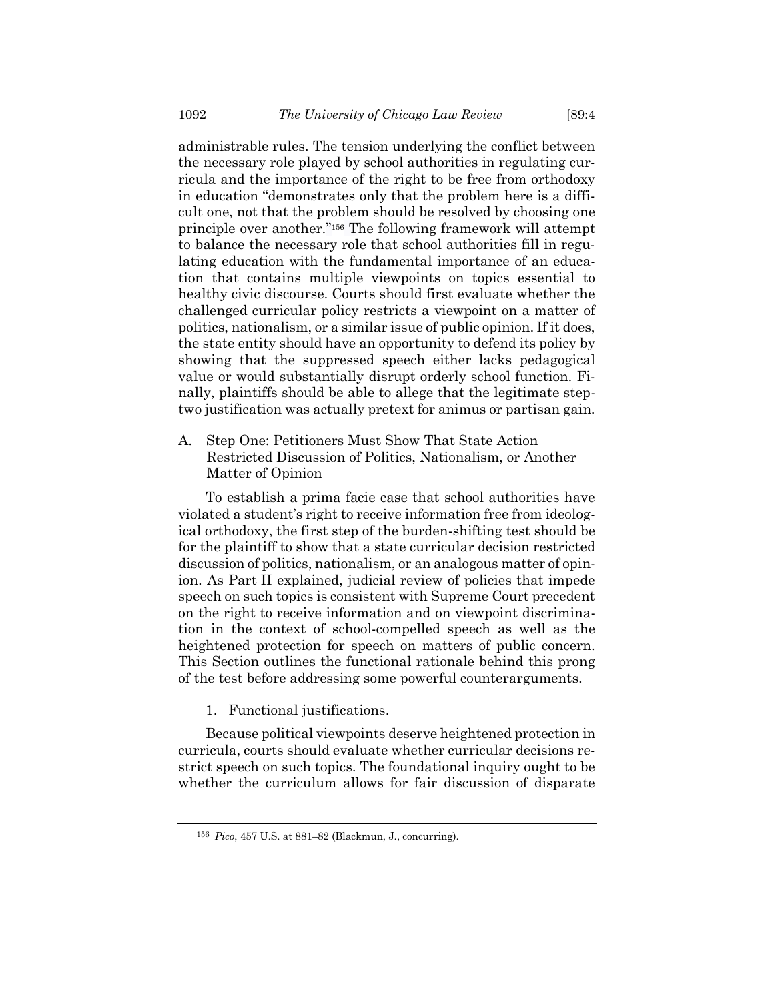administrable rules. The tension underlying the conflict between the necessary role played by school authorities in regulating curricula and the importance of the right to be free from orthodoxy in education "demonstrates only that the problem here is a difficult one, not that the problem should be resolved by choosing one principle over another." <sup>156</sup> The following framework will attempt to balance the necessary role that school authorities fill in regulating education with the fundamental importance of an education that contains multiple viewpoints on topics essential to healthy civic discourse. Courts should first evaluate whether the challenged curricular policy restricts a viewpoint on a matter of politics, nationalism, or a similar issue of public opinion. If it does, the state entity should have an opportunity to defend its policy by showing that the suppressed speech either lacks pedagogical value or would substantially disrupt orderly school function. Finally, plaintiffs should be able to allege that the legitimate steptwo justification was actually pretext for animus or partisan gain.

A. Step One: Petitioners Must Show That State Action Restricted Discussion of Politics, Nationalism, or Another Matter of Opinion

To establish a prima facie case that school authorities have violated a student's right to receive information free from ideological orthodoxy, the first step of the burden-shifting test should be for the plaintiff to show that a state curricular decision restricted discussion of politics, nationalism, or an analogous matter of opinion. As Part II explained, judicial review of policies that impede speech on such topics is consistent with Supreme Court precedent on the right to receive information and on viewpoint discrimination in the context of school-compelled speech as well as the heightened protection for speech on matters of public concern. This Section outlines the functional rationale behind this prong of the test before addressing some powerful counterarguments.

1. Functional justifications.

Because political viewpoints deserve heightened protection in curricula, courts should evaluate whether curricular decisions restrict speech on such topics. The foundational inquiry ought to be whether the curriculum allows for fair discussion of disparate

<sup>156</sup> *Pico*, 457 U.S. at 881–82 (Blackmun, J., concurring).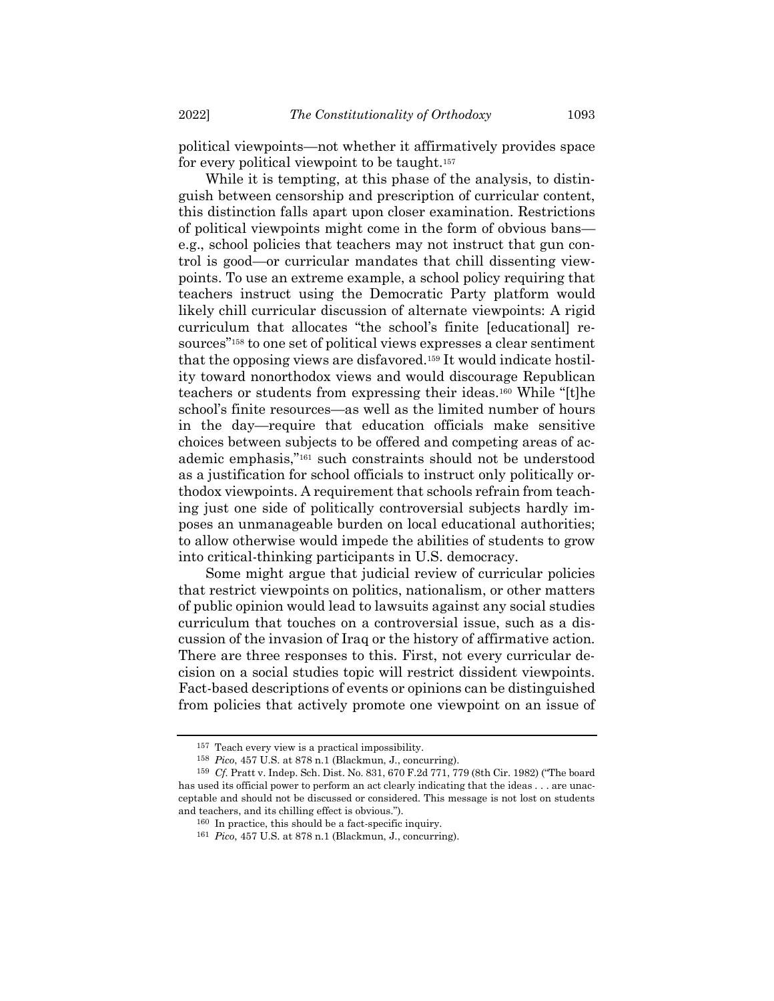political viewpoints—not whether it affirmatively provides space for every political viewpoint to be taught.<sup>157</sup>

While it is tempting, at this phase of the analysis, to distinguish between censorship and prescription of curricular content, this distinction falls apart upon closer examination. Restrictions of political viewpoints might come in the form of obvious bans e.g., school policies that teachers may not instruct that gun control is good—or curricular mandates that chill dissenting viewpoints. To use an extreme example, a school policy requiring that teachers instruct using the Democratic Party platform would likely chill curricular discussion of alternate viewpoints: A rigid curriculum that allocates "the school's finite [educational] resources"<sup>158</sup> to one set of political views expresses a clear sentiment that the opposing views are disfavored.<sup>159</sup> It would indicate hostility toward nonorthodox views and would discourage Republican teachers or students from expressing their ideas.<sup>160</sup> While "[t]he school's finite resources—as well as the limited number of hours in the day—require that education officials make sensitive choices between subjects to be offered and competing areas of academic emphasis,"<sup>161</sup> such constraints should not be understood as a justification for school officials to instruct only politically orthodox viewpoints. A requirement that schools refrain from teaching just one side of politically controversial subjects hardly imposes an unmanageable burden on local educational authorities; to allow otherwise would impede the abilities of students to grow into critical-thinking participants in U.S. democracy.

Some might argue that judicial review of curricular policies that restrict viewpoints on politics, nationalism, or other matters of public opinion would lead to lawsuits against any social studies curriculum that touches on a controversial issue, such as a discussion of the invasion of Iraq or the history of affirmative action. There are three responses to this. First, not every curricular decision on a social studies topic will restrict dissident viewpoints. Fact-based descriptions of events or opinions can be distinguished from policies that actively promote one viewpoint on an issue of

<sup>157</sup> Teach every view is a practical impossibility.

<sup>158</sup> *Pico*, 457 U.S. at 878 n.1 (Blackmun, J., concurring).

<sup>159</sup> *Cf.* Pratt v. Indep. Sch. Dist. No. 831, 670 F.2d 771, 779 (8th Cir. 1982) ("The board has used its official power to perform an act clearly indicating that the ideas . . . are unacceptable and should not be discussed or considered. This message is not lost on students and teachers, and its chilling effect is obvious.").

<sup>160</sup> In practice, this should be a fact-specific inquiry.

<sup>161</sup> *Pico*, 457 U.S. at 878 n.1 (Blackmun, J., concurring).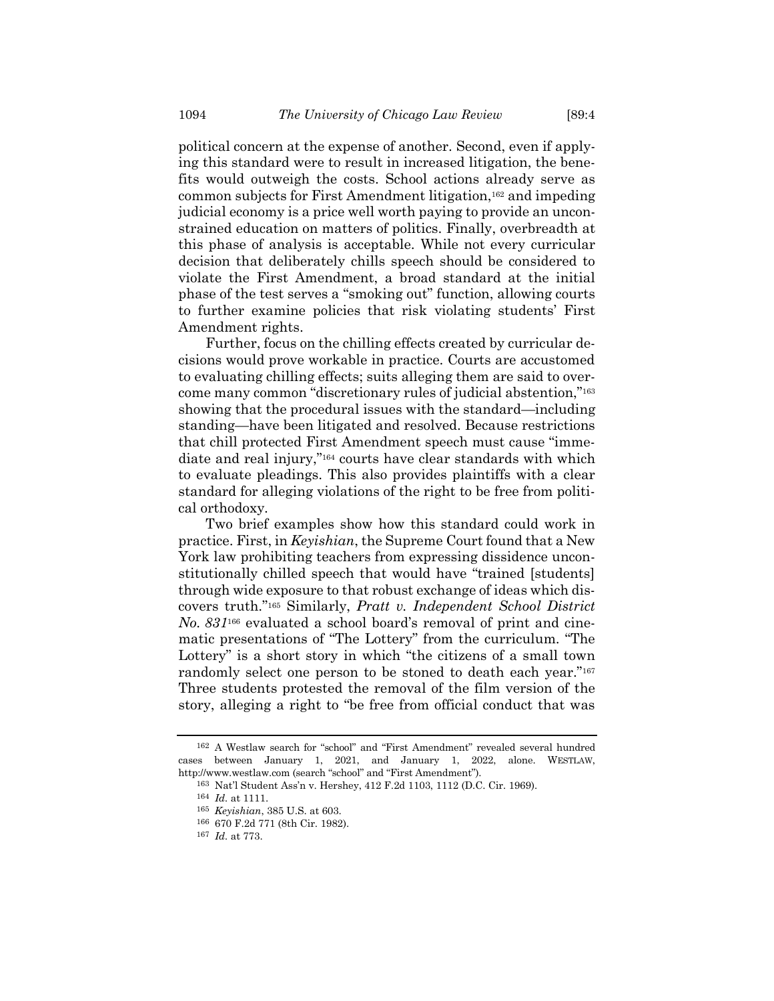political concern at the expense of another. Second, even if applying this standard were to result in increased litigation, the benefits would outweigh the costs. School actions already serve as common subjects for First Amendment litigation,<sup>162</sup> and impeding judicial economy is a price well worth paying to provide an unconstrained education on matters of politics. Finally, overbreadth at this phase of analysis is acceptable. While not every curricular decision that deliberately chills speech should be considered to violate the First Amendment, a broad standard at the initial phase of the test serves a "smoking out" function, allowing courts to further examine policies that risk violating students' First Amendment rights.

Further, focus on the chilling effects created by curricular decisions would prove workable in practice. Courts are accustomed to evaluating chilling effects; suits alleging them are said to overcome many common "discretionary rules of judicial abstention,"<sup>163</sup> showing that the procedural issues with the standard—including standing—have been litigated and resolved. Because restrictions that chill protected First Amendment speech must cause "immediate and real injury,"<sup>164</sup> courts have clear standards with which to evaluate pleadings. This also provides plaintiffs with a clear standard for alleging violations of the right to be free from political orthodoxy.

Two brief examples show how this standard could work in practice. First, in *Keyishian*, the Supreme Court found that a New York law prohibiting teachers from expressing dissidence unconstitutionally chilled speech that would have "trained [students] through wide exposure to that robust exchange of ideas which discovers truth."<sup>165</sup> Similarly, *Pratt v. Independent School District No. 831*<sup>166</sup> evaluated a school board's removal of print and cinematic presentations of "The Lottery" from the curriculum. "The Lottery" is a short story in which "the citizens of a small town randomly select one person to be stoned to death each year."<sup>167</sup> Three students protested the removal of the film version of the story, alleging a right to "be free from official conduct that was

<sup>162</sup> A Westlaw search for "school" and "First Amendment" revealed several hundred cases between January 1, 2021, and January 1, 2022, alone. WESTLAW, http://www.westlaw.com (search "school" and "First Amendment").

<sup>163</sup> Nat'l Student Ass'n v. Hershey, 412 F.2d 1103, 1112 (D.C. Cir. 1969).

<sup>164</sup> *Id.* at 1111.

<sup>165</sup> *Keyishian*, 385 U.S. at 603.

<sup>166</sup> 670 F.2d 771 (8th Cir. 1982).

<sup>167</sup> *Id.* at 773.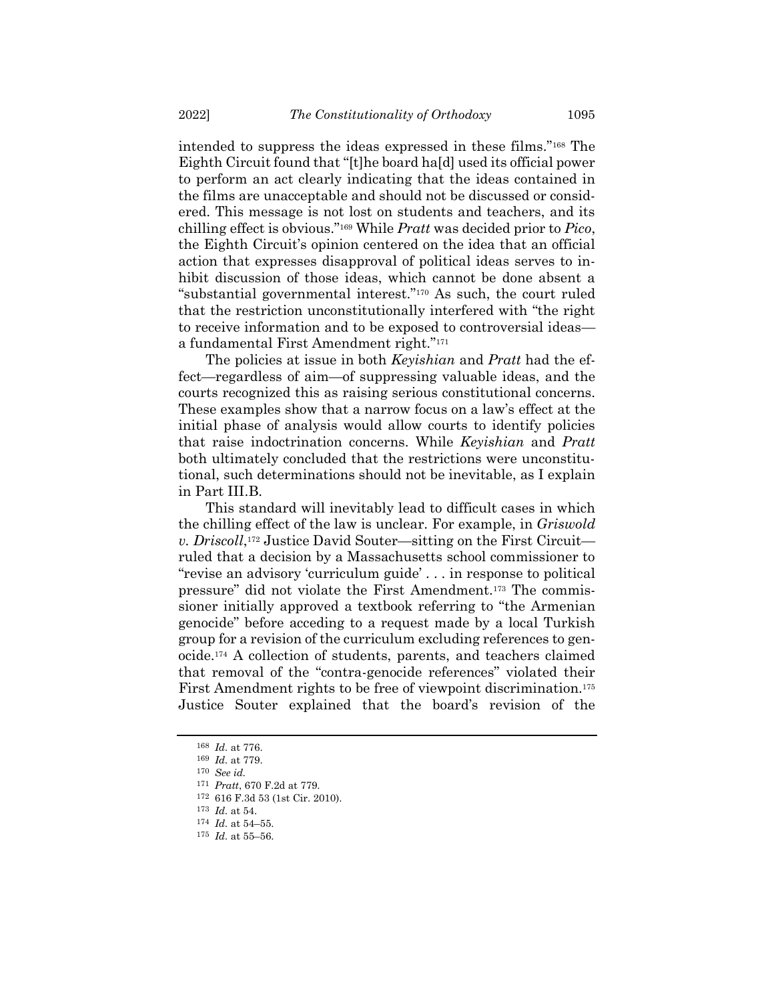intended to suppress the ideas expressed in these films."<sup>168</sup> The Eighth Circuit found that "[t]he board ha[d] used its official power to perform an act clearly indicating that the ideas contained in the films are unacceptable and should not be discussed or considered. This message is not lost on students and teachers, and its chilling effect is obvious."<sup>169</sup> While *Pratt* was decided prior to *Pico*, the Eighth Circuit's opinion centered on the idea that an official action that expresses disapproval of political ideas serves to inhibit discussion of those ideas, which cannot be done absent a "substantial governmental interest."<sup>170</sup> As such, the court ruled that the restriction unconstitutionally interfered with "the right to receive information and to be exposed to controversial ideas a fundamental First Amendment right."<sup>171</sup>

The policies at issue in both *Keyishian* and *Pratt* had the effect—regardless of aim—of suppressing valuable ideas, and the courts recognized this as raising serious constitutional concerns. These examples show that a narrow focus on a law's effect at the initial phase of analysis would allow courts to identify policies that raise indoctrination concerns. While *Keyishian* and *Pratt* both ultimately concluded that the restrictions were unconstitutional, such determinations should not be inevitable, as I explain in Part III.B.

This standard will inevitably lead to difficult cases in which the chilling effect of the law is unclear. For example, in *Griswold v. Driscoll*, <sup>172</sup> Justice David Souter—sitting on the First Circuit ruled that a decision by a Massachusetts school commissioner to "revise an advisory 'curriculum guide' . . . in response to political pressure" did not violate the First Amendment.<sup>173</sup> The commissioner initially approved a textbook referring to "the Armenian genocide" before acceding to a request made by a local Turkish group for a revision of the curriculum excluding references to genocide.<sup>174</sup> A collection of students, parents, and teachers claimed that removal of the "contra-genocide references" violated their First Amendment rights to be free of viewpoint discrimination.<sup>175</sup> Justice Souter explained that the board's revision of the

170 *See id.*

<sup>168</sup> *Id.* at 776.

<sup>169</sup> *Id.* at 779.

<sup>171</sup> *Pratt*, 670 F.2d at 779.

<sup>172</sup> 616 F.3d 53 (1st Cir. 2010).

<sup>173</sup> *Id.* at 54.

<sup>174</sup> *Id.* at 54–55.

<sup>175</sup> *Id.* at 55–56.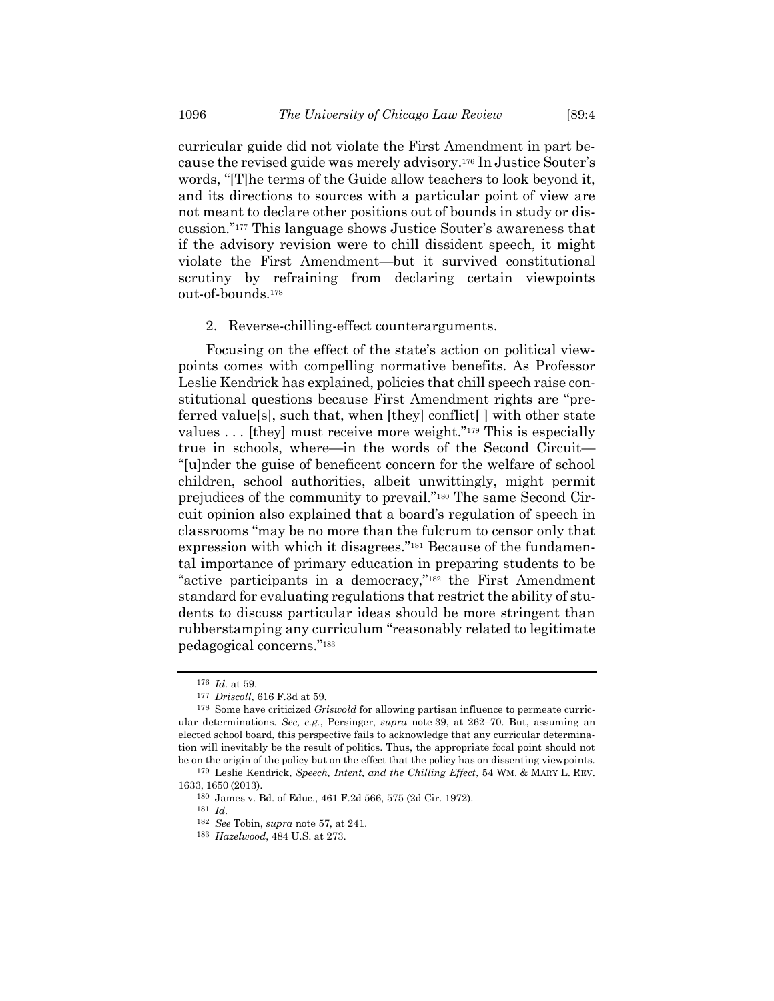curricular guide did not violate the First Amendment in part because the revised guide was merely advisory.<sup>176</sup> In Justice Souter's words, "[T]he terms of the Guide allow teachers to look beyond it, and its directions to sources with a particular point of view are not meant to declare other positions out of bounds in study or discussion."<sup>177</sup> This language shows Justice Souter's awareness that if the advisory revision were to chill dissident speech, it might violate the First Amendment—but it survived constitutional scrutiny by refraining from declaring certain viewpoints out-of-bounds. 178

<span id="page-27-0"></span>2. Reverse-chilling-effect counterarguments.

Focusing on the effect of the state's action on political viewpoints comes with compelling normative benefits. As Professor Leslie Kendrick has explained, policies that chill speech raise constitutional questions because First Amendment rights are "preferred value[s], such that, when [they] conflict[ ] with other state values . . . [they] must receive more weight."<sup>179</sup> This is especially true in schools, where—in the words of the Second Circuit— "[u]nder the guise of beneficent concern for the welfare of school children, school authorities, albeit unwittingly, might permit prejudices of the community to prevail."<sup>180</sup> The same Second Circuit opinion also explained that a board's regulation of speech in classrooms "may be no more than the fulcrum to censor only that expression with which it disagrees."<sup>181</sup> Because of the fundamental importance of primary education in preparing students to be "active participants in a democracy,"<sup>182</sup> the First Amendment standard for evaluating regulations that restrict the ability of students to discuss particular ideas should be more stringent than rubberstamping any curriculum "reasonably related to legitimate pedagogical concerns."<sup>183</sup>

181 *Id.*

<sup>176</sup> *Id.* at 59.

<sup>177</sup> *Driscoll*, 616 F.3d at 59.

<sup>178</sup> Some have criticized *Griswold* for allowing partisan influence to permeate curricular determinations. *See, e.g.*, Persinger, *supra* note [39,](#page-7-0) at 262–70. But, assuming an elected school board, this perspective fails to acknowledge that any curricular determination will inevitably be the result of politics. Thus, the appropriate focal point should not be on the origin of the policy but on the effect that the policy has on dissenting viewpoints. 179 Leslie Kendrick, *Speech, Intent, and the Chilling Effect*, 54 WM. & MARY L. REV.

<sup>1633,</sup> 1650 (2013).

<sup>180</sup> James v. Bd. of Educ., 461 F.2d 566, 575 (2d Cir. 1972).

<sup>182</sup> *See* Tobin, *supra* note [57,](#page-9-1) at 241.

<sup>183</sup> *Hazelwood*, 484 U.S. at 273.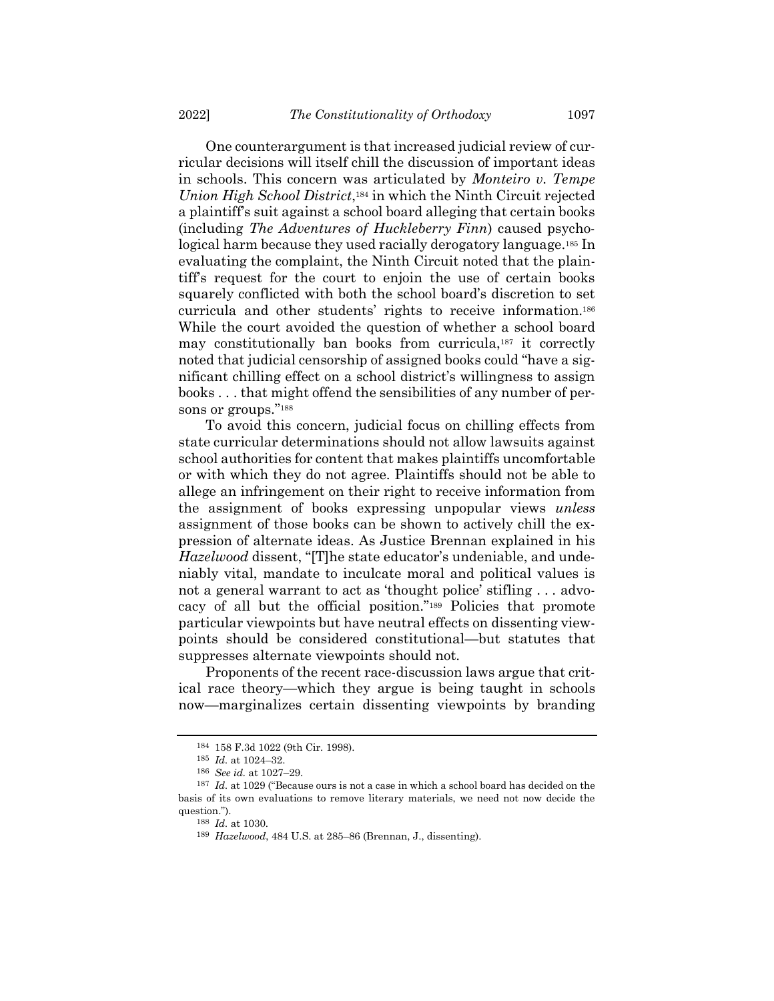One counterargument is that increased judicial review of curricular decisions will itself chill the discussion of important ideas in schools. This concern was articulated by *Monteiro v. Tempe Union High School District*, <sup>184</sup> in which the Ninth Circuit rejected a plaintiff's suit against a school board alleging that certain books (including *The Adventures of Huckleberry Finn*) caused psychological harm because they used racially derogatory language.<sup>185</sup> In evaluating the complaint, the Ninth Circuit noted that the plaintiff's request for the court to enjoin the use of certain books squarely conflicted with both the school board's discretion to set curricula and other students' rights to receive information.<sup>186</sup> While the court avoided the question of whether a school board may constitutionally ban books from curricula,<sup>187</sup> it correctly noted that judicial censorship of assigned books could "have a significant chilling effect on a school district's willingness to assign books . . . that might offend the sensibilities of any number of persons or groups."<sup>188</sup>

To avoid this concern, judicial focus on chilling effects from state curricular determinations should not allow lawsuits against school authorities for content that makes plaintiffs uncomfortable or with which they do not agree. Plaintiffs should not be able to allege an infringement on their right to receive information from the assignment of books expressing unpopular views *unless* assignment of those books can be shown to actively chill the expression of alternate ideas. As Justice Brennan explained in his *Hazelwood* dissent, "[T]he state educator's undeniable, and undeniably vital, mandate to inculcate moral and political values is not a general warrant to act as 'thought police' stifling . . . advocacy of all but the official position."<sup>189</sup> Policies that promote particular viewpoints but have neutral effects on dissenting viewpoints should be considered constitutional—but statutes that suppresses alternate viewpoints should not.

Proponents of the recent race-discussion laws argue that critical race theory—which they argue is being taught in schools now—marginalizes certain dissenting viewpoints by branding

<sup>184</sup> 158 F.3d 1022 (9th Cir. 1998).

<sup>185</sup> *Id.* at 1024–32.

<sup>186</sup> *See id.* at 1027–29.

<sup>187</sup> *Id.* at 1029 ("Because ours is not a case in which a school board has decided on the basis of its own evaluations to remove literary materials, we need not now decide the question.").

<sup>188</sup> *Id.* at 1030.

<sup>189</sup> *Hazelwood*, 484 U.S. at 285–86 (Brennan, J., dissenting).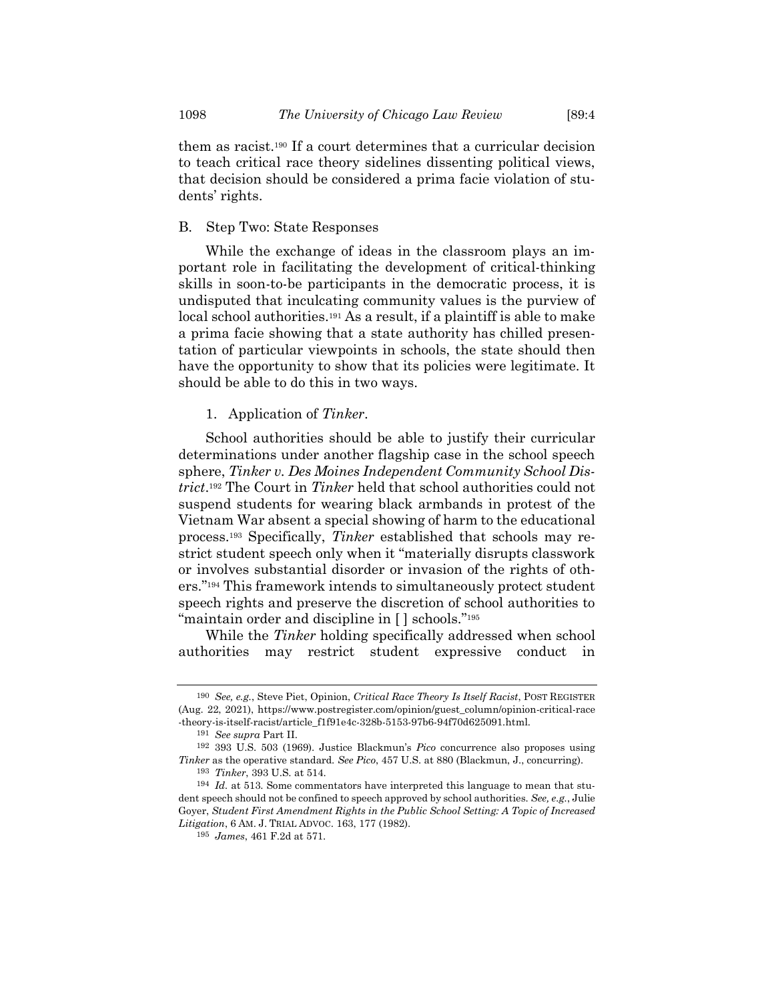them as racist.<sup>190</sup> If a court determines that a curricular decision to teach critical race theory sidelines dissenting political views, that decision should be considered a prima facie violation of students' rights.

## B. Step Two: State Responses

While the exchange of ideas in the classroom plays an important role in facilitating the development of critical-thinking skills in soon-to-be participants in the democratic process, it is undisputed that inculcating community values is the purview of local school authorities.<sup>191</sup> As a result, if a plaintiff is able to make a prima facie showing that a state authority has chilled presentation of particular viewpoints in schools, the state should then have the opportunity to show that its policies were legitimate. It should be able to do this in two ways.

## 1. Application of *Tinker*.

School authorities should be able to justify their curricular determinations under another flagship case in the school speech sphere, *Tinker v. Des Moines Independent Community School District*. <sup>192</sup> The Court in *Tinker* held that school authorities could not suspend students for wearing black armbands in protest of the Vietnam War absent a special showing of harm to the educational process.<sup>193</sup> Specifically, *Tinker* established that schools may restrict student speech only when it "materially disrupts classwork or involves substantial disorder or invasion of the rights of others."<sup>194</sup> This framework intends to simultaneously protect student speech rights and preserve the discretion of school authorities to "maintain order and discipline in [ ] schools."<sup>195</sup>

While the *Tinker* holding specifically addressed when school authorities may restrict student expressive conduct in

<sup>190</sup> *See, e.g.*, Steve Piet, Opinion, *Critical Race Theory Is Itself Racist*, POST REGISTER (Aug. 22, 2021), https://www.postregister.com/opinion/guest\_column/opinion-critical-race -theory-is-itself-racist/article\_f1f91e4c-328b-5153-97b6-94f70d625091.html.

<sup>191</sup> *See supra* Part II.

<sup>192</sup> 393 U.S. 503 (1969). Justice Blackmun's *Pico* concurrence also proposes using *Tinker* as the operative standard. *See Pico*, 457 U.S. at 880 (Blackmun, J., concurring).

<sup>193</sup> *Tinker*, 393 U.S. at 514.

<sup>194</sup> *Id.* at 513. Some commentators have interpreted this language to mean that student speech should not be confined to speech approved by school authorities. *See, e.g.*, Julie Goyer, *Student First Amendment Rights in the Public School Setting: A Topic of Increased Litigation*, 6 AM. J. TRIAL ADVOC. 163, 177 (1982).

<sup>195</sup> *James*, 461 F.2d at 571.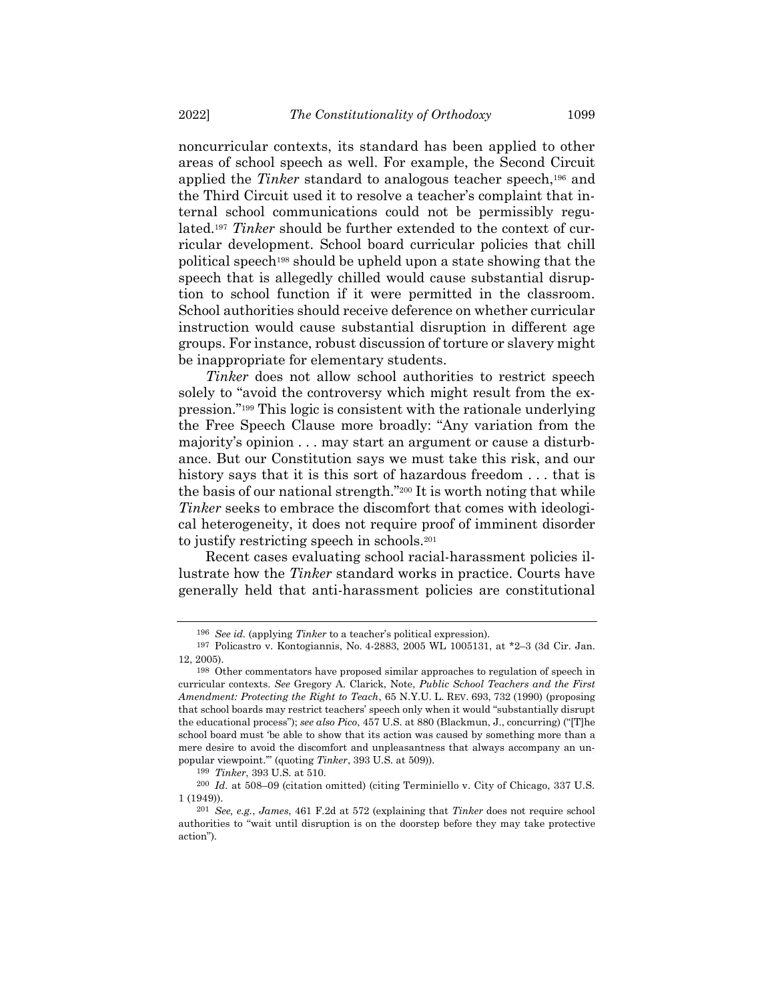noncurricular contexts, its standard has been applied to other areas of school speech as well. For example, the Second Circuit applied the *Tinker* standard to analogous teacher speech,<sup>196</sup> and the Third Circuit used it to resolve a teacher's complaint that internal school communications could not be permissibly regulated.<sup>197</sup> *Tinker* should be further extended to the context of curricular development. School board curricular policies that chill political speech<sup>198</sup> should be upheld upon a state showing that the speech that is allegedly chilled would cause substantial disruption to school function if it were permitted in the classroom. School authorities should receive deference on whether curricular instruction would cause substantial disruption in different age groups. For instance, robust discussion of torture or slavery might be inappropriate for elementary students.

*Tinker* does not allow school authorities to restrict speech solely to "avoid the controversy which might result from the expression."<sup>199</sup> This logic is consistent with the rationale underlying the Free Speech Clause more broadly: "Any variation from the majority's opinion . . . may start an argument or cause a disturbance. But our Constitution says we must take this risk, and our history says that it is this sort of hazardous freedom ... that is the basis of our national strength."<sup>200</sup> It is worth noting that while *Tinker* seeks to embrace the discomfort that comes with ideological heterogeneity, it does not require proof of imminent disorder to justify restricting speech in schools.<sup>201</sup>

Recent cases evaluating school racial-harassment policies illustrate how the *Tinker* standard works in practice. Courts have generally held that anti-harassment policies are constitutional

<sup>196</sup> *See id.* (applying *Tinker* to a teacher's political expression).

<sup>197</sup> Policastro v. Kontogiannis, No. 4-2883, 2005 WL 1005131, at \*2–3 (3d Cir. Jan. 12, 2005).

<sup>198</sup> Other commentators have proposed similar approaches to regulation of speech in curricular contexts. *See* Gregory A. Clarick, Note, *Public School Teachers and the First Amendment: Protecting the Right to Teach*, 65 N.Y.U. L. REV. 693, 732 (1990) (proposing that school boards may restrict teachers' speech only when it would "substantially disrupt the educational process"); *see also Pico*, 457 U.S. at 880 (Blackmun, J., concurring) ("[T]he school board must 'be able to show that its action was caused by something more than a mere desire to avoid the discomfort and unpleasantness that always accompany an unpopular viewpoint.'" (quoting *Tinker*, 393 U.S. at 509)).

<sup>199</sup> *Tinker*, 393 U.S. at 510.

<sup>200</sup> *Id.* at 508–09 (citation omitted) (citing Terminiello v. City of Chicago, 337 U.S. 1 (1949)).

<sup>201</sup> *See, e.g.*, *James*, 461 F.2d at 572 (explaining that *Tinker* does not require school authorities to "wait until disruption is on the doorstep before they may take protective action").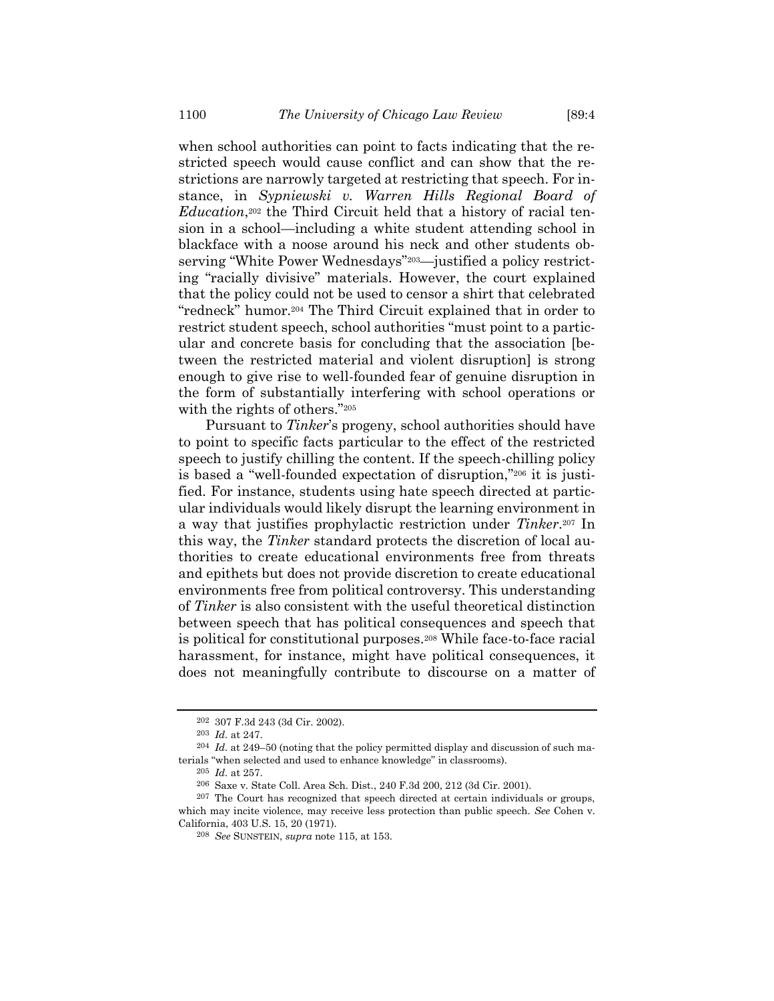when school authorities can point to facts indicating that the restricted speech would cause conflict and can show that the restrictions are narrowly targeted at restricting that speech. For instance, in *Sypniewski v. Warren Hills Regional Board of Education*, <sup>202</sup> the Third Circuit held that a history of racial tension in a school—including a white student attending school in blackface with a noose around his neck and other students observing "White Power Wednesdays"203—justified a policy restricting "racially divisive" materials. However, the court explained that the policy could not be used to censor a shirt that celebrated "redneck" humor.<sup>204</sup> The Third Circuit explained that in order to restrict student speech, school authorities "must point to a particular and concrete basis for concluding that the association [between the restricted material and violent disruption] is strong enough to give rise to well-founded fear of genuine disruption in the form of substantially interfering with school operations or with the rights of others."<sup>205</sup>

Pursuant to *Tinker*'s progeny, school authorities should have to point to specific facts particular to the effect of the restricted speech to justify chilling the content. If the speech-chilling policy is based a "well-founded expectation of disruption,"<sup>206</sup> it is justified. For instance, students using hate speech directed at particular individuals would likely disrupt the learning environment in a way that justifies prophylactic restriction under *Tinker*. <sup>207</sup> In this way, the *Tinker* standard protects the discretion of local authorities to create educational environments free from threats and epithets but does not provide discretion to create educational environments free from political controversy. This understanding of *Tinker* is also consistent with the useful theoretical distinction between speech that has political consequences and speech that is political for constitutional purposes.<sup>208</sup> While face-to-face racial harassment, for instance, might have political consequences, it does not meaningfully contribute to discourse on a matter of

<sup>202</sup> 307 F.3d 243 (3d Cir. 2002).

<sup>203</sup> *Id.* at 247.

<sup>204</sup> *Id.* at 249–50 (noting that the policy permitted display and discussion of such materials "when selected and used to enhance knowledge" in classrooms).

<sup>205</sup> *Id.* at 257.

<sup>206</sup> Saxe v. State Coll. Area Sch. Dist., 240 F.3d 200, 212 (3d Cir. 2001).

<sup>207</sup> The Court has recognized that speech directed at certain individuals or groups, which may incite violence, may receive less protection than public speech. *See* Cohen v. California, 403 U.S. 15, 20 (1971).

<sup>208</sup> *See* SUNSTEIN, *supra* note [115,](#page-17-1) at 153.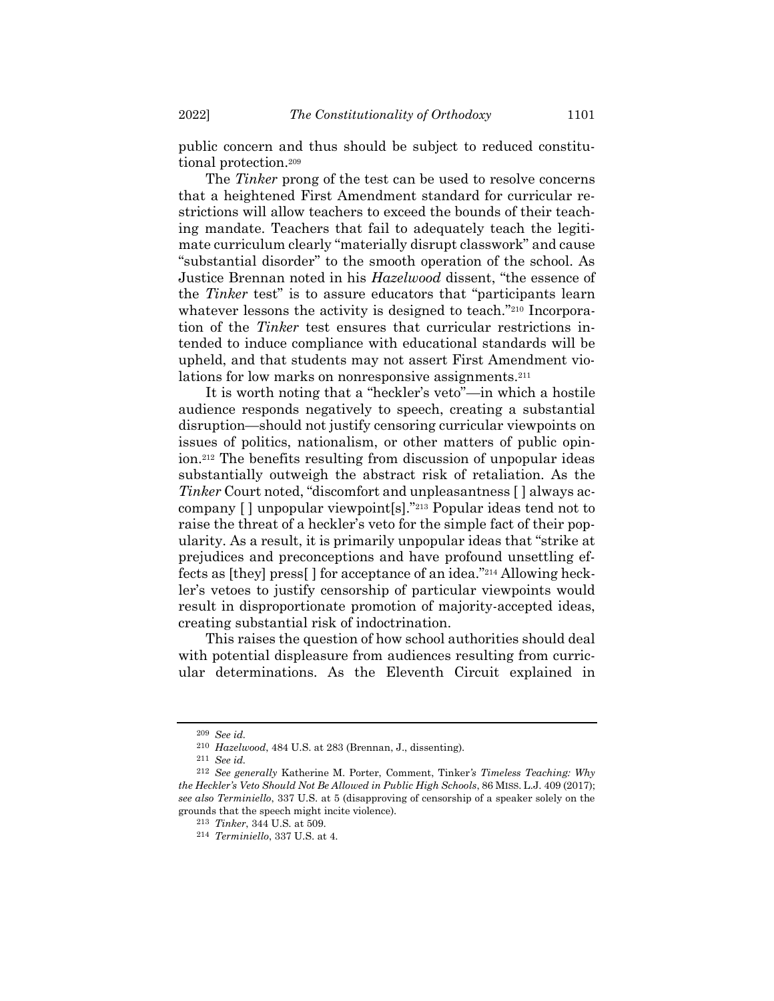public concern and thus should be subject to reduced constitutional protection.<sup>209</sup>

The *Tinker* prong of the test can be used to resolve concerns that a heightened First Amendment standard for curricular restrictions will allow teachers to exceed the bounds of their teaching mandate. Teachers that fail to adequately teach the legitimate curriculum clearly "materially disrupt classwork" and cause "substantial disorder" to the smooth operation of the school. As Justice Brennan noted in his *Hazelwood* dissent, "the essence of the *Tinker* test" is to assure educators that "participants learn whatever lessons the activity is designed to teach."<sup>210</sup> Incorporation of the *Tinker* test ensures that curricular restrictions intended to induce compliance with educational standards will be upheld, and that students may not assert First Amendment violations for low marks on nonresponsive assignments.<sup>211</sup>

It is worth noting that a "heckler's veto"—in which a hostile audience responds negatively to speech, creating a substantial disruption—should not justify censoring curricular viewpoints on issues of politics, nationalism, or other matters of public opinion.<sup>212</sup> The benefits resulting from discussion of unpopular ideas substantially outweigh the abstract risk of retaliation. As the *Tinker* Court noted, "discomfort and unpleasantness [ ] always accompany [ ] unpopular viewpoint[s]."<sup>213</sup> Popular ideas tend not to raise the threat of a heckler's veto for the simple fact of their popularity. As a result, it is primarily unpopular ideas that "strike at prejudices and preconceptions and have profound unsettling effects as [they] press[ ] for acceptance of an idea."<sup>214</sup> Allowing heckler's vetoes to justify censorship of particular viewpoints would result in disproportionate promotion of majority-accepted ideas, creating substantial risk of indoctrination.

This raises the question of how school authorities should deal with potential displeasure from audiences resulting from curricular determinations. As the Eleventh Circuit explained in

<sup>209</sup> *See id.*

<sup>210</sup> *Hazelwood*, 484 U.S. at 283 (Brennan, J., dissenting).

<sup>211</sup> *See id.*

<sup>212</sup> *See generally* Katherine M. Porter, Comment, Tinker*'s Timeless Teaching: Why the Heckler's Veto Should Not Be Allowed in Public High Schools*, 86 MISS. L.J. 409 (2017); *see also Terminiello*, 337 U.S. at 5 (disapproving of censorship of a speaker solely on the grounds that the speech might incite violence).

<sup>213</sup> *Tinker*, 344 U.S. at 509.

<sup>214</sup> *Terminiello*, 337 U.S. at 4.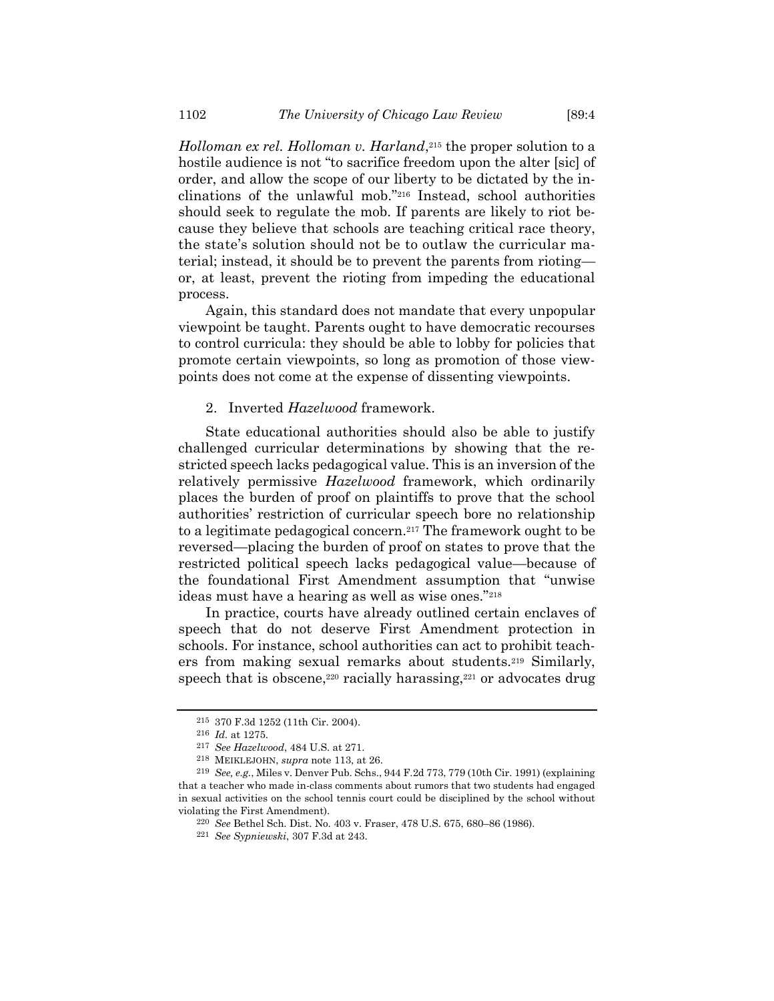*Holloman ex rel. Holloman v. Harland*, <sup>215</sup> the proper solution to a hostile audience is not "to sacrifice freedom upon the alter [sic] of order, and allow the scope of our liberty to be dictated by the inclinations of the unlawful mob."<sup>216</sup> Instead, school authorities should seek to regulate the mob. If parents are likely to riot because they believe that schools are teaching critical race theory, the state's solution should not be to outlaw the curricular material; instead, it should be to prevent the parents from rioting or, at least, prevent the rioting from impeding the educational process.

Again, this standard does not mandate that every unpopular viewpoint be taught. Parents ought to have democratic recourses to control curricula: they should be able to lobby for policies that promote certain viewpoints, so long as promotion of those viewpoints does not come at the expense of dissenting viewpoints.

#### 2. Inverted *Hazelwood* framework.

State educational authorities should also be able to justify challenged curricular determinations by showing that the restricted speech lacks pedagogical value. This is an inversion of the relatively permissive *Hazelwood* framework, which ordinarily places the burden of proof on plaintiffs to prove that the school authorities' restriction of curricular speech bore no relationship to a legitimate pedagogical concern.<sup>217</sup> The framework ought to be reversed—placing the burden of proof on states to prove that the restricted political speech lacks pedagogical value—because of the foundational First Amendment assumption that "unwise ideas must have a hearing as well as wise ones."<sup>218</sup>

In practice, courts have already outlined certain enclaves of speech that do not deserve First Amendment protection in schools. For instance, school authorities can act to prohibit teachers from making sexual remarks about students.<sup>219</sup> Similarly, speech that is obscene,<sup>220</sup> racially harassing,<sup>221</sup> or advocates drug

<sup>215</sup> 370 F.3d 1252 (11th Cir. 2004).

<sup>216</sup> *Id.* at 1275.

<sup>217</sup> *See Hazelwood*, 484 U.S. at 271.

<sup>218</sup> MEIKLEJOHN, *supra* note [113,](#page-16-1) at 26.

<sup>219</sup> *See, e.g.*, Miles v. Denver Pub. Schs., 944 F.2d 773, 779 (10th Cir. 1991) (explaining that a teacher who made in-class comments about rumors that two students had engaged in sexual activities on the school tennis court could be disciplined by the school without violating the First Amendment).

<sup>220</sup> *See* Bethel Sch. Dist. No. 403 v. Fraser, 478 U.S. 675, 680–86 (1986).

<sup>221</sup> *See Sypniewski*, 307 F.3d at 243.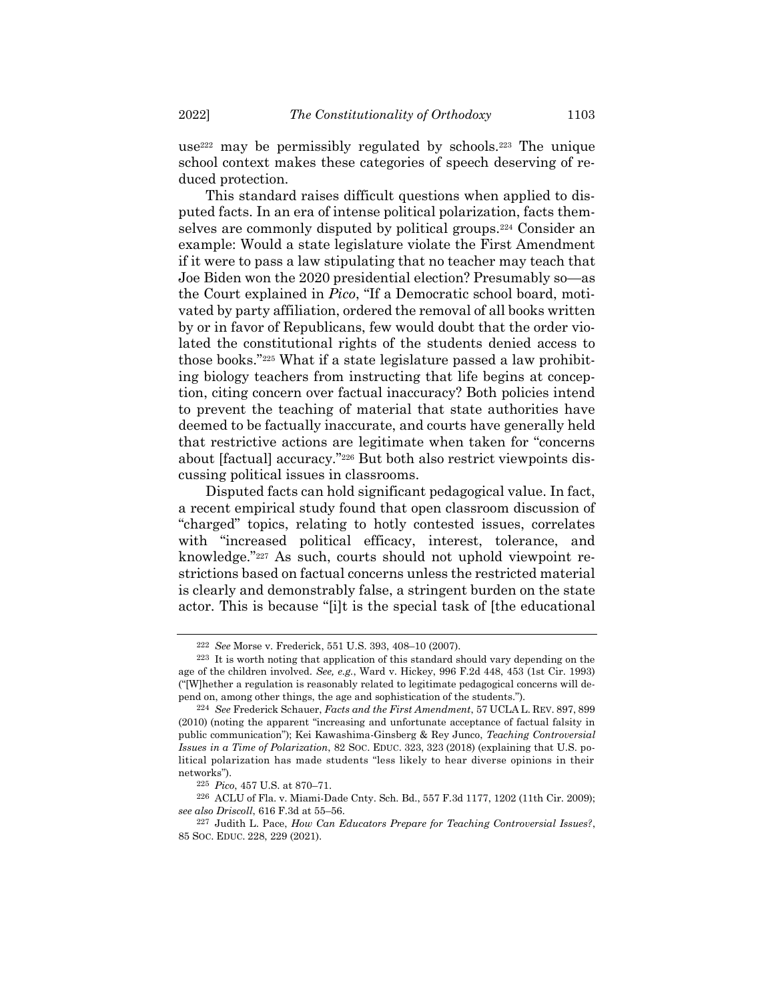use<sup>222</sup> may be permissibly regulated by schools.<sup>223</sup> The unique school context makes these categories of speech deserving of reduced protection.

This standard raises difficult questions when applied to disputed facts. In an era of intense political polarization, facts themselves are commonly disputed by political groups.<sup>224</sup> Consider an example: Would a state legislature violate the First Amendment if it were to pass a law stipulating that no teacher may teach that Joe Biden won the 2020 presidential election? Presumably so—as the Court explained in *Pico*, "If a Democratic school board, motivated by party affiliation, ordered the removal of all books written by or in favor of Republicans, few would doubt that the order violated the constitutional rights of the students denied access to those books."<sup>225</sup> What if a state legislature passed a law prohibiting biology teachers from instructing that life begins at conception, citing concern over factual inaccuracy? Both policies intend to prevent the teaching of material that state authorities have deemed to be factually inaccurate, and courts have generally held that restrictive actions are legitimate when taken for "concerns about [factual] accuracy."<sup>226</sup> But both also restrict viewpoints discussing political issues in classrooms.

Disputed facts can hold significant pedagogical value. In fact, a recent empirical study found that open classroom discussion of "charged" topics, relating to hotly contested issues, correlates with "increased political efficacy, interest, tolerance, and knowledge."<sup>227</sup> As such, courts should not uphold viewpoint restrictions based on factual concerns unless the restricted material is clearly and demonstrably false, a stringent burden on the state actor. This is because "[i]t is the special task of [the educational

<sup>222</sup> *See* Morse v. Frederick, 551 U.S. 393, 408–10 (2007).

<sup>223</sup> It is worth noting that application of this standard should vary depending on the age of the children involved. *See, e.g.*, Ward v. Hickey, 996 F.2d 448, 453 (1st Cir. 1993) ("[W]hether a regulation is reasonably related to legitimate pedagogical concerns will depend on, among other things, the age and sophistication of the students.").

<sup>224</sup> *See* Frederick Schauer, *Facts and the First Amendment*, 57 UCLA L. REV. 897, 899 (2010) (noting the apparent "increasing and unfortunate acceptance of factual falsity in public communication"); Kei Kawashima-Ginsberg & Rey Junco, *Teaching Controversial Issues in a Time of Polarization*, 82 SOC. EDUC. 323, 323 (2018) (explaining that U.S. political polarization has made students "less likely to hear diverse opinions in their networks").

<sup>225</sup> *Pico*, 457 U.S. at 870–71.

<sup>226</sup> ACLU of Fla. v. Miami-Dade Cnty. Sch. Bd., 557 F.3d 1177, 1202 (11th Cir. 2009); *see also Driscoll*, 616 F.3d at 55–56.

<sup>227</sup> Judith L. Pace, *How Can Educators Prepare for Teaching Controversial Issues?*, 85 SOC. EDUC. 228, 229 (2021).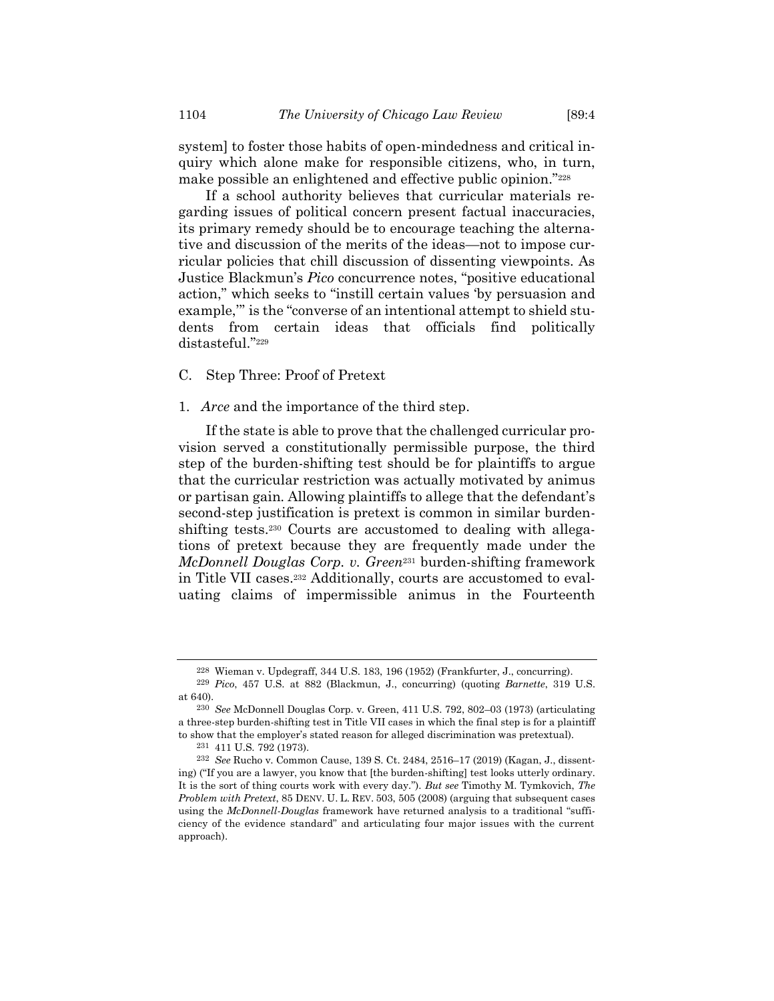system] to foster those habits of open-mindedness and critical inquiry which alone make for responsible citizens, who, in turn, make possible an enlightened and effective public opinion."<sup>228</sup>

If a school authority believes that curricular materials regarding issues of political concern present factual inaccuracies, its primary remedy should be to encourage teaching the alternative and discussion of the merits of the ideas—not to impose curricular policies that chill discussion of dissenting viewpoints. As Justice Blackmun's *Pico* concurrence notes, "positive educational action," which seeks to "instill certain values 'by persuasion and example,'" is the "converse of an intentional attempt to shield students from certain ideas that officials find politically distasteful."<sup>229</sup>

C. Step Three: Proof of Pretext

#### 1. *Arce* and the importance of the third step.

If the state is able to prove that the challenged curricular provision served a constitutionally permissible purpose, the third step of the burden-shifting test should be for plaintiffs to argue that the curricular restriction was actually motivated by animus or partisan gain. Allowing plaintiffs to allege that the defendant's second-step justification is pretext is common in similar burdenshifting tests.<sup>230</sup> Courts are accustomed to dealing with allegations of pretext because they are frequently made under the *McDonnell Douglas Corp. v. Green*<sup>231</sup> burden-shifting framework in Title VII cases.<sup>232</sup> Additionally, courts are accustomed to evaluating claims of impermissible animus in the Fourteenth

<span id="page-35-0"></span><sup>228</sup> Wieman v. Updegraff, 344 U.S. 183, 196 (1952) (Frankfurter, J., concurring).

<sup>229</sup> *Pico*, 457 U.S. at 882 (Blackmun, J., concurring) (quoting *Barnette*, 319 U.S. at 640).

<sup>230</sup> *See* McDonnell Douglas Corp. v. Green, 411 U.S. 792, 802–03 (1973) (articulating a three-step burden-shifting test in Title VII cases in which the final step is for a plaintiff to show that the employer's stated reason for alleged discrimination was pretextual).

<sup>231</sup> 411 U.S. 792 (1973).

<sup>232</sup> *See* Rucho v. Common Cause, 139 S. Ct. 2484, 2516–17 (2019) (Kagan, J., dissenting) ("If you are a lawyer, you know that [the burden-shifting] test looks utterly ordinary. It is the sort of thing courts work with every day."). *But see* Timothy M. Tymkovich, *The Problem with Pretext*, 85 DENV. U. L. REV. 503, 505 (2008) (arguing that subsequent cases using the *McDonnell-Douglas* framework have returned analysis to a traditional "sufficiency of the evidence standard" and articulating four major issues with the current approach).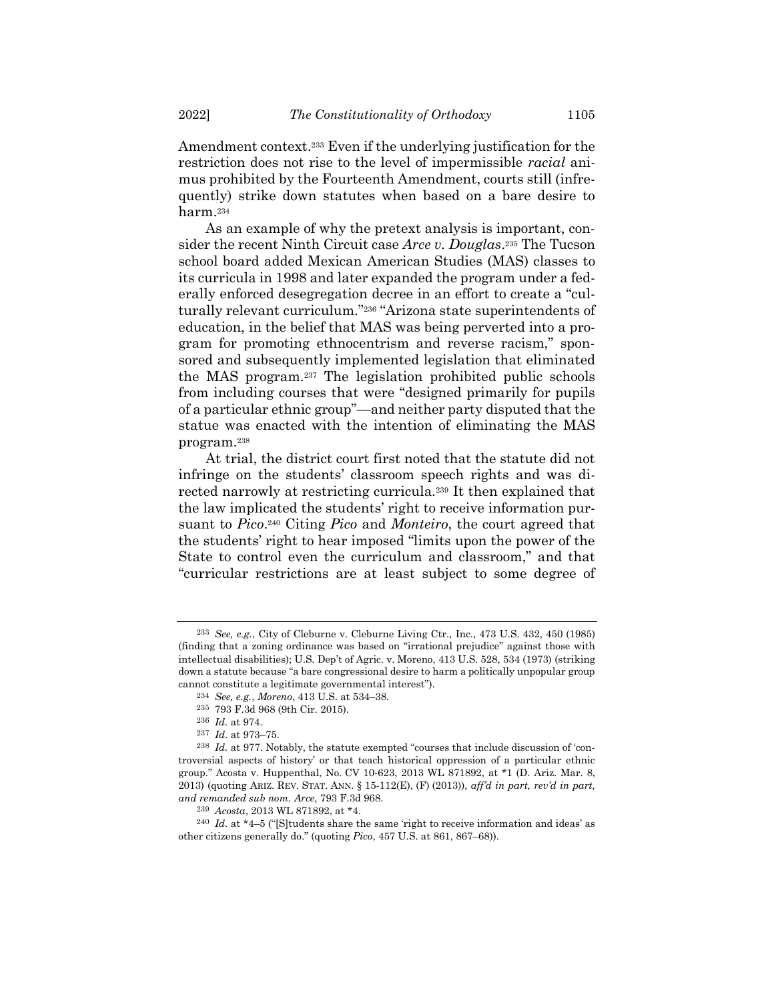Amendment context.<sup>233</sup> Even if the underlying justification for the restriction does not rise to the level of impermissible *racial* animus prohibited by the Fourteenth Amendment, courts still (infrequently) strike down statutes when based on a bare desire to harm.<sup>234</sup>

As an example of why the pretext analysis is important, consider the recent Ninth Circuit case *Arce v. Douglas*. <sup>235</sup> The Tucson school board added Mexican American Studies (MAS) classes to its curricula in 1998 and later expanded the program under a federally enforced desegregation decree in an effort to create a "culturally relevant curriculum."<sup>236</sup> "Arizona state superintendents of education, in the belief that MAS was being perverted into a program for promoting ethnocentrism and reverse racism," sponsored and subsequently implemented legislation that eliminated the MAS program.<sup>237</sup> The legislation prohibited public schools from including courses that were "designed primarily for pupils of a particular ethnic group"—and neither party disputed that the statue was enacted with the intention of eliminating the MAS program.<sup>238</sup>

At trial, the district court first noted that the statute did not infringe on the students' classroom speech rights and was directed narrowly at restricting curricula.<sup>239</sup> It then explained that the law implicated the students' right to receive information pursuant to *Pico*. <sup>240</sup> Citing *Pico* and *Monteiro*, the court agreed that the students' right to hear imposed "limits upon the power of the State to control even the curriculum and classroom," and that "curricular restrictions are at least subject to some degree of

<sup>233</sup> *See, e.g.*, City of Cleburne v. Cleburne Living Ctr., Inc., 473 U.S. 432, 450 (1985) (finding that a zoning ordinance was based on "irrational prejudice" against those with intellectual disabilities); U.S. Dep't of Agric. v. Moreno, 413 U.S. 528, 534 (1973) (striking down a statute because "a bare congressional desire to harm a politically unpopular group cannot constitute a legitimate governmental interest").

<sup>234</sup> *See, e.g.*, *Moreno*, 413 U.S. at 534–38.

<sup>235</sup> 793 F.3d 968 (9th Cir. 2015).

<sup>236</sup> *Id.* at 974.

<sup>237</sup> *Id.* at 973–75.

<sup>238</sup> *Id.* at 977. Notably, the statute exempted "courses that include discussion of 'controversial aspects of history' or that teach historical oppression of a particular ethnic group." Acosta v. Huppenthal, No. CV 10-623, 2013 WL 871892, at \*1 (D. Ariz. Mar. 8, 2013) (quoting ARIZ. REV. STAT. ANN. § 15-112(E), (F) (2013)), *aff'd in part, rev'd in part, and remanded sub nom. Arce*, 793 F.3d 968.

<sup>239</sup> *Acosta*, 2013 WL 871892, at \*4.

 $240$  *Id.* at  $*4-5$  ("Students share the same 'right to receive information and ideas' as other citizens generally do." (quoting *Pico*, 457 U.S. at 861, 867–68)).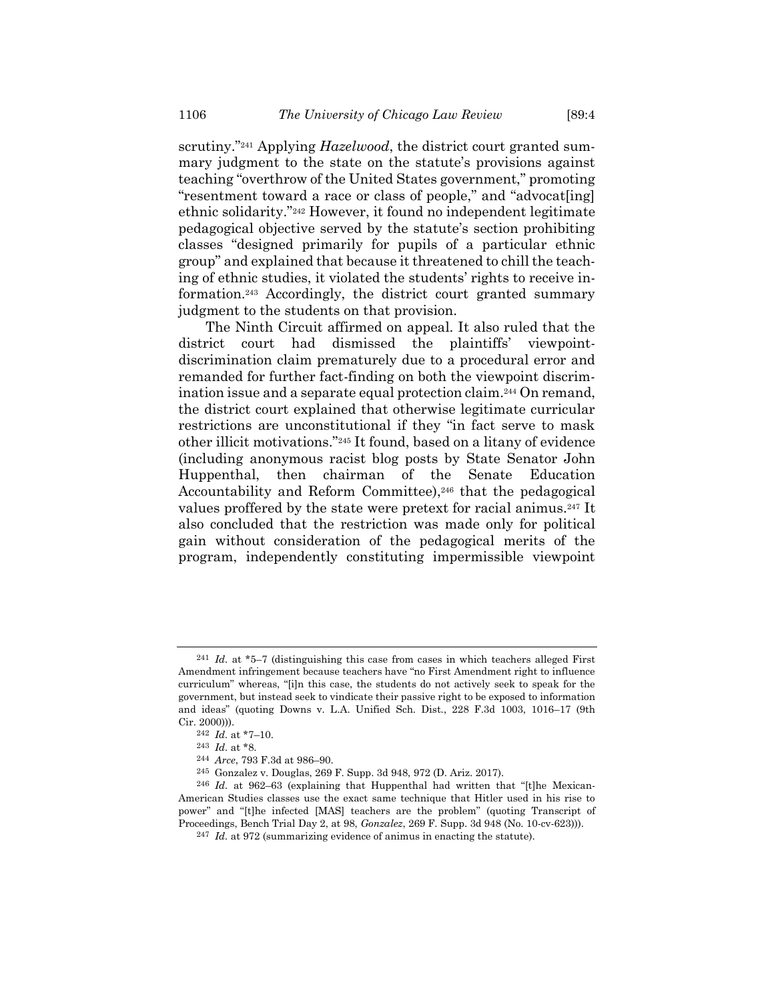scrutiny."<sup>241</sup> Applying *Hazelwood*, the district court granted summary judgment to the state on the statute's provisions against teaching "overthrow of the United States government," promoting "resentment toward a race or class of people," and "advocat[ing] ethnic solidarity."<sup>242</sup> However, it found no independent legitimate

pedagogical objective served by the statute's section prohibiting classes "designed primarily for pupils of a particular ethnic group" and explained that because it threatened to chill the teaching of ethnic studies, it violated the students' rights to receive information.<sup>243</sup> Accordingly, the district court granted summary judgment to the students on that provision.

The Ninth Circuit affirmed on appeal. It also ruled that the district court had dismissed the plaintiffs' viewpointdiscrimination claim prematurely due to a procedural error and remanded for further fact-finding on both the viewpoint discrimination issue and a separate equal protection claim.<sup>244</sup> On remand, the district court explained that otherwise legitimate curricular restrictions are unconstitutional if they "in fact serve to mask other illicit motivations."<sup>245</sup> It found, based on a litany of evidence (including anonymous racist blog posts by State Senator John Huppenthal, then chairman of the Senate Education Accountability and Reform Committee),<sup>246</sup> that the pedagogical values proffered by the state were pretext for racial animus.<sup>247</sup> It also concluded that the restriction was made only for political gain without consideration of the pedagogical merits of the program, independently constituting impermissible viewpoint

<sup>241</sup> *Id.* at \*5–7 (distinguishing this case from cases in which teachers alleged First Amendment infringement because teachers have "no First Amendment right to influence curriculum" whereas, "[i]n this case, the students do not actively seek to speak for the government, but instead seek to vindicate their passive right to be exposed to information and ideas" (quoting Downs v. L.A. Unified Sch. Dist., 228 F.3d 1003, 1016–17 (9th Cir. 2000))).

<sup>242</sup> *Id.* at \*7–10.

<sup>243</sup> *Id.* at \*8.

<sup>244</sup> *Arce*, 793 F.3d at 986–90.

<sup>245</sup> Gonzalez v. Douglas, 269 F. Supp. 3d 948, 972 (D. Ariz. 2017).

<sup>246</sup> *Id.* at 962–63 (explaining that Huppenthal had written that "[t]he Mexican-American Studies classes use the exact same technique that Hitler used in his rise to power" and "[t]he infected [MAS] teachers are the problem" (quoting Transcript of Proceedings, Bench Trial Day 2, at 98, *Gonzalez*, 269 F. Supp. 3d 948 (No. 10-cv-623))).

<sup>247</sup> *Id.* at 972 (summarizing evidence of animus in enacting the statute).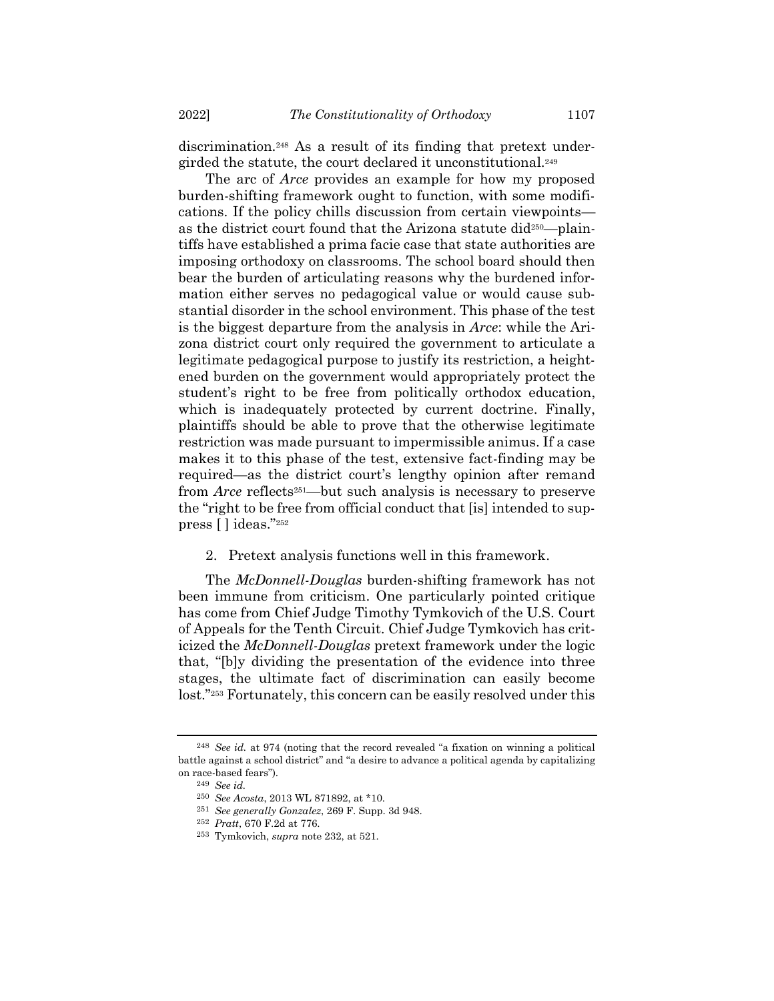discrimination.<sup>248</sup> As a result of its finding that pretext undergirded the statute, the court declared it unconstitutional.<sup>249</sup>

The arc of *Arce* provides an example for how my proposed burden-shifting framework ought to function, with some modifications. If the policy chills discussion from certain viewpoints as the district court found that the Arizona statute did250—plaintiffs have established a prima facie case that state authorities are imposing orthodoxy on classrooms. The school board should then bear the burden of articulating reasons why the burdened information either serves no pedagogical value or would cause substantial disorder in the school environment. This phase of the test is the biggest departure from the analysis in *Arce*: while the Arizona district court only required the government to articulate a legitimate pedagogical purpose to justify its restriction, a heightened burden on the government would appropriately protect the student's right to be free from politically orthodox education, which is inadequately protected by current doctrine. Finally, plaintiffs should be able to prove that the otherwise legitimate restriction was made pursuant to impermissible animus. If a case makes it to this phase of the test, extensive fact-finding may be required—as the district court's lengthy opinion after remand from *Arce* reflects<sup>251</sup>—but such analysis is necessary to preserve the "right to be free from official conduct that [is] intended to suppress [ ] ideas."<sup>252</sup>

2. Pretext analysis functions well in this framework.

The *McDonnell-Douglas* burden-shifting framework has not been immune from criticism. One particularly pointed critique has come from Chief Judge Timothy Tymkovich of the U.S. Court of Appeals for the Tenth Circuit. Chief Judge Tymkovich has criticized the *McDonnell-Douglas* pretext framework under the logic that, "[b]y dividing the presentation of the evidence into three stages, the ultimate fact of discrimination can easily become lost."<sup>253</sup> Fortunately, this concern can be easily resolved under this

<sup>248</sup> *See id.* at 974 (noting that the record revealed "a fixation on winning a political battle against a school district" and "a desire to advance a political agenda by capitalizing on race-based fears").

<sup>249</sup> *See id.*

<sup>250</sup> *See Acosta*, 2013 WL 871892, at \*10.

<sup>251</sup> *See generally Gonzalez*, 269 F. Supp. 3d 948.

<sup>252</sup> *Pratt*, 670 F.2d at 776.

<sup>253</sup> Tymkovich, *supra* note [232,](#page-35-0) at 521.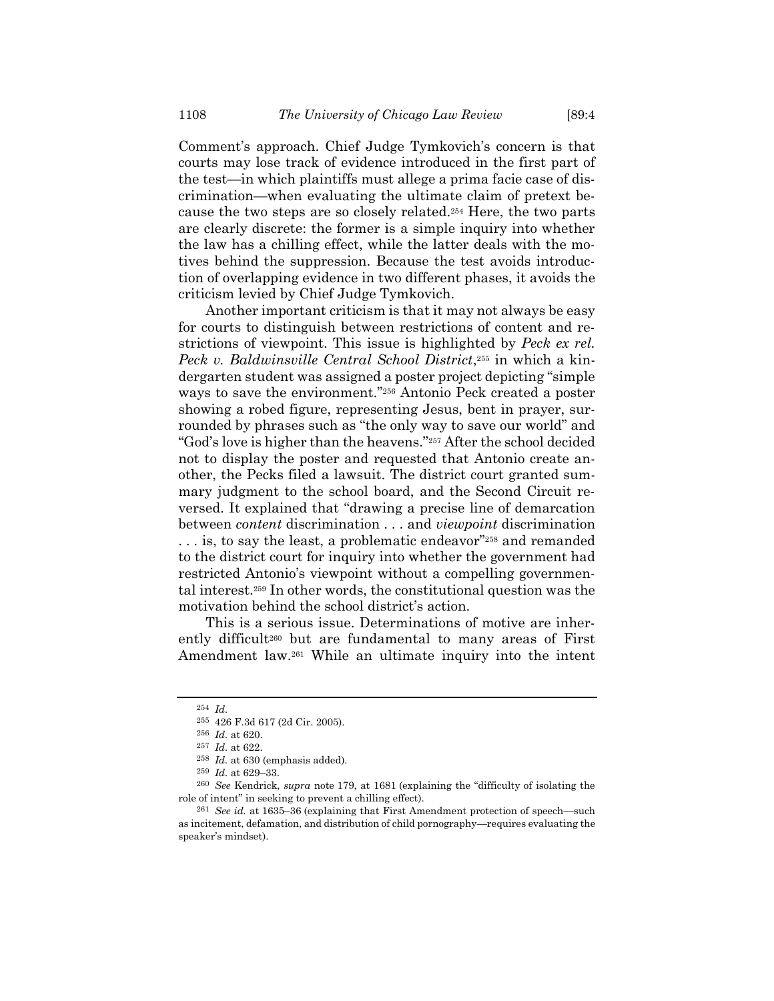Comment's approach. Chief Judge Tymkovich's concern is that courts may lose track of evidence introduced in the first part of the test—in which plaintiffs must allege a prima facie case of discrimination—when evaluating the ultimate claim of pretext because the two steps are so closely related.<sup>254</sup> Here, the two parts are clearly discrete: the former is a simple inquiry into whether the law has a chilling effect, while the latter deals with the motives behind the suppression. Because the test avoids introduction of overlapping evidence in two different phases, it avoids the criticism levied by Chief Judge Tymkovich.

Another important criticism is that it may not always be easy for courts to distinguish between restrictions of content and restrictions of viewpoint. This issue is highlighted by *Peck ex rel. Peck v. Baldwinsville Central School District*, <sup>255</sup> in which a kindergarten student was assigned a poster project depicting "simple ways to save the environment."<sup>256</sup> Antonio Peck created a poster showing a robed figure, representing Jesus, bent in prayer, surrounded by phrases such as "the only way to save our world" and "God's love is higher than the heavens."<sup>257</sup> After the school decided not to display the poster and requested that Antonio create another, the Pecks filed a lawsuit. The district court granted summary judgment to the school board, and the Second Circuit reversed. It explained that "drawing a precise line of demarcation between *content* discrimination . . . and *viewpoint* discrimination . . . is, to say the least, a problematic endeavor"<sup>258</sup> and remanded to the district court for inquiry into whether the government had restricted Antonio's viewpoint without a compelling governmental interest.<sup>259</sup> In other words, the constitutional question was the motivation behind the school district's action.

This is a serious issue. Determinations of motive are inherently difficult<sup>260</sup> but are fundamental to many areas of First Amendment law.<sup>261</sup> While an ultimate inquiry into the intent

<sup>254</sup> *Id.*

<sup>255</sup> 426 F.3d 617 (2d Cir. 2005).

<sup>256</sup> *Id.* at 620.

<sup>257</sup> *Id.* at 622.

<sup>258</sup> *Id.* at 630 (emphasis added).

<sup>259</sup> *Id.* at 629–33.

<sup>260</sup> *See* Kendrick, *supra* note [179,](#page-27-0) at 1681 (explaining the "difficulty of isolating the role of intent" in seeking to prevent a chilling effect).

<sup>261</sup> *See id.* at 1635–36 (explaining that First Amendment protection of speech—such as incitement, defamation, and distribution of child pornography—requires evaluating the speaker's mindset).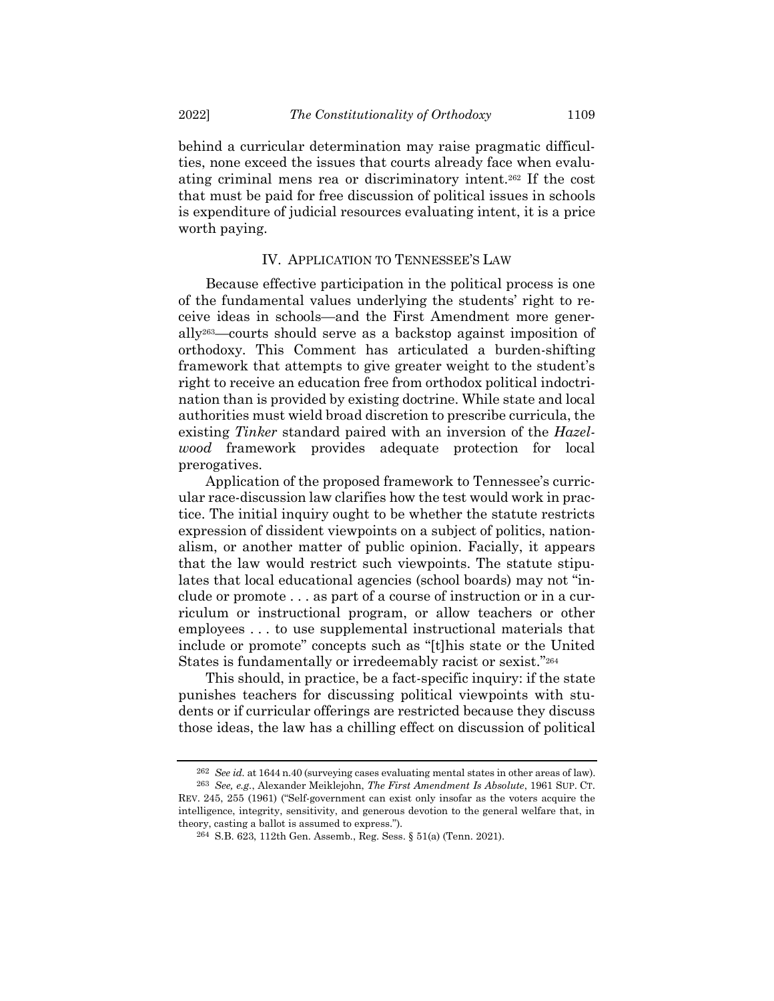behind a curricular determination may raise pragmatic difficulties, none exceed the issues that courts already face when evaluating criminal mens rea or discriminatory intent.<sup>262</sup> If the cost that must be paid for free discussion of political issues in schools is expenditure of judicial resources evaluating intent, it is a price worth paying.

## IV. APPLICATION TO TENNESSEE'S LAW

Because effective participation in the political process is one of the fundamental values underlying the students' right to receive ideas in schools—and the First Amendment more generally263—courts should serve as a backstop against imposition of orthodoxy. This Comment has articulated a burden-shifting framework that attempts to give greater weight to the student's right to receive an education free from orthodox political indoctrination than is provided by existing doctrine. While state and local authorities must wield broad discretion to prescribe curricula, the existing *Tinker* standard paired with an inversion of the *Hazelwood* framework provides adequate protection for local prerogatives.

Application of the proposed framework to Tennessee's curricular race-discussion law clarifies how the test would work in practice. The initial inquiry ought to be whether the statute restricts expression of dissident viewpoints on a subject of politics, nationalism, or another matter of public opinion. Facially, it appears that the law would restrict such viewpoints. The statute stipulates that local educational agencies (school boards) may not "include or promote . . . as part of a course of instruction or in a curriculum or instructional program, or allow teachers or other employees . . . to use supplemental instructional materials that include or promote" concepts such as "[t]his state or the United States is fundamentally or irredeemably racist or sexist."<sup>264</sup>

This should, in practice, be a fact-specific inquiry: if the state punishes teachers for discussing political viewpoints with students or if curricular offerings are restricted because they discuss those ideas, the law has a chilling effect on discussion of political

<sup>262</sup> *See id.* at 1644 n.40 (surveying cases evaluating mental states in other areas of law).

<sup>263</sup> *See, e.g.*, Alexander Meiklejohn, *The First Amendment Is Absolute*, 1961 SUP. CT. REV. 245, 255 (1961) ("Self-government can exist only insofar as the voters acquire the intelligence, integrity, sensitivity, and generous devotion to the general welfare that, in theory, casting a ballot is assumed to express.").

<sup>264</sup> S.B. 623, 112th Gen. Assemb., Reg. Sess. § 51(a) (Tenn. 2021).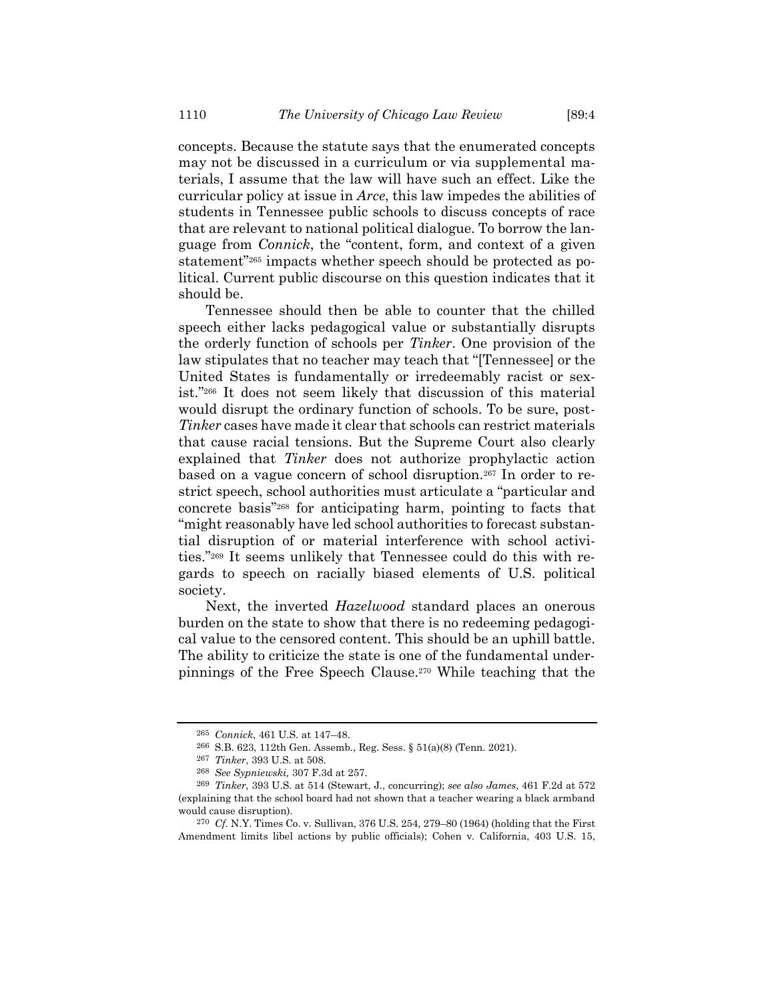concepts. Because the statute says that the enumerated concepts may not be discussed in a curriculum or via supplemental materials, I assume that the law will have such an effect. Like the curricular policy at issue in *Arce*, this law impedes the abilities of students in Tennessee public schools to discuss concepts of race that are relevant to national political dialogue. To borrow the language from *Connick*, the "content, form, and context of a given statement"<sup>265</sup> impacts whether speech should be protected as political. Current public discourse on this question indicates that it should be.

Tennessee should then be able to counter that the chilled speech either lacks pedagogical value or substantially disrupts the orderly function of schools per *Tinker*. One provision of the law stipulates that no teacher may teach that "[Tennessee] or the United States is fundamentally or irredeemably racist or sexist."<sup>266</sup> It does not seem likely that discussion of this material would disrupt the ordinary function of schools. To be sure, post-*Tinker* cases have made it clear that schools can restrict materials that cause racial tensions. But the Supreme Court also clearly explained that *Tinker* does not authorize prophylactic action based on a vague concern of school disruption.<sup>267</sup> In order to restrict speech, school authorities must articulate a "particular and concrete basis"<sup>268</sup> for anticipating harm, pointing to facts that "might reasonably have led school authorities to forecast substantial disruption of or material interference with school activities."<sup>269</sup> It seems unlikely that Tennessee could do this with regards to speech on racially biased elements of U.S. political society.

Next, the inverted *Hazelwood* standard places an onerous burden on the state to show that there is no redeeming pedagogical value to the censored content. This should be an uphill battle. The ability to criticize the state is one of the fundamental underpinnings of the Free Speech Clause.<sup>270</sup> While teaching that the

<sup>265</sup> *Connick*, 461 U.S. at 147–48.

<sup>266</sup> S.B. 623, 112th Gen. Assemb., Reg. Sess. § 51(a)(8) (Tenn. 2021).

<sup>267</sup> *Tinker*, 393 U.S. at 508.

<sup>268</sup> *See Sypniewski,* 307 F.3d at 257.

<sup>269</sup> *Tinker*, 393 U.S. at 514 (Stewart, J., concurring); *see also James*, 461 F.2d at 572 (explaining that the school board had not shown that a teacher wearing a black armband would cause disruption).

<sup>270</sup> *Cf.* N.Y. Times Co. v. Sullivan, 376 U.S. 254, 279–80 (1964) (holding that the First Amendment limits libel actions by public officials); Cohen v. California, 403 U.S. 15,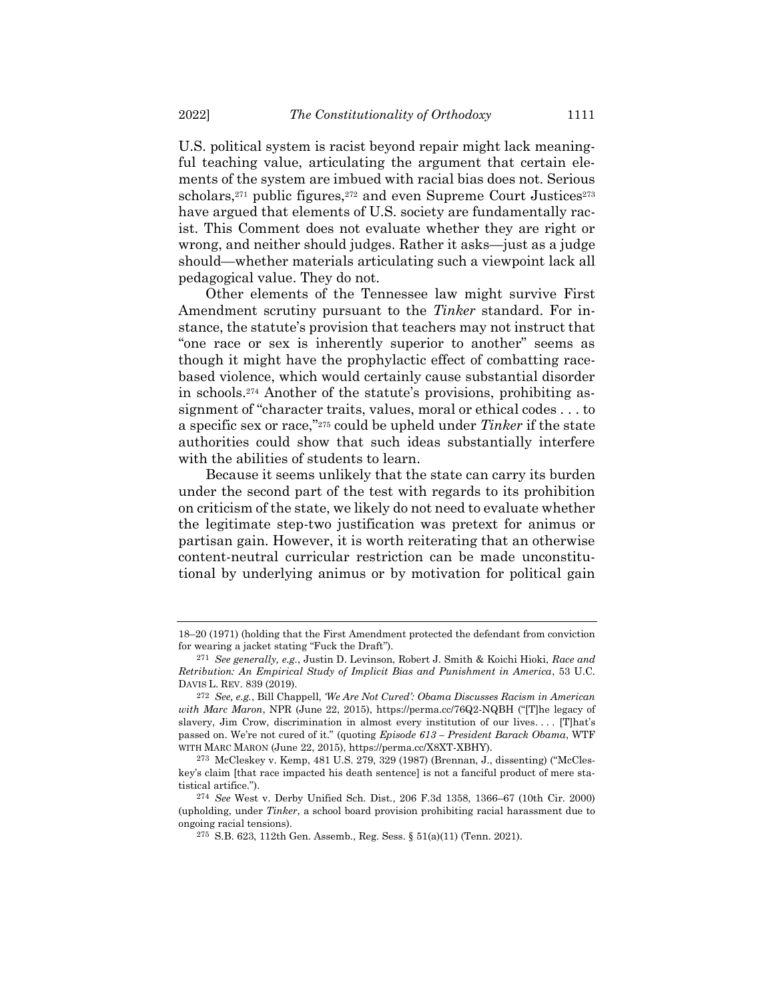U.S. political system is racist beyond repair might lack meaningful teaching value, articulating the argument that certain elements of the system are imbued with racial bias does not. Serious scholars,<sup>271</sup> public figures,<sup>272</sup> and even Supreme Court Justices<sup>273</sup> have argued that elements of U.S. society are fundamentally racist. This Comment does not evaluate whether they are right or wrong, and neither should judges. Rather it asks—just as a judge should—whether materials articulating such a viewpoint lack all pedagogical value. They do not.

Other elements of the Tennessee law might survive First Amendment scrutiny pursuant to the *Tinker* standard. For instance, the statute's provision that teachers may not instruct that "one race or sex is inherently superior to another" seems as though it might have the prophylactic effect of combatting racebased violence, which would certainly cause substantial disorder in schools.<sup>274</sup> Another of the statute's provisions, prohibiting assignment of "character traits, values, moral or ethical codes . . . to a specific sex or race,"<sup>275</sup> could be upheld under *Tinker* if the state authorities could show that such ideas substantially interfere with the abilities of students to learn.

Because it seems unlikely that the state can carry its burden under the second part of the test with regards to its prohibition on criticism of the state, we likely do not need to evaluate whether the legitimate step-two justification was pretext for animus or partisan gain. However, it is worth reiterating that an otherwise content-neutral curricular restriction can be made unconstitutional by underlying animus or by motivation for political gain

<sup>18</sup>–20 (1971) (holding that the First Amendment protected the defendant from conviction for wearing a jacket stating "Fuck the Draft").

<sup>271</sup> *See generally, e.g.*, Justin D. Levinson, Robert J. Smith & Koichi Hioki, *Race and Retribution: An Empirical Study of Implicit Bias and Punishment in America*, 53 U.C. DAVIS L. REV. 839 (2019).

<sup>272</sup> *See, e.g.*, Bill Chappell, *'We Are Not Cured': Obama Discusses Racism in American with Marc Maron*, NPR (June 22, 2015), https://perma.cc/76Q2-NQBH ("[T]he legacy of slavery, Jim Crow, discrimination in almost every institution of our lives.... [T]hat's passed on. We're not cured of it." (quoting *Episode 613 – President Barack Obama*, WTF WITH MARC MARON (June 22, 2015), https://perma.cc/X8XT-XBHY).

<sup>273</sup> McCleskey v. Kemp, 481 U.S. 279, 329 (1987) (Brennan, J., dissenting) ("McCleskey's claim [that race impacted his death sentence] is not a fanciful product of mere statistical artifice.").

<sup>274</sup> *See* West v. Derby Unified Sch. Dist., 206 F.3d 1358, 1366–67 (10th Cir. 2000) (upholding, under *Tinker*, a school board provision prohibiting racial harassment due to ongoing racial tensions).

<sup>275</sup> S.B. 623, 112th Gen. Assemb., Reg. Sess. § 51(a)(11) (Tenn. 2021).